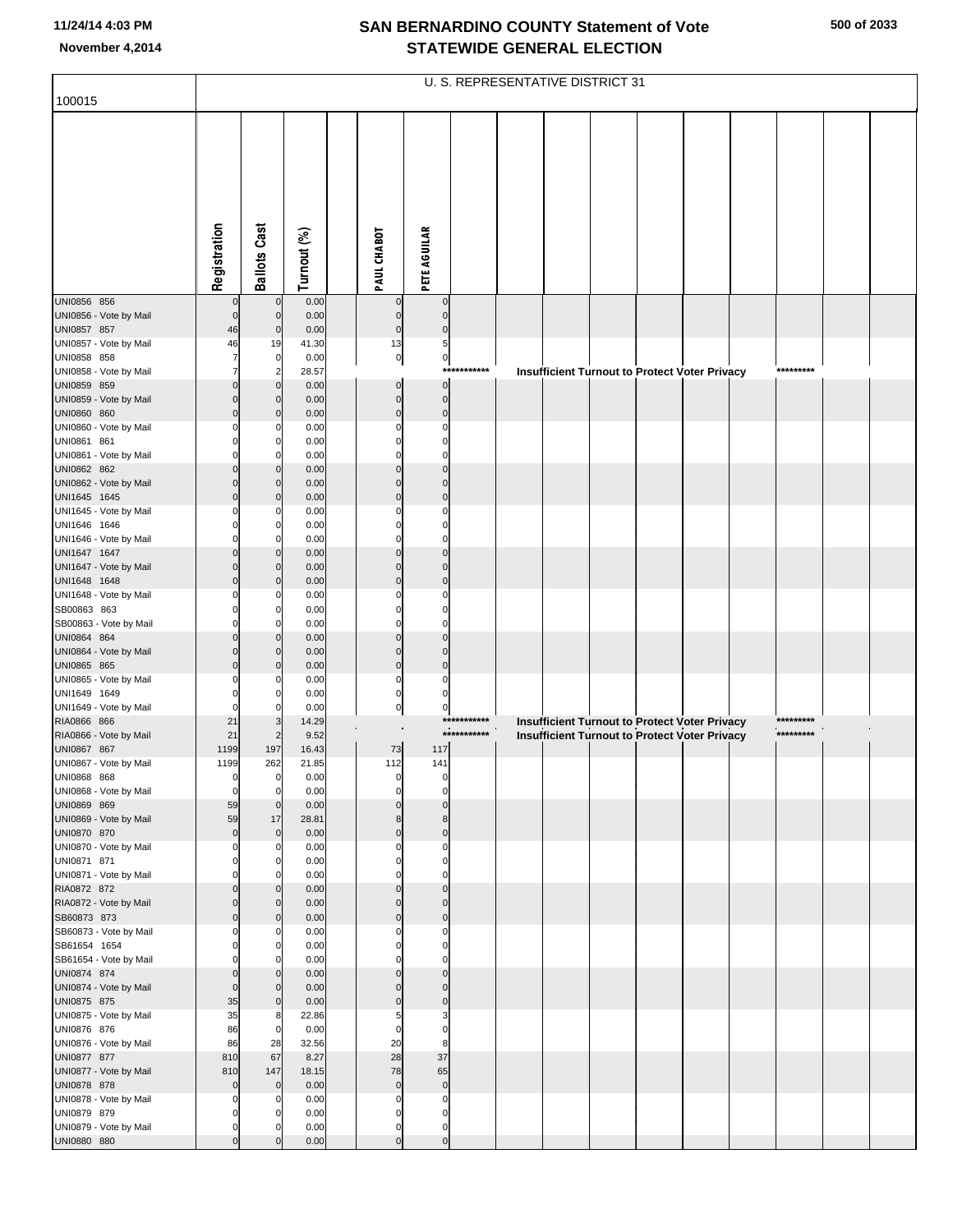|                                        |                                  |                            |               |                         |                            |             | U. S. REPRESENTATIVE DISTRICT 31 |  |                                                      |  |           |  |
|----------------------------------------|----------------------------------|----------------------------|---------------|-------------------------|----------------------------|-------------|----------------------------------|--|------------------------------------------------------|--|-----------|--|
| 100015                                 |                                  |                            |               |                         |                            |             |                                  |  |                                                      |  |           |  |
|                                        |                                  |                            |               |                         |                            |             |                                  |  |                                                      |  |           |  |
|                                        |                                  |                            |               |                         |                            |             |                                  |  |                                                      |  |           |  |
|                                        |                                  |                            |               |                         |                            |             |                                  |  |                                                      |  |           |  |
|                                        |                                  |                            |               |                         |                            |             |                                  |  |                                                      |  |           |  |
|                                        |                                  |                            |               |                         |                            |             |                                  |  |                                                      |  |           |  |
|                                        |                                  |                            |               |                         |                            |             |                                  |  |                                                      |  |           |  |
|                                        |                                  |                            |               |                         |                            |             |                                  |  |                                                      |  |           |  |
|                                        |                                  |                            |               |                         |                            |             |                                  |  |                                                      |  |           |  |
|                                        | Registration                     | <b>Ballots Cast</b>        | Turnout (%)   | PAUL CHABOT             | <b>PETE AGUILAR</b>        |             |                                  |  |                                                      |  |           |  |
| UNI0856 856                            |                                  | $\mathbf 0$                | 0.00          |                         | $\Omega$                   |             |                                  |  |                                                      |  |           |  |
| UNI0856 - Vote by Mail                 | $\mathbf 0$                      | $\mathbf 0$                | 0.00          | $\mathbf 0$             | $\Omega$                   |             |                                  |  |                                                      |  |           |  |
| UNI0857 857                            | 46                               | $\mathbf 0$                | 0.00          | $\mathbf 0$             | $\Omega$                   |             |                                  |  |                                                      |  |           |  |
| UNI0857 - Vote by Mail<br>UNI0858 858  | 46                               | 19<br>0                    | 41.30<br>0.00 | 13<br>$\overline{0}$    | 5<br>$\overline{0}$        |             |                                  |  |                                                      |  |           |  |
| UNI0858 - Vote by Mail                 | $\overline{7}$                   | $\overline{2}$             | 28.57         |                         |                            | *********** |                                  |  | <b>Insufficient Turnout to Protect Voter Privacy</b> |  | ********* |  |
| UNI0859 859                            |                                  | $\Omega$                   | 0.00          | 0                       | $\bf 0$                    |             |                                  |  |                                                      |  |           |  |
| UNI0859 - Vote by Mail                 | $\overline{0}$<br>$\overline{0}$ | $\Omega$<br>$\Omega$       | 0.00<br>0.00  | $\mathbf 0$<br>$\Omega$ | $\mathbf 0$<br>$\mathbf 0$ |             |                                  |  |                                                      |  |           |  |
| UNI0860 860<br>UNI0860 - Vote by Mail  | $\Omega$                         |                            | 0.00          | C                       | $\Omega$                   |             |                                  |  |                                                      |  |           |  |
| UNI0861 861                            |                                  | 0                          | 0.00          |                         | $\Omega$                   |             |                                  |  |                                                      |  |           |  |
| UNI0861 - Vote by Mail                 | $\Omega$                         | 0                          | 0.00          |                         | $\Omega$                   |             |                                  |  |                                                      |  |           |  |
| UNI0862 862<br>UNI0862 - Vote by Mail  | $\Omega$                         | $\Omega$<br>$\Omega$       | 0.00<br>0.00  | $\Omega$                | $\Omega$                   |             |                                  |  |                                                      |  |           |  |
| UNI1645 1645                           | $\Omega$                         | $\Omega$                   | 0.00          | $\Omega$                | $\mathbf 0$                |             |                                  |  |                                                      |  |           |  |
| UNI1645 - Vote by Mail                 | $\Omega$                         | 0                          | 0.00          |                         | $\Omega$                   |             |                                  |  |                                                      |  |           |  |
| UNI1646 1646<br>UNI1646 - Vote by Mail | $\Omega$                         | 0<br>0                     | 0.00<br>0.00  |                         | $\Omega$<br>$\Omega$       |             |                                  |  |                                                      |  |           |  |
| UNI1647 1647                           |                                  | $\Omega$                   | 0.00          |                         | $\Omega$                   |             |                                  |  |                                                      |  |           |  |
| UNI1647 - Vote by Mail                 | $\mathbf 0$                      | $\Omega$                   | 0.00          | $\Omega$                | $\Omega$                   |             |                                  |  |                                                      |  |           |  |
| UNI1648 1648<br>UNI1648 - Vote by Mail | $\Omega$<br>$\Omega$             | $\Omega$                   | 0.00<br>0.00  |                         | $\Omega$<br>$\Omega$       |             |                                  |  |                                                      |  |           |  |
| SB00863 863                            |                                  | 0                          | 0.00          |                         | $\Omega$                   |             |                                  |  |                                                      |  |           |  |
| SB00863 - Vote by Mail                 | $\Omega$                         | 0                          | 0.00          |                         | $\Omega$                   |             |                                  |  |                                                      |  |           |  |
| UNI0864 864<br>UNI0864 - Vote by Mail  | $\Omega$                         | $\Omega$<br>$\Omega$       | 0.00<br>0.00  | $\Omega$                | $\Omega$                   |             |                                  |  |                                                      |  |           |  |
| UNI0865 865                            | $\Omega$                         |                            | 0.00          | $\Omega$                | $\mathbf 0$                |             |                                  |  |                                                      |  |           |  |
| UNI0865 - Vote by Mail                 |                                  |                            | 0.00          | $\Omega$                | $\Omega$                   |             |                                  |  |                                                      |  |           |  |
| UNI1649 1649                           | $\Omega$                         |                            | 0.00          | $\Omega$                | $\Omega$                   |             |                                  |  |                                                      |  |           |  |
| UNI1649 - Vote by Mail<br>RIA0866 866  | 21                               | 0                          | 0.00<br>14.29 | $\pmb{0}$               | 0                          | *****:      |                                  |  | <b>Insufficient Turnout to Protect Voter Privacy</b> |  |           |  |
| RIA0866 - Vote by Mail                 | 21                               |                            | 9.52          |                         |                            | *********** |                                  |  | <b>Insufficient Turnout to Protect Voter Privacy</b> |  | ********* |  |
| UNI0867 867                            | 1199                             | 197                        | 16.43         | $73\,$                  | 117                        |             |                                  |  |                                                      |  |           |  |
| UNI0867 - Vote by Mail<br>UNI0868 868  | 1199<br>0                        | 262<br>0                   | 21.85<br>0.00 | 112                     | 141                        |             |                                  |  |                                                      |  |           |  |
| UNI0868 - Vote by Mail                 | $\mathbf 0$                      | O                          | 0.00          | n                       | $\Omega$                   |             |                                  |  |                                                      |  |           |  |
| UNI0869 869                            | 59                               | $\mathbf 0$                | 0.00          |                         | $\Omega$                   |             |                                  |  |                                                      |  |           |  |
| UNI0869 - Vote by Mail<br>UNI0870 870  | 59<br>$\mathbf 0$                | 17<br>$\mathbf 0$          | 28.81<br>0.00 | 8<br>$\Omega$           | 8<br>$\mathbf 0$           |             |                                  |  |                                                      |  |           |  |
| UNI0870 - Vote by Mail                 | $\mathbf 0$                      | $\Omega$                   | 0.00          | O                       | $\mathbf 0$                |             |                                  |  |                                                      |  |           |  |
| UNI0871 871                            | $\mathbf 0$                      | 0                          | 0.00          | $\Omega$                | $\mathbf 0$                |             |                                  |  |                                                      |  |           |  |
| UNI0871 - Vote by Mail<br>RIA0872 872  | $\mathbf 0$<br>$\mathbf 0$       | 0<br>$\Omega$              | 0.00<br>0.00  | $\Omega$                | $\Omega$<br>$\Omega$       |             |                                  |  |                                                      |  |           |  |
| RIA0872 - Vote by Mail                 | $\mathbf 0$                      | $\mathbf 0$                | 0.00          | $\Omega$                | $\Omega$                   |             |                                  |  |                                                      |  |           |  |
| SB60873 873                            | $\mathbf 0$                      | $\mathbf 0$                | 0.00          | $\Omega$                | $\mathbf 0$                |             |                                  |  |                                                      |  |           |  |
| SB60873 - Vote by Mail<br>SB61654 1654 | $\mathbf 0$<br>$\mathbf 0$       | 0<br>0                     | 0.00<br>0.00  | $\Omega$                | $\mathbf 0$<br>$\Omega$    |             |                                  |  |                                                      |  |           |  |
| SB61654 - Vote by Mail                 | $\mathbf 0$                      | 0                          | 0.00          |                         | $\Omega$                   |             |                                  |  |                                                      |  |           |  |
| UNI0874 874                            | $\mathbf 0$                      | $\mathbf 0$                | 0.00          |                         | $\Omega$                   |             |                                  |  |                                                      |  |           |  |
| UNI0874 - Vote by Mail<br>UNI0875 875  | $\mathbf 0$<br>35                | $\mathbf 0$<br>$\mathbf 0$ | 0.00<br>0.00  | $\Omega$<br>$\Omega$    | $\Omega$<br>$\mathbf 0$    |             |                                  |  |                                                      |  |           |  |
| UNI0875 - Vote by Mail                 | 35                               | 8                          | 22.86         | 5                       | 3                          |             |                                  |  |                                                      |  |           |  |
| UNI0876 876                            | 86                               | $\mathbf 0$                | 0.00          | $\mathbf 0$             | $\mathbf 0$                |             |                                  |  |                                                      |  |           |  |
| UNI0876 - Vote by Mail<br>UNI0877 877  | 86<br>810                        | 28<br>67                   | 32.56<br>8.27 | 20<br>28                | 8<br>37                    |             |                                  |  |                                                      |  |           |  |
| UNI0877 - Vote by Mail                 | 810                              | 147                        | 18.15         | 78                      | 65                         |             |                                  |  |                                                      |  |           |  |
| UNI0878 878                            | $\pmb{0}$                        | $\mathbf 0$                | 0.00          | $\mathbf 0$             | $\pmb{0}$                  |             |                                  |  |                                                      |  |           |  |
| UNI0878 - Vote by Mail                 | $\mathbf 0$                      | 0                          | 0.00          | $\Omega$                | $\mathbf 0$                |             |                                  |  |                                                      |  |           |  |
| UNI0879 879<br>UNI0879 - Vote by Mail  | $\mathbf 0$<br>$\mathbf 0$       |                            | 0.00<br>0.00  | $\Omega$<br>$\mathbf 0$ | $\Omega$<br>$\mathbf 0$    |             |                                  |  |                                                      |  |           |  |
| UNI0880 880                            | $\mathbf 0$                      |                            | 0.00          | $\Omega$                | $\mathbf 0$                |             |                                  |  |                                                      |  |           |  |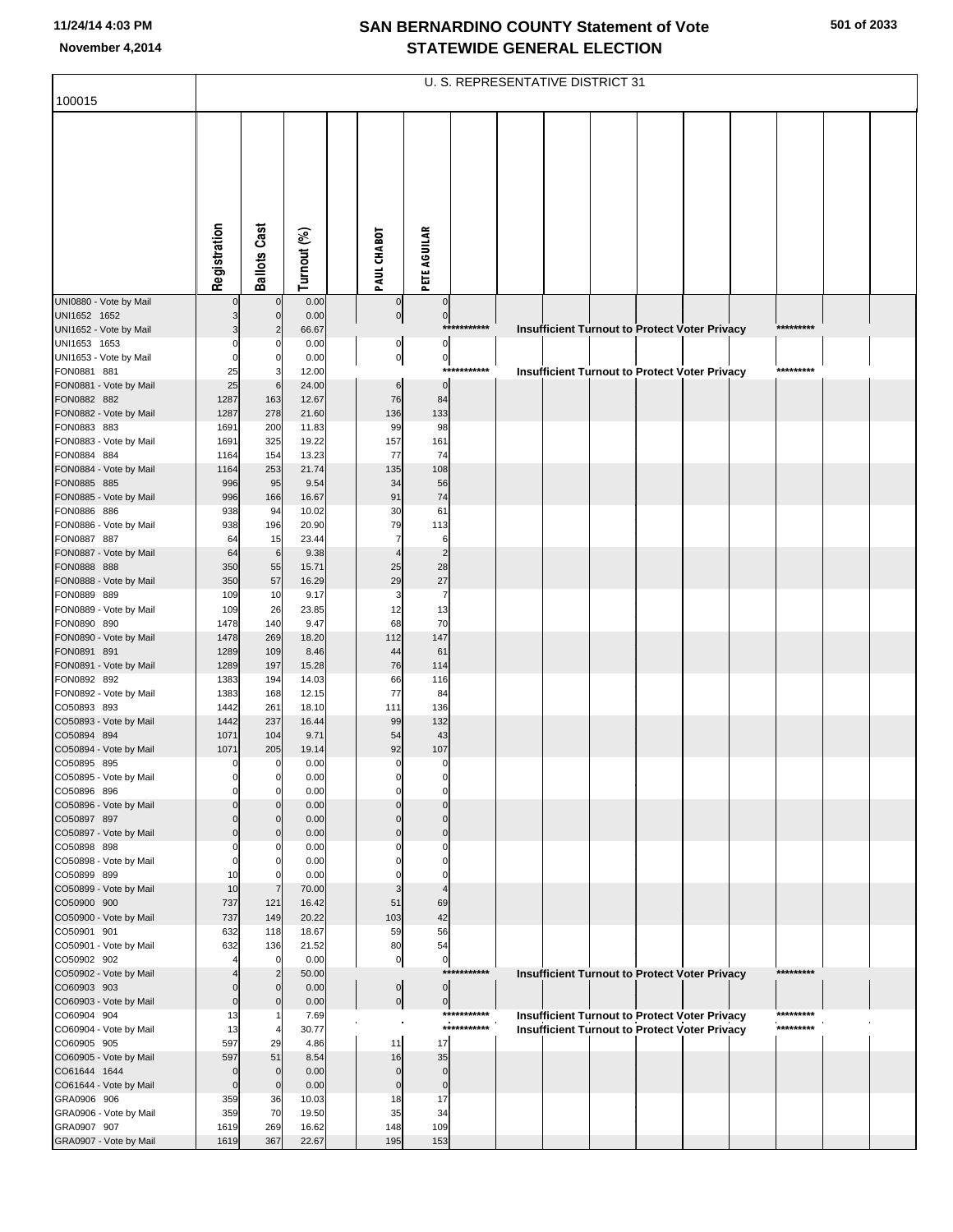|                                        |                         |                               |                |                             |                         |             | U. S. REPRESENTATIVE DISTRICT 31 |  |                                                      |           |  |
|----------------------------------------|-------------------------|-------------------------------|----------------|-----------------------------|-------------------------|-------------|----------------------------------|--|------------------------------------------------------|-----------|--|
| 100015                                 |                         |                               |                |                             |                         |             |                                  |  |                                                      |           |  |
|                                        |                         |                               |                |                             |                         |             |                                  |  |                                                      |           |  |
|                                        | Registration            | <b>Ballots Cast</b>           | Turnout (%)    | PAUL CHABOT                 | <b>PETE AGUILAR</b>     |             |                                  |  |                                                      |           |  |
| UNI0880 - Vote by Mail                 | $\Omega$                | $\mathbf 0$                   | 0.00           | $\mathbf 0$                 | $\mathbf 0$             |             |                                  |  |                                                      |           |  |
| UNI1652 1652<br>UNI1652 - Vote by Mail |                         | $\mathbf 0$<br>$\overline{2}$ | 0.00<br>66.67  | $\overline{0}$              | $\overline{0}$          | *********** |                                  |  | <b>Insufficient Turnout to Protect Voter Privacy</b> | ********* |  |
| UNI1653 1653                           | $\Omega$                | 0                             | 0.00           | 0                           | $\circ$                 |             |                                  |  |                                                      |           |  |
| UNI1653 - Vote by Mail                 |                         | $\mathbf 0$                   | 0.00           | $\overline{0}$              | $\overline{0}$          |             |                                  |  |                                                      |           |  |
| FON0881 881                            | 25                      | 3                             | 12.00          |                             | $\mathbf 0$             | *********** |                                  |  | <b>Insufficient Turnout to Protect Voter Privacy</b> | ********* |  |
| FON0881 - Vote by Mail<br>FON0882 882  | 25<br>1287              | 6<br>163                      | 24.00<br>12.67 | $6\phantom{1}6$<br>76       | 84                      |             |                                  |  |                                                      |           |  |
| FON0882 - Vote by Mail                 | 1287                    | 278                           | 21.60          | 136                         | 133                     |             |                                  |  |                                                      |           |  |
| FON0883 883                            | 1691                    | 200                           | 11.83          | 99                          | 98                      |             |                                  |  |                                                      |           |  |
| FON0883 - Vote by Mail<br>FON0884 884  | 1691<br>1164            | 325<br>154                    | 19.22<br>13.23 | 157<br>77                   | 161<br>74               |             |                                  |  |                                                      |           |  |
| FON0884 - Vote by Mail                 | 1164                    | 253                           | 21.74          | 135                         | 108                     |             |                                  |  |                                                      |           |  |
| FON0885 885                            | 996                     | 95                            | 9.54           | 34                          | 56                      |             |                                  |  |                                                      |           |  |
| FON0885 - Vote by Mail                 | 996                     | 166                           | 16.67          | 91                          | 74                      |             |                                  |  |                                                      |           |  |
| FON0886 886<br>FON0886 - Vote by Mail  | 938<br>938              | 94<br>196                     | 10.02<br>20.90 | 30<br>79                    | 61<br>113               |             |                                  |  |                                                      |           |  |
| FON0887 887                            | 64                      | 15                            | 23.44          | $\overline{7}$              | 6                       |             |                                  |  |                                                      |           |  |
| FON0887 - Vote by Mail                 | 64                      | $6\phantom{1}6$               | 9.38           | $\overline{4}$              | $\overline{2}$          |             |                                  |  |                                                      |           |  |
| FON0888 888<br>FON0888 - Vote by Mail  | 350<br>350              | 55<br>57                      | 15.71<br>16.29 | 25<br>29                    | 28<br>27                |             |                                  |  |                                                      |           |  |
| FON0889 889                            | 109                     | 10                            | 9.17           | 3                           | $\overline{7}$          |             |                                  |  |                                                      |           |  |
| FON0889 - Vote by Mail                 | 109                     | 26                            | 23.85          | 12                          | 13                      |             |                                  |  |                                                      |           |  |
| FON0890 890                            | 1478                    | 140                           | 9.47           | 68                          | 70<br>147               |             |                                  |  |                                                      |           |  |
| FON0890 - Vote by Mail<br>FON0891 891  | 1478<br>1289            | 269<br>109                    | 18.20<br>8.46  | 112<br>44                   | 61                      |             |                                  |  |                                                      |           |  |
| FON0891 - Vote by Mail                 | 1289                    | 197                           | 15.28          | 76                          | 114                     |             |                                  |  |                                                      |           |  |
| FON0892 892                            | 1383                    | 194                           | 14.03          | 66                          | 116                     |             |                                  |  |                                                      |           |  |
| FON0892 - Vote by Mail<br>CO50893 893  | 1383<br>1442            | 168<br>261                    | 12.15<br>18.10 | 77<br>111                   | 84<br>136               |             |                                  |  |                                                      |           |  |
| CO50893 - Vote by Mail                 | 1442                    | 237                           | 16.44          | 99                          | 132                     |             |                                  |  |                                                      |           |  |
| CO50894 894                            | 1071                    | 104                           | 9.71           | 54                          | 43                      |             |                                  |  |                                                      |           |  |
| CO50894 - Vote by Mail<br>CO50895 895  | 1071<br>$\overline{0}$  | 205<br>$\overline{0}$         | 19.14<br>0.00  | 92<br>$\mathbf 0$           | 107<br>$\mathbf 0$      |             |                                  |  |                                                      |           |  |
| CO50895 - Vote by Mail                 |                         | 0                             | 0.00           |                             |                         |             |                                  |  |                                                      |           |  |
| CO50896 896                            |                         | $\Omega$                      | 0.00           | 0                           | $\mathbf 0$             |             |                                  |  |                                                      |           |  |
| CO50896 - Vote by Mail<br>CO50897 897  | $\Omega$                | C<br>$\Omega$                 | 0.00           | $\Omega$                    | $\Omega$<br>$\mathbf 0$ |             |                                  |  |                                                      |           |  |
| CO50897 - Vote by Mail                 | $\Omega$                | $\Omega$                      | 0.00<br>0.00   | $\Omega$                    | $\mathbf 0$             |             |                                  |  |                                                      |           |  |
| CO50898 898                            | $\Omega$                | 0                             | 0.00           | 0                           | $\mathbf 0$             |             |                                  |  |                                                      |           |  |
| CO50898 - Vote by Mail<br>CO50899 899  | $\Omega$<br>10          | 0<br>$\mathbf 0$              | 0.00<br>0.00   | 0                           | O<br>0                  |             |                                  |  |                                                      |           |  |
| CO50899 - Vote by Mail                 | 10                      | $\overline{7}$                | 70.00          | 3                           |                         |             |                                  |  |                                                      |           |  |
| CO50900 900                            | 737                     | 121                           | 16.42          | 51                          | 69                      |             |                                  |  |                                                      |           |  |
| CO50900 - Vote by Mail                 | 737                     | 149                           | 20.22          | 103                         | 42                      |             |                                  |  |                                                      |           |  |
| CO50901 901<br>CO50901 - Vote by Mail  | 632<br>632              | 118<br>136                    | 18.67<br>21.52 | 59<br>80                    | 56<br>54                |             |                                  |  |                                                      |           |  |
| CO50902 902                            |                         | $\overline{0}$                | 0.00           | $\pmb{0}$                   | $\overline{0}$          |             |                                  |  |                                                      |           |  |
| CO50902 - Vote by Mail                 |                         | $\overline{2}$                | 50.00          |                             |                         | *********** |                                  |  | <b>Insufficient Turnout to Protect Voter Privacy</b> | ********* |  |
| CO60903 903<br>CO60903 - Vote by Mail  | $\Omega$<br>$\mathbf 0$ | $\mathbf 0$<br>$\Omega$       | 0.00<br>0.00   | $\pmb{0}$<br>$\overline{0}$ | 0 <br> 0                |             |                                  |  |                                                      |           |  |
| CO60904 904                            | 13                      | -1                            | 7.69           |                             |                         | *********** |                                  |  | <b>Insufficient Turnout to Protect Voter Privacy</b> | ********* |  |
| CO60904 - Vote by Mail                 | 13                      | 4                             | 30.77          |                             |                         | *********** |                                  |  | <b>Insufficient Turnout to Protect Voter Privacy</b> | ********* |  |
| CO60905 905                            | 597                     | 29                            | 4.86           | 11<br>16                    | 17<br>35                |             |                                  |  |                                                      |           |  |
| CO60905 - Vote by Mail<br>CO61644 1644 | 597<br>$\mathbf 0$      | 51<br>$\mathbf 0$             | 8.54<br>0.00   | $\mathbf 0$                 | $\mathbf 0$             |             |                                  |  |                                                      |           |  |
| CO61644 - Vote by Mail                 | $\mathbf 0$             | $\mathbf 0$                   | 0.00           | $\mathbf 0$                 | $\mathbf 0$             |             |                                  |  |                                                      |           |  |
| GRA0906 906                            | 359                     | 36                            | 10.03          | 18                          | 17                      |             |                                  |  |                                                      |           |  |
| GRA0906 - Vote by Mail<br>GRA0907 907  | 359<br>1619             | 70<br>269                     | 19.50<br>16.62 | 35<br>148                   | 34<br>109               |             |                                  |  |                                                      |           |  |
| GRA0907 - Vote by Mail                 | 1619                    | 367                           | 22.67          | 195                         | 153                     |             |                                  |  |                                                      |           |  |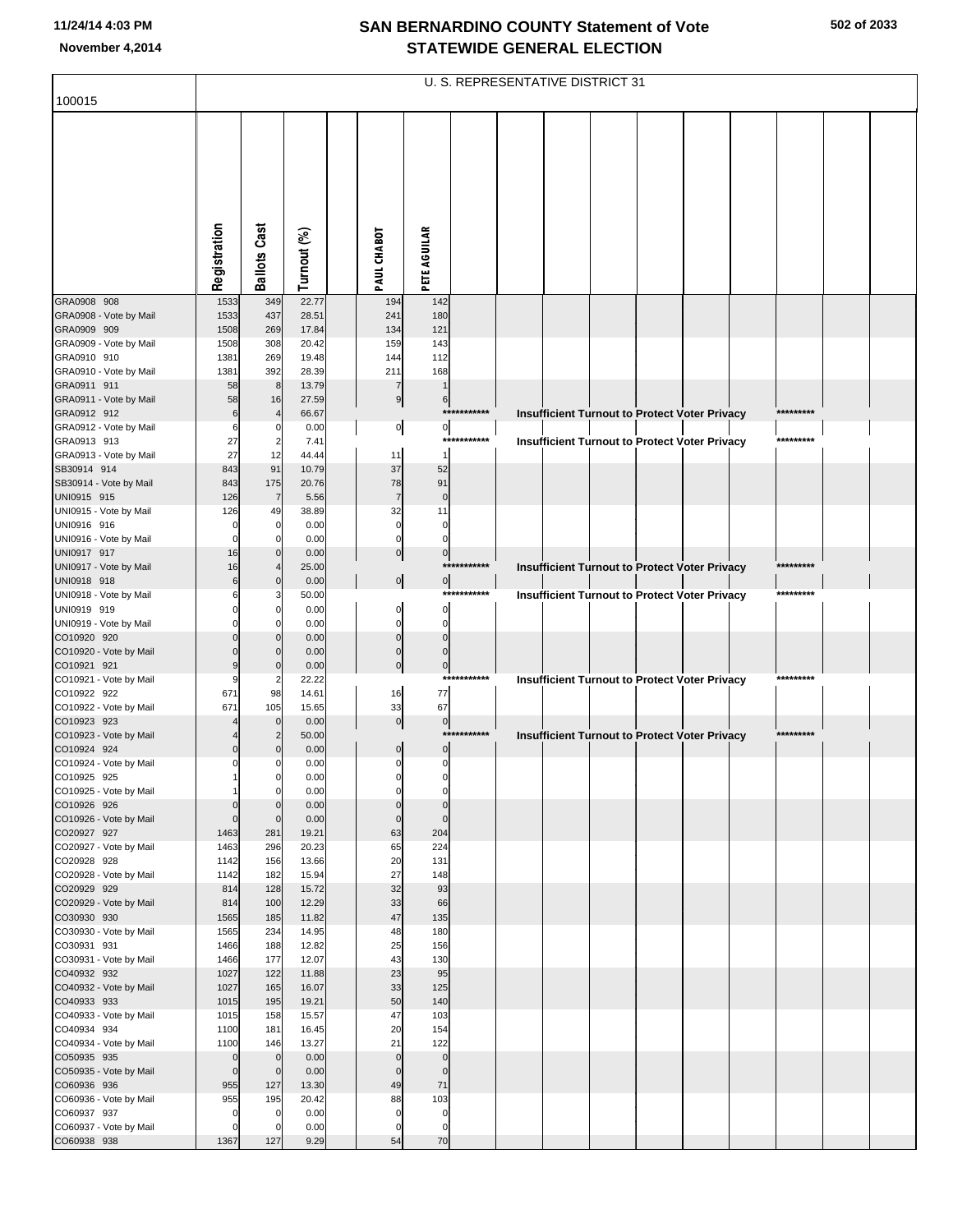|                                       |                         |                            |                |                            |                                  | U. S. REPRESENTATIVE DISTRICT 31 |  |  |                                                      |           |  |
|---------------------------------------|-------------------------|----------------------------|----------------|----------------------------|----------------------------------|----------------------------------|--|--|------------------------------------------------------|-----------|--|
| 100015                                |                         |                            |                |                            |                                  |                                  |  |  |                                                      |           |  |
|                                       | Registration            | <b>Ballots Cast</b>        | Turnout (%)    | PAUL CHABOT                | <b>PETE AGUILAR</b>              |                                  |  |  |                                                      |           |  |
|                                       |                         |                            |                |                            |                                  |                                  |  |  |                                                      |           |  |
| GRA0908 908                           | 1533                    | 349                        | 22.77          | 194                        | 142                              |                                  |  |  |                                                      |           |  |
| GRA0908 - Vote by Mail                | 1533                    | 437                        | 28.51          | 241                        | 180                              |                                  |  |  |                                                      |           |  |
| GRA0909 909                           | 1508                    | 269                        | 17.84          | 134                        | 121                              |                                  |  |  |                                                      |           |  |
| GRA0909 - Vote by Mail<br>GRA0910 910 | 1508<br>1381            | 308<br>269                 | 20.42<br>19.48 | 159<br>144                 | 143<br>112                       |                                  |  |  |                                                      |           |  |
| GRA0910 - Vote by Mail                | 1381                    | 392                        | 28.39          | 211                        | 168                              |                                  |  |  |                                                      |           |  |
| GRA0911 911                           | 58                      | 8                          | 13.79          | 7                          |                                  |                                  |  |  |                                                      |           |  |
| GRA0911 - Vote by Mail<br>GRA0912 912 | 58<br>6                 | 16<br>$\overline{4}$       | 27.59<br>66.67 | 9                          | 6                                | ***********                      |  |  | <b>Insufficient Turnout to Protect Voter Privacy</b> | ********* |  |
| GRA0912 - Vote by Mail                | 6                       | 0                          | 0.00           | $\overline{0}$             | $\circ$                          |                                  |  |  |                                                      |           |  |
| GRA0913 913                           | 27                      | $\overline{\mathbf{c}}$    | 7.41           |                            |                                  | ************                     |  |  | Insufficient Turnout to Protect Voter Privacy        | ********* |  |
| GRA0913 - Vote by Mail                | 27                      | 12                         | 44.44          | 11                         | 1                                |                                  |  |  |                                                      |           |  |
| SB30914 914<br>SB30914 - Vote by Mail | 843<br>843              | 91<br>175                  | 10.79<br>20.76 | 37<br>78                   | 52<br>91                         |                                  |  |  |                                                      |           |  |
| UNI0915 915                           | 126                     | $\overline{7}$             | 5.56           | $\overline{7}$             | $\pmb{0}$                        |                                  |  |  |                                                      |           |  |
| UNI0915 - Vote by Mail                | 126                     | 49                         | 38.89          | 32                         | 11                               |                                  |  |  |                                                      |           |  |
| UNI0916 916<br>UNI0916 - Vote by Mail |                         | $\mathbf 0$<br>$\mathbf 0$ | 0.00<br>0.00   | 0<br>0                     | 0<br>$\mathbf 0$                 |                                  |  |  |                                                      |           |  |
| UNI0917 917                           | 16                      | $\mathbf 0$                | 0.00           | $\overline{0}$             | $\overline{0}$                   |                                  |  |  |                                                      |           |  |
| UNI0917 - Vote by Mail                | 16                      | 4                          | 25.00          |                            |                                  | ***********                      |  |  | Insufficient Turnout to Protect Voter Privacy        | ********* |  |
| UNI0918 918<br>UNI0918 - Vote by Mail | 6                       | $\mathbf 0$<br>3           | 0.00<br>50.00  | $\circ$                    | $\overline{0}$<br>****           | *******                          |  |  | <b>Insufficient Turnout to Protect Voter Privacy</b> | ********* |  |
| UNI0919 919                           |                         | $\mathbf 0$                | 0.00           | 0                          | $\overline{0}$                   |                                  |  |  |                                                      |           |  |
| UNI0919 - Vote by Mail                |                         | $\Omega$                   | 0.00           | $\Omega$                   | $\overline{0}$                   |                                  |  |  |                                                      |           |  |
| CO10920 920                           |                         | $\Omega$<br>$\Omega$       | 0.00           | $\mathbf 0$<br>$\Omega$    | $\overline{0}$<br>$\overline{0}$ |                                  |  |  |                                                      |           |  |
| CO10920 - Vote by Mail<br>CO10921 921 |                         | $\mathbf 0$                | 0.00<br>0.00   | $\mathbf 0$                | $\overline{0}$                   |                                  |  |  |                                                      |           |  |
| CO10921 - Vote by Mail                |                         | $\overline{2}$             | 22.22          |                            | ****                             | *******                          |  |  | Insufficient Turnout to Protect Voter Privacy        | ********* |  |
| CO10922 922                           | 671                     | 98                         | 14.61          | 16                         | 77                               |                                  |  |  |                                                      |           |  |
| CO10922 - Vote by Mail<br>CO10923 923 | 671                     | 105<br>$\mathbf 0$         | 15.65<br>0.00  | 33<br>$\overline{0}$       | 67<br>$\overline{0}$             |                                  |  |  |                                                      |           |  |
| CO10923 - Vote by Mail                |                         | $\overline{2}$             | 50.00          |                            |                                  | ***********                      |  |  | Insufficient Turnout to Protect Voter Privacy        | ********* |  |
| CO10924 924                           |                         | $\mathbf 0$                | 0.00           | 0                          | $\overline{0}$                   |                                  |  |  |                                                      |           |  |
| CO10924 - Vote by Mail<br>CO10925 925 | C                       | $\Omega$<br>$\overline{0}$ | 0.00<br>0.00   | 0<br>$\Omega$              | $\overline{0}$<br>0              |                                  |  |  |                                                      |           |  |
| CO10925 - Vote by Mail                |                         | $\mathbf 0$                | 0.00           | $\Omega$                   | $\mathbf 0$                      |                                  |  |  |                                                      |           |  |
| CO10926 926                           |                         | $\mathbf 0$                | 0.00           | $\mathbf 0$                | $\pmb{0}$                        |                                  |  |  |                                                      |           |  |
| CO10926 - Vote by Mail<br>CO20927 927 | 0<br>1463               | $\mathbf 0$<br>281         | 0.00<br>19.21  | $\mathbf 0$<br>63          | $\pmb{0}$<br>204                 |                                  |  |  |                                                      |           |  |
| CO20927 - Vote by Mail                | 1463                    | 296                        | 20.23          | 65                         | 224                              |                                  |  |  |                                                      |           |  |
| CO20928 928                           | 1142                    | 156                        | 13.66          | 20                         | 131                              |                                  |  |  |                                                      |           |  |
| CO20928 - Vote by Mail<br>CO20929 929 | 1142<br>814             | 182<br>128                 | 15.94<br>15.72 | 27<br>32                   | 148<br>93                        |                                  |  |  |                                                      |           |  |
| CO20929 - Vote by Mail                | 814                     | 100                        | 12.29          | 33                         | 66                               |                                  |  |  |                                                      |           |  |
| CO30930 930                           | 1565                    | 185                        | 11.82          | 47                         | 135                              |                                  |  |  |                                                      |           |  |
| CO30930 - Vote by Mail                | 1565                    | 234                        | 14.95          | 48                         | 180                              |                                  |  |  |                                                      |           |  |
| CO30931 931<br>CO30931 - Vote by Mail | 1466<br>1466            | 188<br>177                 | 12.82<br>12.07 | 25<br>43                   | 156<br>130                       |                                  |  |  |                                                      |           |  |
| CO40932 932                           | 1027                    | 122                        | 11.88          | 23                         | 95                               |                                  |  |  |                                                      |           |  |
| CO40932 - Vote by Mail                | 1027                    | 165                        | 16.07          | 33                         | 125                              |                                  |  |  |                                                      |           |  |
| CO40933 933<br>CO40933 - Vote by Mail | 1015<br>1015            | 195<br>158                 | 19.21<br>15.57 | 50<br>47                   | 140<br>103                       |                                  |  |  |                                                      |           |  |
| CO40934 934                           | 1100                    | 181                        | 16.45          | 20                         | 154                              |                                  |  |  |                                                      |           |  |
| CO40934 - Vote by Mail                | 1100                    | 146                        | 13.27          | 21                         | 122                              |                                  |  |  |                                                      |           |  |
| CO50935 935<br>CO50935 - Vote by Mail | $\Omega$<br>$\mathbf 0$ | $\mathbf 0$<br>$\mathbf 0$ | 0.00<br>0.00   | $\mathbf 0$<br>$\mathbf 0$ | $\pmb{0}$<br>$\Omega$            |                                  |  |  |                                                      |           |  |
| CO60936 936                           | 955                     | 127                        | 13.30          | 49                         | 71                               |                                  |  |  |                                                      |           |  |
| CO60936 - Vote by Mail                | 955                     | 195                        | 20.42          | 88                         | 103                              |                                  |  |  |                                                      |           |  |
| CO60937 937                           | C                       | $\mathbf 0$<br>$\mathbf 0$ | 0.00<br>0.00   | 0<br>$\mathbf 0$           | 0<br>$\mathbf 0$                 |                                  |  |  |                                                      |           |  |
| CO60937 - Vote by Mail<br>CO60938 938 | 1367                    | 127                        | 9.29           | 54                         | 70                               |                                  |  |  |                                                      |           |  |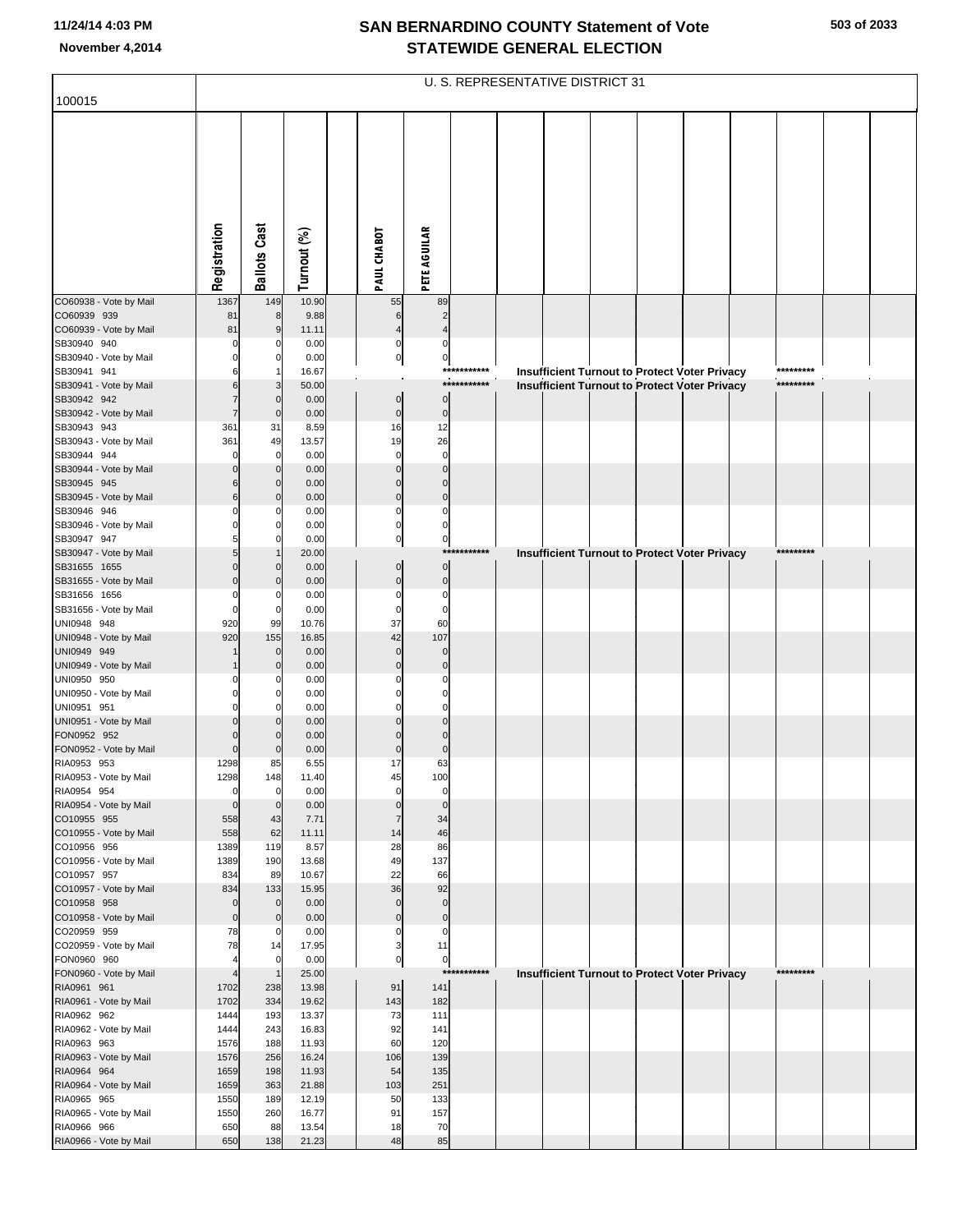|                                        |                            |                     |                |                         |                               |             | U. S. REPRESENTATIVE DISTRICT 31 |  |                                                      |           |  |
|----------------------------------------|----------------------------|---------------------|----------------|-------------------------|-------------------------------|-------------|----------------------------------|--|------------------------------------------------------|-----------|--|
| 100015                                 |                            |                     |                |                         |                               |             |                                  |  |                                                      |           |  |
|                                        |                            |                     |                |                         |                               |             |                                  |  |                                                      |           |  |
|                                        |                            |                     |                |                         |                               |             |                                  |  |                                                      |           |  |
|                                        | Registration               | <b>Ballots Cast</b> | Turnout (%)    | PAUL CHABOT             | <b>PETE AGUILAR</b>           |             |                                  |  |                                                      |           |  |
| CO60938 - Vote by Mail                 | 1367                       | 149                 | 10.90          | 55                      | 89                            |             |                                  |  |                                                      |           |  |
| CO60939 939                            | 81                         | 8                   | 9.88           | 6                       | $\overline{2}$                |             |                                  |  |                                                      |           |  |
| CO60939 - Vote by Mail<br>SB30940 940  | 81<br>$\Omega$             | 9                   | 11.11<br>0.00  | 0                       | 0                             |             |                                  |  |                                                      |           |  |
| SB30940 - Vote by Mail                 |                            |                     | 0.00           | $\overline{0}$          | $\overline{0}$                |             |                                  |  |                                                      |           |  |
| SB30941 941                            |                            |                     | 16.67          |                         |                               | *********** |                                  |  | <b>Insufficient Turnout to Protect Voter Privacy</b> | ********* |  |
| SB30941 - Vote by Mail                 |                            | 3                   | 50.00          |                         |                               | *********** |                                  |  | <b>Insufficient Turnout to Protect Voter Privacy</b> | ********* |  |
| SB30942 942                            |                            | $\mathbf 0$         | 0.00           | $\pmb{0}$               | $\mathbf 0$                   |             |                                  |  |                                                      |           |  |
| SB30942 - Vote by Mail<br>SB30943 943  | 361                        | $\Omega$<br>31      | 0.00<br>8.59   | $\mathbf 0$<br>16       | $\overline{0}$<br>12          |             |                                  |  |                                                      |           |  |
| SB30943 - Vote by Mail                 | 361                        | 49                  | 13.57          | 19                      | 26                            |             |                                  |  |                                                      |           |  |
| SB30944 944                            | $\mathbf 0$                | 0                   | 0.00           | $\mathbf 0$             | $\mathbf 0$                   |             |                                  |  |                                                      |           |  |
| SB30944 - Vote by Mail                 |                            | 0                   | 0.00           |                         | $\Omega$                      |             |                                  |  |                                                      |           |  |
| SB30945 945                            |                            | $\mathbf 0$         | 0.00           | $\Omega$<br>$\Omega$    | $\Omega$<br>$\Omega$          |             |                                  |  |                                                      |           |  |
| SB30945 - Vote by Mail<br>SB30946 946  |                            | 0                   | 0.00<br>0.00   | $\mathbf 0$             | 0                             |             |                                  |  |                                                      |           |  |
| SB30946 - Vote by Mail                 |                            |                     | 0.00           | $\Omega$                | 0                             |             |                                  |  |                                                      |           |  |
| SB30947 947                            |                            | 0                   | 0.00           | $\mathbf 0$             | $\overline{0}$                |             |                                  |  |                                                      |           |  |
| SB30947 - Vote by Mail                 |                            |                     | 20.00          |                         | ***                           | *******     |                                  |  | <b>Insufficient Turnout to Protect Voter Privacy</b> | ********  |  |
| SB31655 1655<br>SB31655 - Vote by Mail |                            |                     | 0.00<br>0.00   | $\mathbf 0$<br>$\Omega$ | $\overline{0}$<br>$\mathbf 0$ |             |                                  |  |                                                      |           |  |
| SB31656 1656                           | O                          | 0                   | 0.00           | $\mathbf 0$             | $\mathbf 0$                   |             |                                  |  |                                                      |           |  |
| SB31656 - Vote by Mail                 | $\Omega$                   | 0                   | 0.00           | $\mathbf 0$             | $\Omega$                      |             |                                  |  |                                                      |           |  |
| UNI0948 948                            | 920                        | 99                  | 10.76          | 37                      | 60                            |             |                                  |  |                                                      |           |  |
| UNI0948 - Vote by Mail<br>UNI0949 949  | 920                        | 155<br>$\mathbf 0$  | 16.85<br>0.00  | 42<br>$\mathbf 0$       | 107<br>$\mathbf 0$            |             |                                  |  |                                                      |           |  |
| UNI0949 - Vote by Mail                 |                            |                     | 0.00           | $\Omega$                | $\mathbf 0$                   |             |                                  |  |                                                      |           |  |
| UNI0950 950                            |                            |                     | 0.00           |                         | $\Omega$                      |             |                                  |  |                                                      |           |  |
| UNI0950 - Vote by Mail                 |                            |                     | 0.00           |                         |                               |             |                                  |  |                                                      |           |  |
| UNI0951 951                            |                            | O                   | 0.00           |                         | O                             |             |                                  |  |                                                      |           |  |
| UNI0951 - Vote by Mail<br>FON0952 952  |                            |                     | 0.00<br>0.00   |                         | $\Omega$                      |             |                                  |  |                                                      |           |  |
| FON0952 - Vote by Mail                 | $\Omega$                   |                     | 0.00           | $\mathbf 0$             | $\Omega$                      |             |                                  |  |                                                      |           |  |
| RIA0953 953                            | 1298                       | 85                  | 6.55           | 17                      | 63                            |             |                                  |  |                                                      |           |  |
| RIA0953 - Vote by Mail                 | 1298                       | 148                 | 11.40          | 45                      | 100                           |             |                                  |  |                                                      |           |  |
| RIA0954 954<br>RIA0954 - Vote by Mail  | $\mathbf 0$<br>$\mathbf 0$ | 0<br>$\mathbf 0$    | 0.00<br>0.00   | $\mathbf 0$<br>$\Omega$ | $\mathbf 0$<br>$\mathbf 0$    |             |                                  |  |                                                      |           |  |
| CO10955 955                            | 558                        | 43                  | 7.71           | $\overline{7}$          | 34                            |             |                                  |  |                                                      |           |  |
| CO10955 - Vote by Mail                 | 558                        | 62                  | 11.11          | 14                      | 46                            |             |                                  |  |                                                      |           |  |
| CO10956 956                            | 1389                       | 119                 | 8.57           | 28                      | 86                            |             |                                  |  |                                                      |           |  |
| CO10956 - Vote by Mail                 | 1389                       | 190                 | 13.68          | 49                      | 137                           |             |                                  |  |                                                      |           |  |
| CO10957 957<br>CO10957 - Vote by Mail  | 834<br>834                 | 89<br>133           | 10.67<br>15.95 | 22<br>36                | 66<br>92                      |             |                                  |  |                                                      |           |  |
| CO10958 958                            | $\mathbf 0$                | $\mathbf 0$         | 0.00           | $\mathbf 0$             | $\mathbf 0$                   |             |                                  |  |                                                      |           |  |
| CO10958 - Vote by Mail                 | $\mathbf 0$                | 0                   | 0.00           | $\mathbf 0$             | $\pmb{0}$                     |             |                                  |  |                                                      |           |  |
| CO20959 959                            | 78                         | 0                   | 0.00           | $\mathbf 0$             | $\mathbf 0$                   |             |                                  |  |                                                      |           |  |
| CO20959 - Vote by Mail<br>FON0960 960  | 78<br>4                    | 14<br>$\mathbf 0$   | 17.95<br>0.00  | 3<br>$\overline{0}$     | 11<br>$\circ$                 |             |                                  |  |                                                      |           |  |
| FON0960 - Vote by Mail                 |                            |                     | 25.00          |                         | ***                           | *******     |                                  |  | Insufficient Turnout to Protect Voter Privacy        | ********* |  |
| RIA0961 961                            | 1702                       | 238                 | 13.98          | 91                      | 141                           |             |                                  |  |                                                      |           |  |
| RIA0961 - Vote by Mail                 | 1702                       | 334                 | 19.62          | 143                     | 182                           |             |                                  |  |                                                      |           |  |
| RIA0962 962                            | 1444                       | 193                 | 13.37          | 73                      | 111                           |             |                                  |  |                                                      |           |  |
| RIA0962 - Vote by Mail<br>RIA0963 963  | 1444<br>1576               | 243<br>188          | 16.83<br>11.93 | 92<br>60                | 141<br>120                    |             |                                  |  |                                                      |           |  |
| RIA0963 - Vote by Mail                 | 1576                       | 256                 | 16.24          | 106                     | 139                           |             |                                  |  |                                                      |           |  |
| RIA0964 964                            | 1659                       | 198                 | 11.93          | 54                      | 135                           |             |                                  |  |                                                      |           |  |
| RIA0964 - Vote by Mail                 | 1659                       | 363                 | 21.88          | 103                     | 251                           |             |                                  |  |                                                      |           |  |
| RIA0965 965<br>RIA0965 - Vote by Mail  | 1550<br>1550               | 189<br>260          | 12.19<br>16.77 | 50<br>91                | 133<br>157                    |             |                                  |  |                                                      |           |  |
| RIA0966 966                            | 650                        | 88                  | 13.54          | 18                      | 70                            |             |                                  |  |                                                      |           |  |
| RIA0966 - Vote by Mail                 | 650                        | 138                 | 21.23          | 48                      | 85                            |             |                                  |  |                                                      |           |  |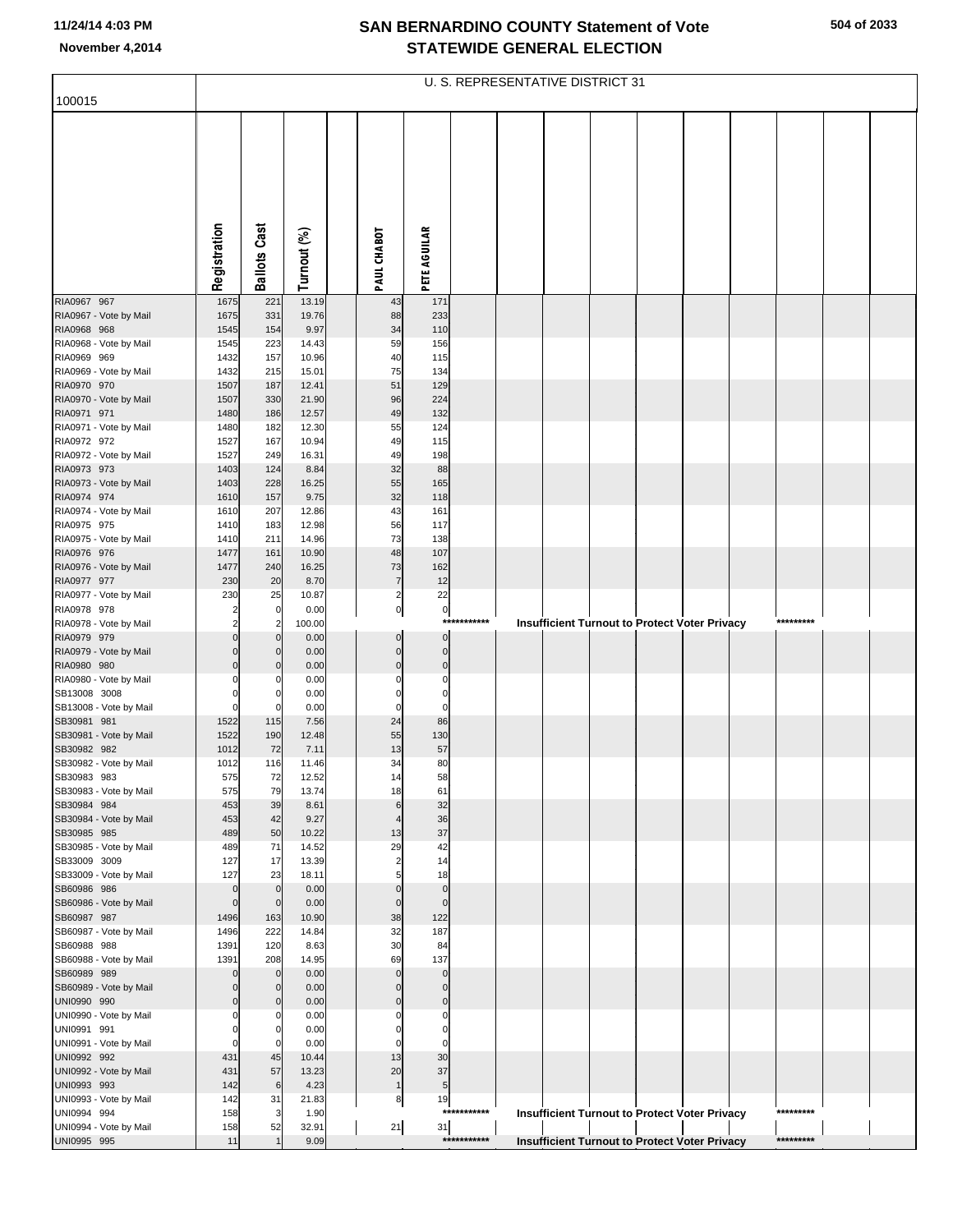|                                        |                         |                             |                |                         |                            |             | U. S. REPRESENTATIVE DISTRICT 31 |  |                                                      |           |  |
|----------------------------------------|-------------------------|-----------------------------|----------------|-------------------------|----------------------------|-------------|----------------------------------|--|------------------------------------------------------|-----------|--|
| 100015                                 |                         |                             |                |                         |                            |             |                                  |  |                                                      |           |  |
|                                        |                         |                             |                |                         |                            |             |                                  |  |                                                      |           |  |
|                                        |                         |                             |                |                         |                            |             |                                  |  |                                                      |           |  |
|                                        |                         |                             |                |                         |                            |             |                                  |  |                                                      |           |  |
|                                        |                         |                             |                |                         |                            |             |                                  |  |                                                      |           |  |
|                                        |                         |                             |                |                         |                            |             |                                  |  |                                                      |           |  |
|                                        |                         |                             |                |                         |                            |             |                                  |  |                                                      |           |  |
|                                        |                         | Cast                        |                |                         |                            |             |                                  |  |                                                      |           |  |
|                                        |                         |                             |                |                         |                            |             |                                  |  |                                                      |           |  |
|                                        | Registration            | <b>Ballots</b>              | Turnout (%)    | PAUL CHABOT             | <b>PETE AGUILAR</b>        |             |                                  |  |                                                      |           |  |
|                                        |                         |                             |                |                         |                            |             |                                  |  |                                                      |           |  |
| RIA0967 967                            | 1675                    | 221                         | 13.19          | 43                      | 171                        |             |                                  |  |                                                      |           |  |
| RIA0967 - Vote by Mail                 | 1675                    | 331                         | 19.76          | 88                      | 233                        |             |                                  |  |                                                      |           |  |
| RIA0968 968<br>RIA0968 - Vote by Mail  | 1545<br>1545            | 154<br>223                  | 9.97<br>14.43  | 34<br>59                | 110<br>156                 |             |                                  |  |                                                      |           |  |
| RIA0969 969                            | 1432                    | 157                         | 10.96          | 40                      | 115                        |             |                                  |  |                                                      |           |  |
| RIA0969 - Vote by Mail                 | 1432                    | 215                         | 15.01          | 75                      | 134                        |             |                                  |  |                                                      |           |  |
| RIA0970 970                            | 1507                    | 187                         | 12.41          | 51                      | 129                        |             |                                  |  |                                                      |           |  |
| RIA0970 - Vote by Mail<br>RIA0971 971  | 1507<br>1480            | 330<br>186                  | 21.90<br>12.57 | 96<br>49                | 224<br>132                 |             |                                  |  |                                                      |           |  |
| RIA0971 - Vote by Mail                 | 1480                    | 182                         | 12.30          | 55                      | 124                        |             |                                  |  |                                                      |           |  |
| RIA0972 972                            | 1527                    | 167                         | 10.94          | 49                      | 115                        |             |                                  |  |                                                      |           |  |
| RIA0972 - Vote by Mail                 | 1527                    | 249                         | 16.31          | 49                      | 198                        |             |                                  |  |                                                      |           |  |
| RIA0973 973<br>RIA0973 - Vote by Mail  | 1403<br>1403            | 124<br>228                  | 8.84<br>16.25  | 32<br>55                | 88<br>165                  |             |                                  |  |                                                      |           |  |
| RIA0974 974                            | 1610                    | 157                         | 9.75           | 32                      | 118                        |             |                                  |  |                                                      |           |  |
| RIA0974 - Vote by Mail                 | 1610                    | 207                         | 12.86          | 43                      | 161                        |             |                                  |  |                                                      |           |  |
| RIA0975 975                            | 1410                    | 183                         | 12.98          | 56                      | 117                        |             |                                  |  |                                                      |           |  |
| RIA0975 - Vote by Mail<br>RIA0976 976  | 1410<br>1477            | 211<br>161                  | 14.96<br>10.90 | 73<br>48                | 138<br>107                 |             |                                  |  |                                                      |           |  |
| RIA0976 - Vote by Mail                 | 1477                    | 240                         | 16.25          | 73                      | 162                        |             |                                  |  |                                                      |           |  |
| RIA0977 977                            | 230                     | 20                          | 8.70           | 7                       | 12                         |             |                                  |  |                                                      |           |  |
| RIA0977 - Vote by Mail                 | 230                     | 25                          | 10.87          | $\overline{\mathbf{c}}$ | 22                         |             |                                  |  |                                                      |           |  |
| RIA0978 978<br>RIA0978 - Vote by Mail  | 2<br>2                  | 0<br>$\overline{2}$         | 0.00<br>100.00 | $\overline{0}$          | $\circ$<br>$***$           | ********    |                                  |  | <b>Insufficient Turnout to Protect Voter Privacy</b> | ********* |  |
| RIA0979 979                            | $\Omega$                | $\Omega$                    | 0.00           | $\mathbf 0$             | $\mathbf 0$                |             |                                  |  |                                                      |           |  |
| RIA0979 - Vote by Mail                 | $\Omega$                | $\Omega$                    | 0.00           | $\mathbf 0$             | $\mathbf 0$                |             |                                  |  |                                                      |           |  |
| RIA0980 980                            | $\Omega$                | $\Omega$                    | 0.00           | $\Omega$                | $\mathbf 0$                |             |                                  |  |                                                      |           |  |
| RIA0980 - Vote by Mail<br>SB13008 3008 | O<br>$\Omega$           | -0<br>$\Omega$              | 0.00<br>0.00   | 0<br>$\Omega$           | $\mathbf 0$<br>$\mathbf 0$ |             |                                  |  |                                                      |           |  |
| SB13008 - Vote by Mail                 | $\mathbf 0$             | $\Omega$                    | 0.00           | $\Omega$                | $\mathbf 0$                |             |                                  |  |                                                      |           |  |
| SB30981 981                            | 1522                    | 115                         | 7.56           | 24                      | 86                         |             |                                  |  |                                                      |           |  |
| SB30981 - Vote by Mail                 | 1522                    | 190                         | 12.48          | 55                      | 130                        |             |                                  |  |                                                      |           |  |
| SB30982 982<br>SB30982 - Vote by Mail  | 1012<br>1012            | 72<br>116                   | 7.11<br>11.46  | 13<br>34                | 57<br>80                   |             |                                  |  |                                                      |           |  |
| SB30983 983                            | 575                     | 72                          | 12.52          | 14                      | 58                         |             |                                  |  |                                                      |           |  |
| SB30983 - Vote by Mail                 | 575                     | 79                          | 13.74          | 18                      | 61                         |             |                                  |  |                                                      |           |  |
| SB30984 984                            | 453                     | 39                          | 8.61           | 6                       | 32                         |             |                                  |  |                                                      |           |  |
| SB30984 - Vote by Mail<br>SB30985 985  | 453<br>489              | 42<br>50                    | 9.27<br>10.22  | 13                      | 36<br>37                   |             |                                  |  |                                                      |           |  |
| SB30985 - Vote by Mail                 | 489                     | 71                          | 14.52          | 29                      | 42                         |             |                                  |  |                                                      |           |  |
| SB33009 3009                           | 127                     | 17                          | 13.39          | 2                       | 14                         |             |                                  |  |                                                      |           |  |
| SB33009 - Vote by Mail                 | 127                     | 23                          | 18.11          |                         | 18                         |             |                                  |  |                                                      |           |  |
| SB60986 986<br>SB60986 - Vote by Mail  | $\Omega$<br>$\mathbf 0$ | $\mathbf 0$<br>$\mathbf{0}$ | 0.00<br>0.00   | $\Omega$<br>$\mathbf 0$ | $\bf 0$<br>$\mathbf 0$     |             |                                  |  |                                                      |           |  |
| SB60987 987                            | 1496                    | 163                         | 10.90          | 38                      | 122                        |             |                                  |  |                                                      |           |  |
| SB60987 - Vote by Mail                 | 1496                    | 222                         | 14.84          | 32                      | 187                        |             |                                  |  |                                                      |           |  |
| SB60988 988                            | 1391                    | 120                         | 8.63           | 30                      | 84                         |             |                                  |  |                                                      |           |  |
| SB60988 - Vote by Mail<br>SB60989 989  | 1391<br>$\Omega$        | 208<br>$\mathbf 0$          | 14.95<br>0.00  | 69<br>$\Omega$          | 137<br>$\Omega$            |             |                                  |  |                                                      |           |  |
| SB60989 - Vote by Mail                 | $\Omega$                | $\mathbf 0$                 | 0.00           | $\Omega$                | $\mathbf 0$                |             |                                  |  |                                                      |           |  |
| UNI0990 990                            | $\mathbf{0}$            | $\mathbf 0$                 | 0.00           | $\Omega$                | $\bf 0$                    |             |                                  |  |                                                      |           |  |
| UNI0990 - Vote by Mail                 | C                       | -0                          | 0.00           | C                       | 0                          |             |                                  |  |                                                      |           |  |
| UNI0991 991<br>UNI0991 - Vote by Mail  | $\Omega$<br>$\Omega$    | 0<br>$\Omega$               | 0.00<br>0.00   | O<br>O                  | 0<br>0                     |             |                                  |  |                                                      |           |  |
| UNI0992 992                            | 431                     | 45                          | 10.44          | 13                      | 30                         |             |                                  |  |                                                      |           |  |
| UNI0992 - Vote by Mail                 | 431                     | 57                          | 13.23          | 20                      | 37                         |             |                                  |  |                                                      |           |  |
| UNI0993 993                            | 142                     | 6                           | 4.23           | $\mathbf{1}$            | $\sqrt{5}$                 |             |                                  |  |                                                      |           |  |
| UNI0993 - Vote by Mail<br>UNI0994 994  | 142<br>158              | 31<br>3                     | 21.83<br>1.90  | 8                       | 19                         | *********** |                                  |  | Insufficient Turnout to Protect Voter Privacy        | ********* |  |
| UNI0994 - Vote by Mail                 | 158                     | 52                          | 32.91          | 21                      | 31                         |             |                                  |  |                                                      |           |  |
| UNI0995 995                            | 11                      |                             | 9.09           |                         |                            | *********** |                                  |  | <b>Insufficient Turnout to Protect Voter Privacy</b> | ********* |  |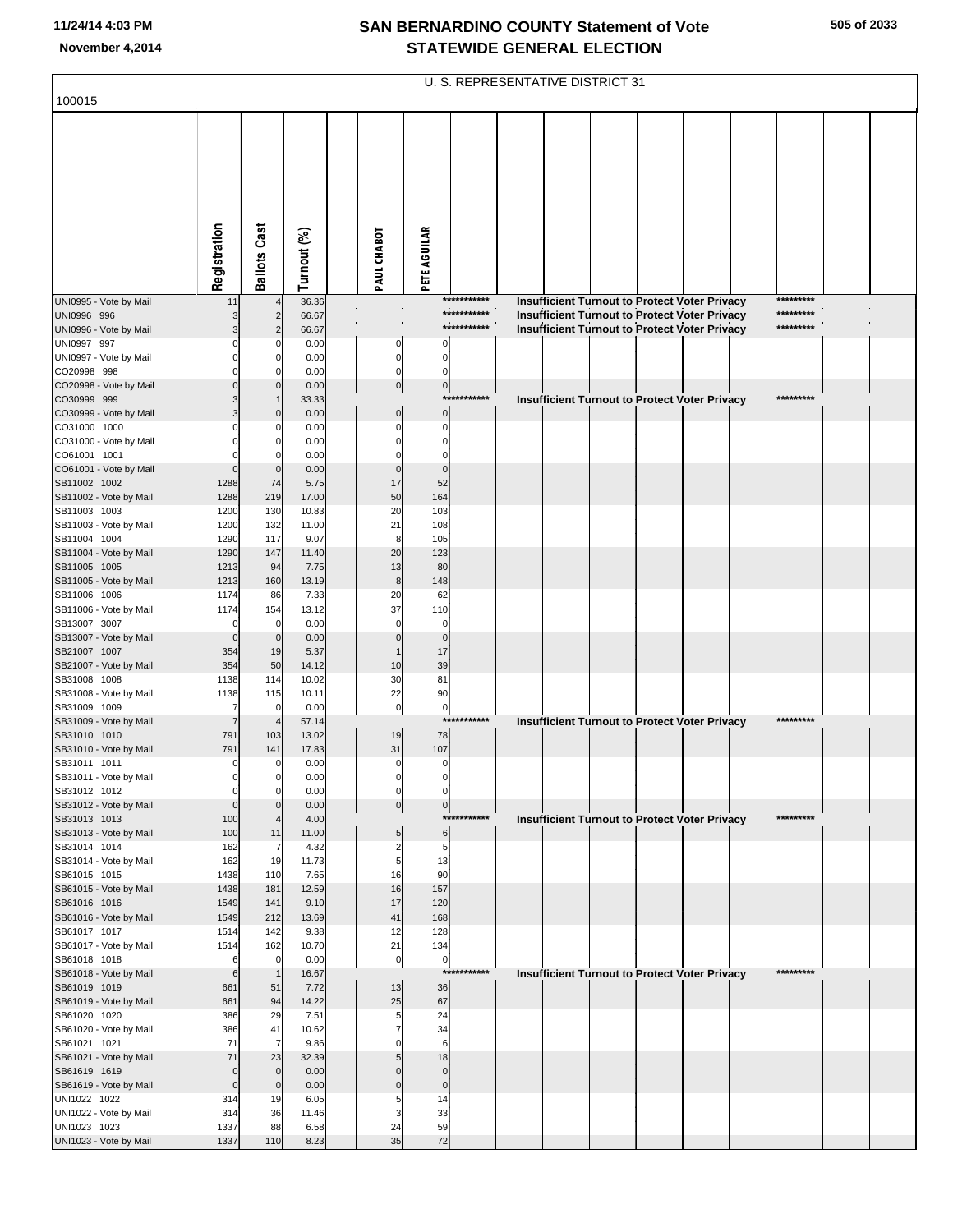|                                        |                     |                                  |                |                      |                                                      | U. S. REPRESENTATIVE DISTRICT 31 |  |  |                                                                                                       |                        |  |
|----------------------------------------|---------------------|----------------------------------|----------------|----------------------|------------------------------------------------------|----------------------------------|--|--|-------------------------------------------------------------------------------------------------------|------------------------|--|
| 100015                                 |                     |                                  |                |                      |                                                      |                                  |  |  |                                                                                                       |                        |  |
|                                        | Registration        | <b>Ballots Cast</b>              | Turnout (%)    | PAUL CHABOT          | PETE AGUILAR                                         |                                  |  |  |                                                                                                       |                        |  |
|                                        |                     |                                  |                |                      |                                                      |                                  |  |  |                                                                                                       |                        |  |
|                                        |                     |                                  |                |                      |                                                      |                                  |  |  |                                                                                                       |                        |  |
| UNI0995 - Vote by Mail                 | 11                  | $\overline{4}$                   | 36.36          |                      |                                                      | ***********<br>***********       |  |  | Insufficient Turnout to Protect Voter Privacy                                                         | *********<br>********* |  |
| UNI0996 996<br>UNI0996 - Vote by Mail  |                     | $\overline{2}$<br>$\overline{2}$ | 66.67<br>66.67 |                      |                                                      | ***********                      |  |  | Insufficient Turnout to Protect Voter Privacy<br><b>Insufficient Turnout to Protect Voter Privacy</b> | *********              |  |
| UNI0997 997                            |                     | C                                | 0.00           |                      | 0<br>O                                               |                                  |  |  |                                                                                                       |                        |  |
| UNI0997 - Vote by Mail                 |                     | $\Omega$                         | 0.00           |                      | $\mathbf 0$<br>0                                     |                                  |  |  |                                                                                                       |                        |  |
| CO20998 998<br>CO20998 - Vote by Mail  |                     | C<br>$\Omega$                    | 0.00<br>0.00   |                      | $\mathbf 0$<br>$\Omega$                              |                                  |  |  |                                                                                                       |                        |  |
| CO30999 999                            |                     |                                  | 33.33          |                      | $\overline{0}$<br>$\overline{0}$                     | ***********                      |  |  | Insufficient Turnout to Protect Voter Privacy                                                         | *********              |  |
| CO30999 - Vote by Mail                 |                     | $\Omega$                         | 0.00           |                      | $\overline{0}$<br>$\mathbf 0$                        |                                  |  |  |                                                                                                       |                        |  |
| CO31000 1000                           |                     | C                                | 0.00           | O                    | $\Omega$                                             |                                  |  |  |                                                                                                       |                        |  |
| CO31000 - Vote by Mail                 |                     | 0                                | 0.00           |                      | $\Omega$                                             |                                  |  |  |                                                                                                       |                        |  |
| CO61001 1001<br>CO61001 - Vote by Mail | O                   | $\mathbf 0$                      | 0.00<br>0.00   |                      | $\mathbf{0}$<br>$\Omega$                             |                                  |  |  |                                                                                                       |                        |  |
| SB11002 1002                           | 1288                | 74                               | 5.75           | 17                   | 52                                                   |                                  |  |  |                                                                                                       |                        |  |
| SB11002 - Vote by Mail                 | 1288                | 219                              | 17.00          | 50                   | 164                                                  |                                  |  |  |                                                                                                       |                        |  |
| SB11003 1003                           | 1200                | 130                              | 10.83          | 20                   | 103                                                  |                                  |  |  |                                                                                                       |                        |  |
| SB11003 - Vote by Mail                 | 1200                | 132                              | 11.00          | 21                   | 108                                                  |                                  |  |  |                                                                                                       |                        |  |
| SB11004 1004<br>SB11004 - Vote by Mail | 1290<br>1290        | 117<br>147                       | 9.07<br>11.40  | 8<br>20              | 105<br>123                                           |                                  |  |  |                                                                                                       |                        |  |
| SB11005 1005                           | 1213                | 94                               | 7.75           | 13                   | 80                                                   |                                  |  |  |                                                                                                       |                        |  |
| SB11005 - Vote by Mail                 | 1213                | 160                              | 13.19          |                      | 148<br>8                                             |                                  |  |  |                                                                                                       |                        |  |
| SB11006 1006                           | 1174                | 86                               | 7.33           | 20                   | 62                                                   |                                  |  |  |                                                                                                       |                        |  |
| SB11006 - Vote by Mail                 | 1174                | 154                              | 13.12          | 37                   | 110                                                  |                                  |  |  |                                                                                                       |                        |  |
| SB13007 3007<br>SB13007 - Vote by Mail | $\Omega$            | $\mathbf 0$<br>$\mathbf 0$       | 0.00<br>0.00   | $\Omega$<br>$\Omega$ | $\mathbf 0$<br>$\Omega$                              |                                  |  |  |                                                                                                       |                        |  |
| SB21007 1007                           | 354                 | 19                               | 5.37           |                      | 17                                                   |                                  |  |  |                                                                                                       |                        |  |
| SB21007 - Vote by Mail                 | 354                 | 50                               | 14.12          | 10                   | 39                                                   |                                  |  |  |                                                                                                       |                        |  |
| SB31008 1008                           | 1138                | 114                              | 10.02          | 30                   | 81                                                   |                                  |  |  |                                                                                                       |                        |  |
| SB31008 - Vote by Mail                 | 1138                | 115                              | 10.11          | 22                   | 90                                                   |                                  |  |  |                                                                                                       |                        |  |
| SB31009 1009<br>SB31009 - Vote by Mail | 7<br>$\overline{7}$ | $\mathbf 0$                      | 0.00<br>57.14  |                      | $\pmb{0}$<br>$\overline{0}$                          | ***********                      |  |  | Insufficient Turnout to Protect Voter Privacy                                                         | *********              |  |
| SB31010 1010                           | 791                 | 103                              | 13.02          | 19                   | 78                                                   |                                  |  |  |                                                                                                       |                        |  |
| SB31010 - Vote by Mail                 | 791                 | 141                              | 17.83          | 31                   | 107                                                  |                                  |  |  |                                                                                                       |                        |  |
| SB31011 1011                           | 0                   | 0                                | 0.00           |                      | 0<br>0                                               |                                  |  |  |                                                                                                       |                        |  |
| SB31011 - Vote by Mail                 |                     | 0                                | 0.00           |                      | 0<br>$\Omega$                                        |                                  |  |  |                                                                                                       |                        |  |
| SB31012 1012<br>SB31012 - Vote by Mail | 0<br>$\Omega$       | 0<br>$\Omega$                    | 0.00<br>0.00   |                      | $\mathbf 0$<br>0<br>$\overline{0}$<br>$\overline{0}$ |                                  |  |  |                                                                                                       |                        |  |
| SB31013 1013                           | 100                 |                                  | 4.00           |                      |                                                      | ***********                      |  |  | <b>Insufficient Turnout to Protect Voter Privacy</b>                                                  | *********              |  |
| SB31013 - Vote by Mail                 | 100                 | 11                               | 11.00          |                      | 6<br>5                                               |                                  |  |  |                                                                                                       |                        |  |
| SB31014 1014                           | 162                 | 7                                | 4.32           |                      | 2<br>5                                               |                                  |  |  |                                                                                                       |                        |  |
| SB31014 - Vote by Mail                 | 162                 | 19                               | 11.73          |                      | 13<br>5                                              |                                  |  |  |                                                                                                       |                        |  |
| SB61015 1015<br>SB61015 - Vote by Mail | 1438<br>1438        | 110<br>181                       | 7.65<br>12.59  | 16<br>16             | 90<br>157                                            |                                  |  |  |                                                                                                       |                        |  |
| SB61016 1016                           | 1549                | 141                              | 9.10           | 17                   | 120                                                  |                                  |  |  |                                                                                                       |                        |  |
| SB61016 - Vote by Mail                 | 1549                | 212                              | 13.69          | 41                   | 168                                                  |                                  |  |  |                                                                                                       |                        |  |
| SB61017 1017                           | 1514                | 142                              | 9.38           | 12                   | 128                                                  |                                  |  |  |                                                                                                       |                        |  |
| SB61017 - Vote by Mail<br>SB61018 1018 | 1514<br>6           | 162<br>$\mathbf 0$               | 10.70<br>0.00  | 21                   | 134<br>$\overline{0}$<br>$\overline{0}$              |                                  |  |  |                                                                                                       |                        |  |
| SB61018 - Vote by Mail                 | 6                   | $\mathbf{1}$                     | 16.67          |                      |                                                      | ***********                      |  |  | <b>Insufficient Turnout to Protect Voter Privacy</b>                                                  | *********              |  |
| SB61019 1019                           | 661                 | 51                               | 7.72           | 13                   | 36                                                   |                                  |  |  |                                                                                                       |                        |  |
| SB61019 - Vote by Mail                 | 661                 | 94                               | 14.22          | 25                   | 67                                                   |                                  |  |  |                                                                                                       |                        |  |
| SB61020 1020                           | 386                 | 29                               | 7.51           |                      | 24<br>5                                              |                                  |  |  |                                                                                                       |                        |  |
| SB61020 - Vote by Mail<br>SB61021 1021 | 386<br>71           | 41<br>$\overline{7}$             | 10.62<br>9.86  | 7                    | 34<br>6                                              |                                  |  |  |                                                                                                       |                        |  |
| SB61021 - Vote by Mail                 | 71                  | 23                               | 32.39          |                      | 18<br>5                                              |                                  |  |  |                                                                                                       |                        |  |
| SB61619 1619                           | $\Omega$            | $\mathbf 0$                      | 0.00           |                      | $\Omega$<br>$\mathbf 0$                              |                                  |  |  |                                                                                                       |                        |  |
| SB61619 - Vote by Mail                 | $\Omega$            | $\mathbf 0$                      | 0.00           |                      | $\pmb{0}$<br>$\mathbf{0}$                            |                                  |  |  |                                                                                                       |                        |  |
| UNI1022 1022                           | 314                 | 19                               | 6.05           |                      | 14<br>5                                              |                                  |  |  |                                                                                                       |                        |  |
| UNI1022 - Vote by Mail<br>UNI1023 1023 | 314<br>1337         | 36<br>88                         | 11.46<br>6.58  | 24                   | 33<br>3<br>59                                        |                                  |  |  |                                                                                                       |                        |  |
| UNI1023 - Vote by Mail                 | 1337                | 110                              | 8.23           | 35                   | 72                                                   |                                  |  |  |                                                                                                       |                        |  |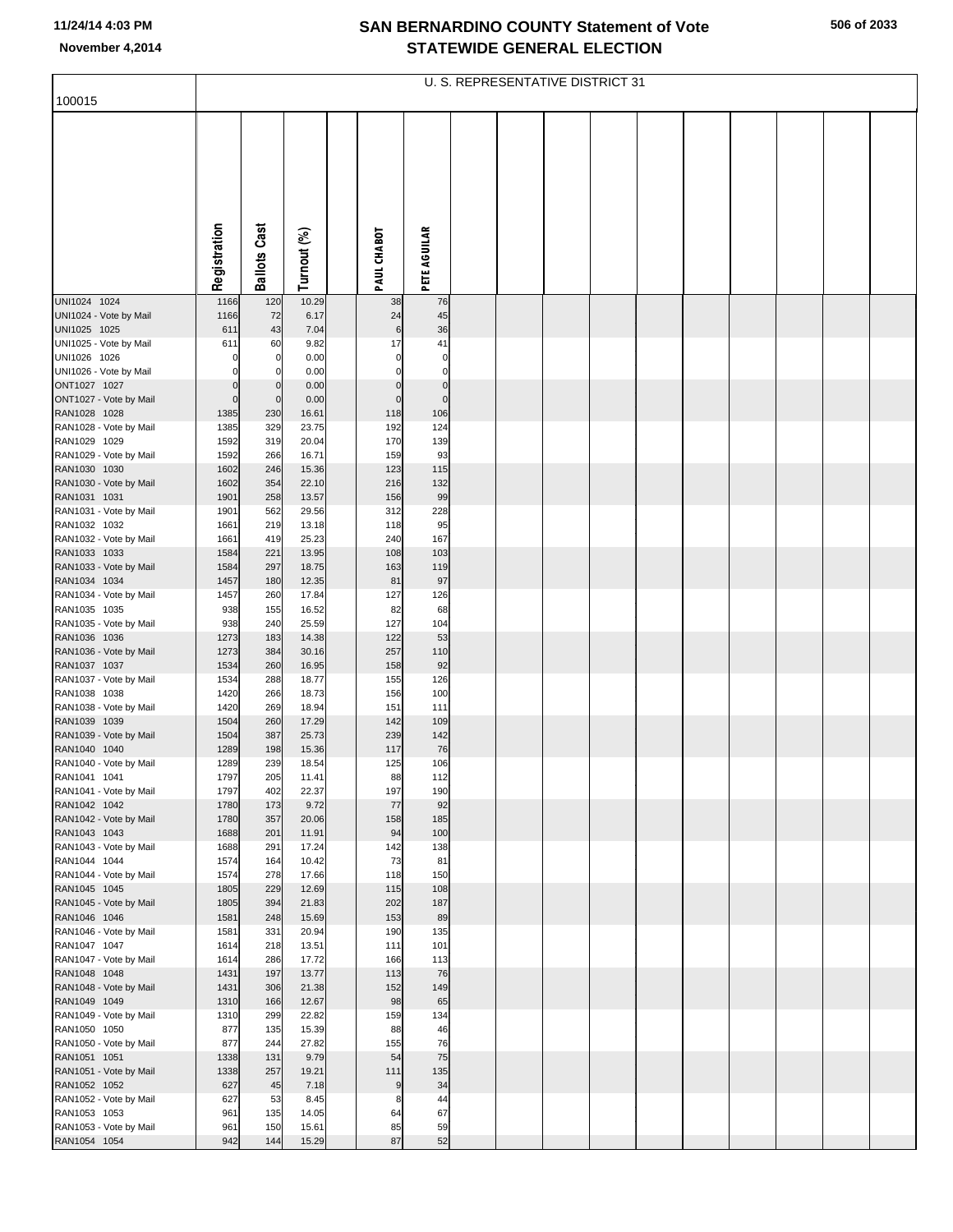|  | 506 of 2033 |
|--|-------------|
|--|-------------|

| 100015                                 |              |                     |                |                |                     | U. S. REPRESENTATIVE DISTRICT 31 |  |  |  |  |
|----------------------------------------|--------------|---------------------|----------------|----------------|---------------------|----------------------------------|--|--|--|--|
|                                        |              |                     |                |                |                     |                                  |  |  |  |  |
|                                        |              |                     |                |                |                     |                                  |  |  |  |  |
|                                        | Registration | <b>Ballots Cast</b> | Turnout (%)    | PAUL CHABOT    | <b>PETE AGUILAR</b> |                                  |  |  |  |  |
| UNI1024 1024                           | 1166         | 120                 | 10.29          | 38             | 76                  |                                  |  |  |  |  |
| UNI1024 - Vote by Mail                 | 1166         | 72                  | 6.17           | 24             | 45                  |                                  |  |  |  |  |
| UNI1025 1025                           | 611          | 43                  | 7.04           | 6              | 36                  |                                  |  |  |  |  |
| UNI1025 - Vote by Mail<br>UNI1026 1026 | 611          | 60<br>$\mathbf 0$   | 9.82<br>0.00   | 17<br>$\Omega$ | 41<br>0             |                                  |  |  |  |  |
| UNI1026 - Vote by Mail                 |              | $\mathbf 0$         | 0.00           | $\Omega$       | $\Omega$            |                                  |  |  |  |  |
| ONT1027 1027                           |              | $\mathbf 0$         | 0.00           | $\pmb{0}$      | $\mathbf 0$         |                                  |  |  |  |  |
| ONT1027 - Vote by Mail                 |              | $\mathbf 0$         | 0.00           | $\mathbf 0$    | $\mathbf 0$         |                                  |  |  |  |  |
| RAN1028 1028                           | 1385         | 230                 | 16.61          | 118            | 106                 |                                  |  |  |  |  |
| RAN1028 - Vote by Mail<br>RAN1029 1029 | 1385<br>1592 | 329<br>319          | 23.75<br>20.04 | 192<br>170     | 124<br>139          |                                  |  |  |  |  |
| RAN1029 - Vote by Mail                 | 1592         | 266                 | 16.71          | 159            | 93                  |                                  |  |  |  |  |
| RAN1030 1030                           | 1602         | 246                 | 15.36          | 123            | 115                 |                                  |  |  |  |  |
| RAN1030 - Vote by Mail                 | 1602         | 354                 | 22.10          | 216            | 132                 |                                  |  |  |  |  |
| RAN1031 1031                           | 1901         | 258                 | 13.57          | 156            | 99                  |                                  |  |  |  |  |
| RAN1031 - Vote by Mail<br>RAN1032 1032 | 1901<br>1661 | 562<br>219          | 29.56<br>13.18 | 312<br>118     | 228<br>95           |                                  |  |  |  |  |
| RAN1032 - Vote by Mail                 | 1661         | 419                 | 25.23          | 240            | 167                 |                                  |  |  |  |  |
| RAN1033 1033                           | 1584         | 221                 | 13.95          | 108            | 103                 |                                  |  |  |  |  |
| RAN1033 - Vote by Mail                 | 1584         | 297                 | 18.75          | 163            | 119                 |                                  |  |  |  |  |
| RAN1034 1034                           | 1457         | 180                 | 12.35          | 81             | 97                  |                                  |  |  |  |  |
| RAN1034 - Vote by Mail<br>RAN1035 1035 | 1457<br>938  | 260<br>155          | 17.84<br>16.52 | 127<br>82      | 126<br>68           |                                  |  |  |  |  |
| RAN1035 - Vote by Mail                 | 938          | 240                 | 25.59          | 127            | 104                 |                                  |  |  |  |  |
| RAN1036 1036                           | 1273         | 183                 | 14.38          | 122            | 53                  |                                  |  |  |  |  |
| RAN1036 - Vote by Mail                 | 1273         | 384                 | 30.16          | 257            | 110                 |                                  |  |  |  |  |
| RAN1037 1037<br>RAN1037 - Vote by Mail | 1534<br>1534 | 260<br>288          | 16.95<br>18.77 | 158<br>155     | 92<br>126           |                                  |  |  |  |  |
| RAN1038 1038                           | 1420         | 266                 | 18.73          | 156            | 100                 |                                  |  |  |  |  |
| RAN1038 - Vote by Mail                 | 1420         | 269                 | 18.94          | 151            | 111                 |                                  |  |  |  |  |
| RAN1039 1039                           | 1504         | 260                 | 17.29          | 142            | 109                 |                                  |  |  |  |  |
| RAN1039 - Vote by Mail<br>RAN1040 1040 | 1504<br>1289 | 387<br>198          | 25.73<br>15.36 | 239<br>117     | 142<br>76           |                                  |  |  |  |  |
| RAN1040 - Vote by Mail                 | 1289         | 239                 | 18.54          | 125            | 106                 |                                  |  |  |  |  |
| RAN1041 1041                           | 1797         | 205                 | 11.41          | 88             | 112                 |                                  |  |  |  |  |
| RAN1041 - Vote by Mail                 | 1797         | 402                 | 22.37          | 197            | 190                 |                                  |  |  |  |  |
| RAN1042 1042                           | 1780         | 173                 | 9.72           | 77             | 92                  |                                  |  |  |  |  |
| RAN1042 - Vote by Mail<br>RAN1043 1043 | 1780<br>1688 | 357<br>201          | 20.06<br>11.91 | 158<br>94      | 185<br>100          |                                  |  |  |  |  |
| RAN1043 - Vote by Mail                 | 1688         | 291                 | 17.24          | 142            | 138                 |                                  |  |  |  |  |
| RAN1044 1044                           | 1574         | 164                 | 10.42          | 73             | 81                  |                                  |  |  |  |  |
| RAN1044 - Vote by Mail                 | 1574         | 278<br>229          | 17.66          | 118            | 150                 |                                  |  |  |  |  |
| RAN1045 1045<br>RAN1045 - Vote by Mail | 1805<br>1805 | 394                 | 12.69<br>21.83 | 115<br>202     | 108<br>187          |                                  |  |  |  |  |
| RAN1046 1046                           | 1581         | 248                 | 15.69          | 153            | 89                  |                                  |  |  |  |  |
| RAN1046 - Vote by Mail                 | 1581         | 331                 | 20.94          | 190            | 135                 |                                  |  |  |  |  |
| RAN1047 1047                           | 1614         | 218                 | 13.51          | 111            | 101                 |                                  |  |  |  |  |
| RAN1047 - Vote by Mail<br>RAN1048 1048 | 1614<br>1431 | 286<br>197          | 17.72<br>13.77 | 166<br>113     | 113<br>76           |                                  |  |  |  |  |
| RAN1048 - Vote by Mail                 | 1431         | 306                 | 21.38          | 152            | 149                 |                                  |  |  |  |  |
| RAN1049 1049                           | 1310         | 166                 | 12.67          | 98             | 65                  |                                  |  |  |  |  |
| RAN1049 - Vote by Mail                 | 1310         | 299                 | 22.82          | 159            | 134                 |                                  |  |  |  |  |
| RAN1050 1050                           | 877          | 135                 | 15.39          | 88             | 46                  |                                  |  |  |  |  |
| RAN1050 - Vote by Mail<br>RAN1051 1051 | 877<br>1338  | 244<br>131          | 27.82<br>9.79  | 155<br>54      | 76<br>75            |                                  |  |  |  |  |
| RAN1051 - Vote by Mail                 | 1338         | 257                 | 19.21          | 111            | 135                 |                                  |  |  |  |  |
| RAN1052 1052                           | 627          | 45                  | 7.18           | 9              | 34                  |                                  |  |  |  |  |
| RAN1052 - Vote by Mail                 | 627          | 53                  | 8.45           | 8              | 44                  |                                  |  |  |  |  |
| RAN1053 1053                           | 961          | 135                 | 14.05          | 64             | 67                  |                                  |  |  |  |  |
| RAN1053 - Vote by Mail<br>RAN1054 1054 | 961<br>942   | 150<br>144          | 15.61<br>15.29 | 85<br>87       | 59<br>52            |                                  |  |  |  |  |
|                                        |              |                     |                |                |                     |                                  |  |  |  |  |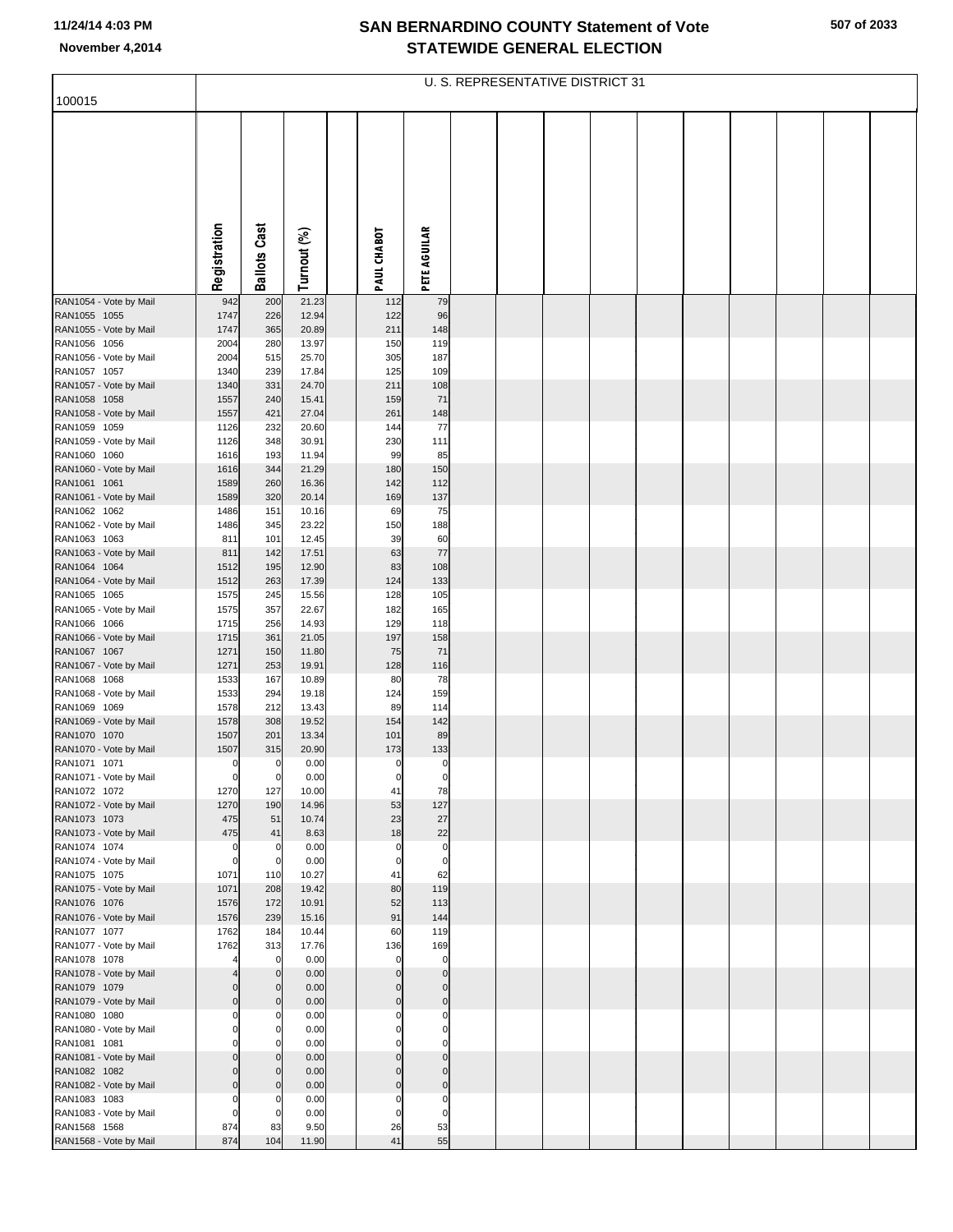**507 of 2033**

|                                        |                      |                            |                |                         |                            | U. S. REPRESENTATIVE DISTRICT 31 |  |  |  |  |
|----------------------------------------|----------------------|----------------------------|----------------|-------------------------|----------------------------|----------------------------------|--|--|--|--|
| 100015                                 |                      |                            |                |                         |                            |                                  |  |  |  |  |
|                                        |                      |                            |                |                         |                            |                                  |  |  |  |  |
|                                        | Registration         | <b>Ballots Cast</b>        | Turnout (%)    | PAUL CHABOT             | <b>PETE AGUILAR</b>        |                                  |  |  |  |  |
| RAN1054 - Vote by Mail                 | 942                  | 200                        | 21.23          | 112                     | 79                         |                                  |  |  |  |  |
| RAN1055 1055                           | 1747                 | 226                        | 12.94          | 122                     | 96                         |                                  |  |  |  |  |
| RAN1055 - Vote by Mail<br>RAN1056 1056 | 1747<br>2004         | 365<br>280                 | 20.89<br>13.97 | 211<br>150              | 148<br>119                 |                                  |  |  |  |  |
| RAN1056 - Vote by Mail                 | 2004                 | 515                        | 25.70          | 305                     | 187                        |                                  |  |  |  |  |
| RAN1057 1057                           | 1340                 | 239                        | 17.84          | 125                     | 109                        |                                  |  |  |  |  |
| RAN1057 - Vote by Mail<br>RAN1058 1058 | 1340<br>1557         | 331<br>240                 | 24.70<br>15.41 | 211<br>159              | 108<br>71                  |                                  |  |  |  |  |
| RAN1058 - Vote by Mail                 | 1557                 | 421                        | 27.04          | 261                     | 148                        |                                  |  |  |  |  |
| RAN1059 1059                           | 1126                 | 232                        | 20.60          | 144                     | 77                         |                                  |  |  |  |  |
| RAN1059 - Vote by Mail<br>RAN1060 1060 | 1126<br>1616         | 348<br>193                 | 30.91<br>11.94 | 230<br>99               | 111<br>85                  |                                  |  |  |  |  |
| RAN1060 - Vote by Mail                 | 1616                 | 344                        | 21.29          | 180                     | 150                        |                                  |  |  |  |  |
| RAN1061 1061                           | 1589                 | 260                        | 16.36          | 142                     | 112                        |                                  |  |  |  |  |
| RAN1061 - Vote by Mail                 | 1589                 | 320                        | 20.14          | 169                     | 137                        |                                  |  |  |  |  |
| RAN1062 1062<br>RAN1062 - Vote by Mail | 1486<br>1486         | 151<br>345                 | 10.16<br>23.22 | 69<br>150               | 75<br>188                  |                                  |  |  |  |  |
| RAN1063 1063                           | 811                  | 101                        | 12.45          | 39                      | 60                         |                                  |  |  |  |  |
| RAN1063 - Vote by Mail                 | 811                  | 142                        | 17.51          | 63                      | 77                         |                                  |  |  |  |  |
| RAN1064 1064<br>RAN1064 - Vote by Mail | 1512<br>1512         | 195<br>263                 | 12.90<br>17.39 | 83<br>124               | 108<br>133                 |                                  |  |  |  |  |
| RAN1065 1065                           | 1575                 | 245                        | 15.56          | 128                     | 105                        |                                  |  |  |  |  |
| RAN1065 - Vote by Mail                 | 1575                 | 357                        | 22.67          | 182                     | 165                        |                                  |  |  |  |  |
| RAN1066 1066<br>RAN1066 - Vote by Mail | 1715<br>1715         | 256<br>361                 | 14.93<br>21.05 | 129<br>197              | 118<br>158                 |                                  |  |  |  |  |
| RAN1067 1067                           | 1271                 | 150                        | 11.80          | 75                      | 71                         |                                  |  |  |  |  |
| RAN1067 - Vote by Mail                 | 1271                 | 253                        | 19.91          | 128                     | 116                        |                                  |  |  |  |  |
| RAN1068 1068<br>RAN1068 - Vote by Mail | 1533<br>1533         | 167<br>294                 | 10.89<br>19.18 | 80<br>124               | 78<br>159                  |                                  |  |  |  |  |
| RAN1069 1069                           | 1578                 | 212                        | 13.43          | 89                      | 114                        |                                  |  |  |  |  |
| RAN1069 - Vote by Mail                 | 1578                 | 308                        | 19.52          | 154                     | 142                        |                                  |  |  |  |  |
| RAN1070 1070<br>RAN1070 - Vote by Mail | 1507<br>1507         | 201<br>315                 | 13.34<br>20.90 | 101<br>173              | 89<br>133                  |                                  |  |  |  |  |
| RAN1071 1071                           | $\mathbf 0$          | $\overline{0}$             | 0.00           | 0                       | $\pmb{0}$                  |                                  |  |  |  |  |
| RAN1071 - Vote by Mail                 | $\mathbf 0$          | $\mathbf 0$                | 0.00           | $\overline{0}$          | 0                          |                                  |  |  |  |  |
| RAN1072 1072<br>RAN1072 - Vote by Mail | 1270<br>1270         | 127<br>190                 | 10.00<br>14.96 | 41<br>53                | 78<br>127                  |                                  |  |  |  |  |
| RAN1073 1073                           | 475                  | 51                         | 10.74          | 23                      | 27                         |                                  |  |  |  |  |
| RAN1073 - Vote by Mail                 | 475                  | 41                         | 8.63           | 18                      | 22                         |                                  |  |  |  |  |
| RAN1074 1074                           | 0<br>$\mathbf 0$     | 0<br>0                     | 0.00<br>0.00   | $\Omega$<br>$\mathbf 0$ | $\mathbf 0$<br>$\mathbf 0$ |                                  |  |  |  |  |
| RAN1074 - Vote by Mail<br>RAN1075 1075 | 1071                 | 110                        | 10.27          | 41                      | 62                         |                                  |  |  |  |  |
| RAN1075 - Vote by Mail                 | 1071                 | 208                        | 19.42          | 80                      | 119                        |                                  |  |  |  |  |
| RAN1076 1076                           | 1576<br>1576         | 172<br>239                 | 10.91<br>15.16 | 52<br>91                | 113<br>144                 |                                  |  |  |  |  |
| RAN1076 - Vote by Mail<br>RAN1077 1077 | 1762                 | 184                        | 10.44          | 60                      | 119                        |                                  |  |  |  |  |
| RAN1077 - Vote by Mail                 | 1762                 | 313                        | 17.76          | 136                     | 169                        |                                  |  |  |  |  |
| RAN1078 1078                           |                      | $\mathbf 0$                | 0.00<br>0.00   | $\mathbf 0$<br>$\Omega$ | $\mathbf 0$<br>$\Omega$    |                                  |  |  |  |  |
| RAN1078 - Vote by Mail<br>RAN1079 1079 | $\Omega$             | $\mathbf 0$<br>$\mathbf 0$ | 0.00           | $\Omega$                | $\Omega$                   |                                  |  |  |  |  |
| RAN1079 - Vote by Mail                 | $\overline{0}$       | $\mathbf 0$                | 0.00           | $\mathbf{0}$            | $\overline{0}$             |                                  |  |  |  |  |
| RAN1080 1080                           | $\Omega$             | 0                          | 0.00           | $\Omega$                | $\Omega$                   |                                  |  |  |  |  |
| RAN1080 - Vote by Mail<br>RAN1081 1081 | $\Omega$<br>0        | 0<br>$\Omega$              | 0.00<br>0.00   | $\Omega$<br>0           | $\Omega$<br>$\Omega$       |                                  |  |  |  |  |
| RAN1081 - Vote by Mail                 | $\Omega$             | $\mathbf 0$                | 0.00           | $\Omega$                | $\Omega$                   |                                  |  |  |  |  |
| RAN1082 1082                           | $\Omega$             | $\mathbf 0$                | 0.00           | $\Omega$                | $\Omega$                   |                                  |  |  |  |  |
| RAN1082 - Vote by Mail<br>RAN1083 1083 | $\Omega$<br>$\Omega$ | $\mathbf 0$<br>0           | 0.00<br>0.00   | $\Omega$<br>$\Omega$    | $\Omega$<br>0              |                                  |  |  |  |  |
| RAN1083 - Vote by Mail                 | $\Omega$             | $\mathbf 0$                | 0.00           | $\Omega$                | $\Omega$                   |                                  |  |  |  |  |
| RAN1568 1568                           | 874                  | 83                         | 9.50           | 26                      | 53                         |                                  |  |  |  |  |
| RAN1568 - Vote by Mail                 | 874                  | 104                        | 11.90          | 41                      | 55                         |                                  |  |  |  |  |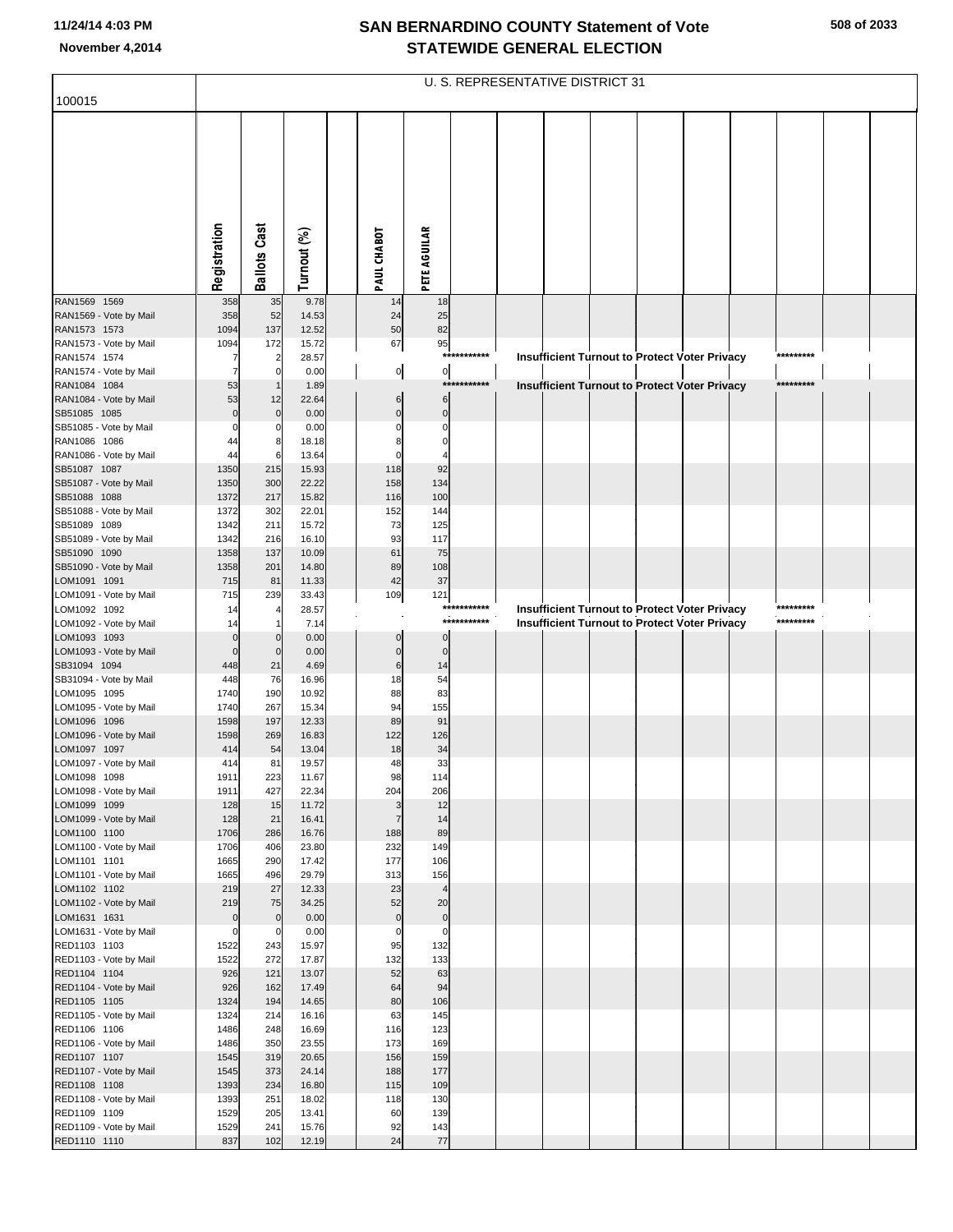|                                        |                     |                     |                |                      |                            |                | U. S. REPRESENTATIVE DISTRICT 31 |  |                                                      |  |           |  |
|----------------------------------------|---------------------|---------------------|----------------|----------------------|----------------------------|----------------|----------------------------------|--|------------------------------------------------------|--|-----------|--|
| 100015                                 |                     |                     |                |                      |                            |                |                                  |  |                                                      |  |           |  |
|                                        |                     |                     |                |                      |                            |                |                                  |  |                                                      |  |           |  |
|                                        |                     |                     |                |                      |                            |                |                                  |  |                                                      |  |           |  |
|                                        |                     |                     |                |                      |                            |                |                                  |  |                                                      |  |           |  |
|                                        |                     |                     |                |                      |                            |                |                                  |  |                                                      |  |           |  |
|                                        |                     |                     |                |                      |                            |                |                                  |  |                                                      |  |           |  |
|                                        |                     |                     |                |                      |                            |                |                                  |  |                                                      |  |           |  |
|                                        |                     |                     |                |                      |                            |                |                                  |  |                                                      |  |           |  |
|                                        | Registration        | <b>Ballots Cast</b> | Turnout (%)    | PAUL CHABOT          | PETE AGUILAR               |                |                                  |  |                                                      |  |           |  |
|                                        |                     |                     |                |                      |                            |                |                                  |  |                                                      |  |           |  |
| RAN1569 1569                           | 358                 | 35                  | 9.78           | 14                   | 18                         |                |                                  |  |                                                      |  |           |  |
| RAN1569 - Vote by Mail<br>RAN1573 1573 | 358<br>1094         | 52<br>137           | 14.53<br>12.52 | 24<br>50             | 25<br>82                   |                |                                  |  |                                                      |  |           |  |
| RAN1573 - Vote by Mail                 | 1094                | 172                 | 15.72          | 67                   | 95                         |                |                                  |  |                                                      |  |           |  |
| RAN1574 1574                           |                     |                     | 28.57          |                      |                            | ***********    |                                  |  | Insufficient Turnout to Protect Voter Privacy        |  | ********* |  |
| RAN1574 - Vote by Mail<br>RAN1084 1084 | 7<br>53             | $\overline{0}$      | 0.00<br>1.89   | $\overline{0}$       | $\overline{0}$             | ***<br>******* |                                  |  | <b>Insufficient Turnout to Protect Voter Privacy</b> |  | ********* |  |
| RAN1084 - Vote by Mail                 | 53                  | 12                  | 22.64          | 6                    | $\,6$                      |                |                                  |  |                                                      |  |           |  |
| SB51085 1085<br>SB51085 - Vote by Mail | $\overline{0}$<br>0 | $\mathbf{0}$<br>0   | 0.00<br>0.00   | $\Omega$<br>$\Omega$ | $\mathbf 0$<br>$\mathbf 0$ |                |                                  |  |                                                      |  |           |  |
| RAN1086 1086                           | 44                  | 8                   | 18.18          |                      | $\epsilon$                 |                |                                  |  |                                                      |  |           |  |
| RAN1086 - Vote by Mail                 | 44                  | 6                   | 13.64          |                      |                            |                |                                  |  |                                                      |  |           |  |
| SB51087 1087<br>SB51087 - Vote by Mail | 1350<br>1350        | 215<br>300          | 15.93<br>22.22 | 118<br>158           | 92<br>134                  |                |                                  |  |                                                      |  |           |  |
| SB51088 1088                           | 1372                | 217                 | 15.82          | 116                  | 100                        |                |                                  |  |                                                      |  |           |  |
| SB51088 - Vote by Mail                 | 1372                | 302                 | 22.01          | 152                  | 144                        |                |                                  |  |                                                      |  |           |  |
| SB51089 1089<br>SB51089 - Vote by Mail | 1342<br>1342        | 211<br>216          | 15.72<br>16.10 | 73<br>93             | 125<br>117                 |                |                                  |  |                                                      |  |           |  |
| SB51090 1090                           | 1358                | 137                 | 10.09          | 61                   | 75                         |                |                                  |  |                                                      |  |           |  |
| SB51090 - Vote by Mail                 | 1358                | 201                 | 14.80          | 89                   | 108                        |                |                                  |  |                                                      |  |           |  |
| LOM1091 1091<br>LOM1091 - Vote by Mail | 715<br>715          | 81<br>239           | 11.33<br>33.43 | 42<br>109            | 37<br>121                  |                |                                  |  |                                                      |  |           |  |
| LOM1092 1092                           | 14                  |                     | 28.57          |                      |                            | ***********    |                                  |  | Insufficient Turnout to Protect Voter Privacy        |  | ********* |  |
| LOM1092 - Vote by Mail<br>LOM1093 1093 | 14<br>$\mathbf 0$   |                     | 7.14<br>0.00   | $\Omega$             |                            | ***********    |                                  |  | Insufficient Turnout to Protect Voter Privacy        |  | ********* |  |
| LOM1093 - Vote by Mail                 | $\mathbf 0$         | $\mathbf{0}$        | 0.00           | $\mathbf 0$          | $\mathbf 0$                |                |                                  |  |                                                      |  |           |  |
| SB31094 1094                           | 448                 | 21                  | 4.69           | 6                    | 14                         |                |                                  |  |                                                      |  |           |  |
| SB31094 - Vote by Mail<br>LOM1095 1095 | 448<br>1740         | 76<br>190           | 16.96<br>10.92 | 18<br>88             | 54<br>83                   |                |                                  |  |                                                      |  |           |  |
| LOM1095 - Vote by Mail                 | 1740                | 267                 | 15.34          | 94                   | 155                        |                |                                  |  |                                                      |  |           |  |
| LOM1096 1096                           | 1598                | 197                 | 12.33          | 89                   | 91                         |                |                                  |  |                                                      |  |           |  |
| LOM1096 - Vote by Mail<br>LOM1097 1097 | 1598<br>414         | 269<br>54           | 16.83<br>13.04 | 122<br>18            | 126<br>34                  |                |                                  |  |                                                      |  |           |  |
| LOM1097 - Vote by Mail                 | 414                 | 81                  | 19.57          | 48                   | 33                         |                |                                  |  |                                                      |  |           |  |
| LOM1098 1098<br>LOM1098 - Vote by Mail | 1911<br>1911        | 223<br>427          | 11.67<br>22.34 | 98<br>204            | 114<br>206                 |                |                                  |  |                                                      |  |           |  |
| LOM1099 1099                           | 128                 | 15                  | 11.72          | 3                    | 12                         |                |                                  |  |                                                      |  |           |  |
| LOM1099 - Vote by Mail                 | 128                 | 21                  | 16.41          | $\overline{7}$       | 14                         |                |                                  |  |                                                      |  |           |  |
| LOM1100 1100<br>LOM1100 - Vote by Mail | 1706<br>1706        | 286<br>406          | 16.76<br>23.80 | 188<br>232           | 89<br>149                  |                |                                  |  |                                                      |  |           |  |
| LOM1101 1101                           | 1665                | 290                 | 17.42          | 177                  | 106                        |                |                                  |  |                                                      |  |           |  |
| LOM1101 - Vote by Mail                 | 1665                | 496                 | 29.79          | 313                  | 156                        |                |                                  |  |                                                      |  |           |  |
| LOM1102 1102<br>LOM1102 - Vote by Mail | 219<br>219          | 27<br>75            | 12.33<br>34.25 | 23<br>52             | $\overline{4}$<br>20       |                |                                  |  |                                                      |  |           |  |
| LOM1631 1631                           | $\mathbf 0$         | $\overline{0}$      | 0.00           | $\mathbf 0$          | $\pmb{0}$                  |                |                                  |  |                                                      |  |           |  |
| LOM1631 - Vote by Mail                 | 0                   | 0                   | 0.00           | $\mathbf 0$<br>95    | $\pmb{0}$                  |                |                                  |  |                                                      |  |           |  |
| RED1103 1103<br>RED1103 - Vote by Mail | 1522<br>1522        | 243<br>272          | 15.97<br>17.87 | 132                  | 132<br>133                 |                |                                  |  |                                                      |  |           |  |
| RED1104 1104                           | 926                 | 121                 | 13.07          | 52                   | 63                         |                |                                  |  |                                                      |  |           |  |
| RED1104 - Vote by Mail<br>RED1105 1105 | 926<br>1324         | 162<br>194          | 17.49<br>14.65 | 64<br>80             | 94<br>106                  |                |                                  |  |                                                      |  |           |  |
| RED1105 - Vote by Mail                 | 1324                | 214                 | 16.16          | 63                   | 145                        |                |                                  |  |                                                      |  |           |  |
| RED1106 1106                           | 1486                | 248                 | 16.69          | 116                  | 123                        |                |                                  |  |                                                      |  |           |  |
| RED1106 - Vote by Mail<br>RED1107 1107 | 1486<br>1545        | 350<br>319          | 23.55<br>20.65 | 173<br>156           | 169<br>159                 |                |                                  |  |                                                      |  |           |  |
| RED1107 - Vote by Mail                 | 1545                | 373                 | 24.14          | 188                  | 177                        |                |                                  |  |                                                      |  |           |  |
| RED1108 1108                           | 1393                | 234                 | 16.80          | 115                  | 109                        |                |                                  |  |                                                      |  |           |  |
| RED1108 - Vote by Mail<br>RED1109 1109 | 1393<br>1529        | 251<br>205          | 18.02<br>13.41 | 118<br>60            | 130<br>139                 |                |                                  |  |                                                      |  |           |  |
| RED1109 - Vote by Mail                 | 1529                | 241                 | 15.76          | 92                   | 143                        |                |                                  |  |                                                      |  |           |  |
| RED1110 1110                           | 837                 | 102                 | 12.19          | 24                   | 77                         |                |                                  |  |                                                      |  |           |  |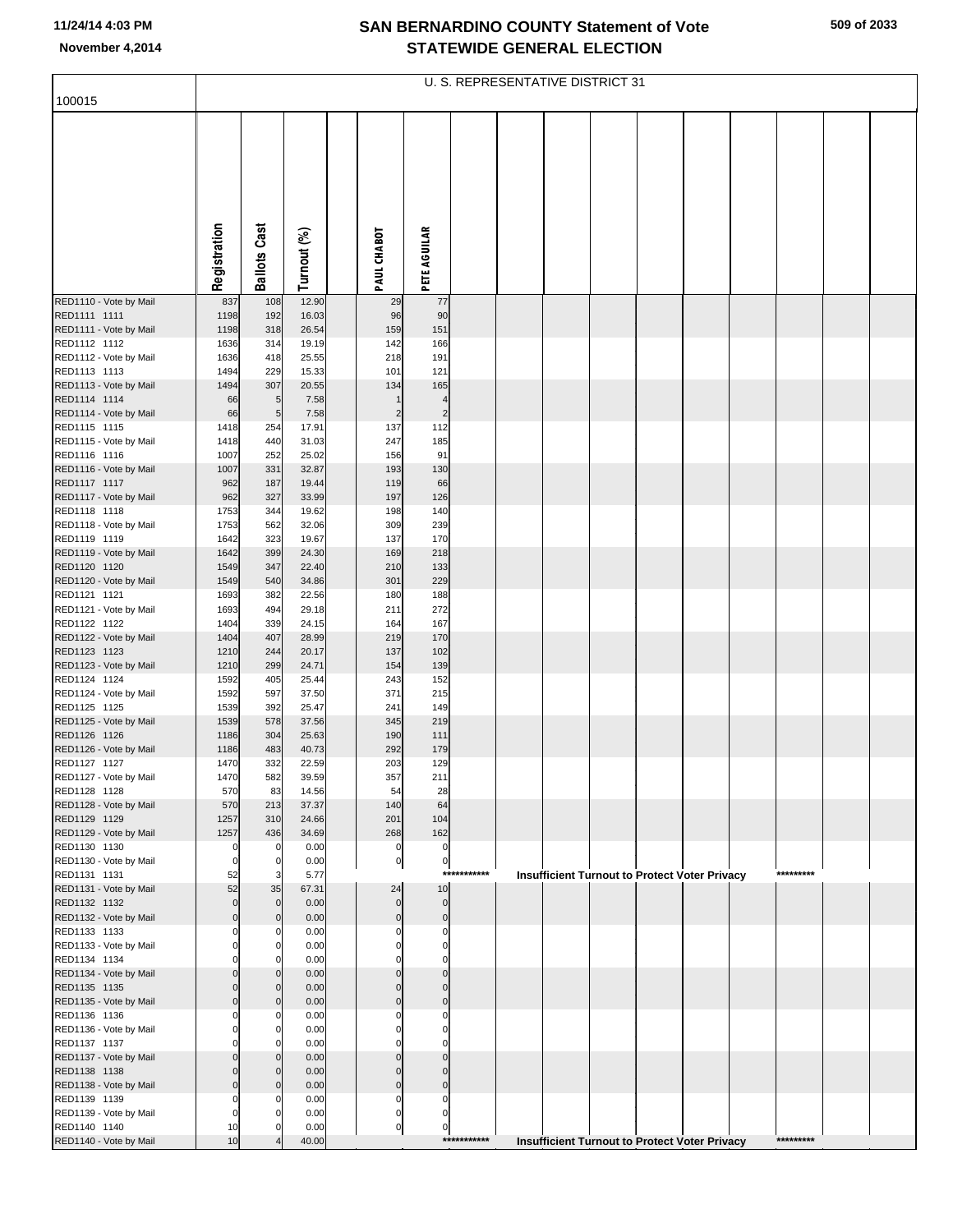| 509 of 2033 |  |
|-------------|--|
|-------------|--|

| 100015                                 |              |                                |                |                                  |                            |             | U. S. REPRESENTATIVE DISTRICT 31 |  |                                                      |           |  |
|----------------------------------------|--------------|--------------------------------|----------------|----------------------------------|----------------------------|-------------|----------------------------------|--|------------------------------------------------------|-----------|--|
|                                        |              |                                |                |                                  |                            |             |                                  |  |                                                      |           |  |
|                                        |              |                                |                |                                  |                            |             |                                  |  |                                                      |           |  |
|                                        |              |                                |                |                                  |                            |             |                                  |  |                                                      |           |  |
|                                        |              |                                |                |                                  |                            |             |                                  |  |                                                      |           |  |
|                                        |              |                                |                |                                  |                            |             |                                  |  |                                                      |           |  |
|                                        |              |                                |                |                                  |                            |             |                                  |  |                                                      |           |  |
|                                        | Registration | <b>Ballots Cast</b>            | Turnout (%)    | PAUL CHABOT                      | <b>PETE AGUILAR</b>        |             |                                  |  |                                                      |           |  |
| RED1110 - Vote by Mail                 | 837          | 108                            | 12.90          | 29                               | 77                         |             |                                  |  |                                                      |           |  |
| RED1111 1111                           | 1198         | 192                            | 16.03          | 96                               | 90                         |             |                                  |  |                                                      |           |  |
| RED1111 - Vote by Mail<br>RED1112 1112 | 1198<br>1636 | 318<br>314                     | 26.54<br>19.19 | 159<br>142                       | 151<br>166                 |             |                                  |  |                                                      |           |  |
| RED1112 - Vote by Mail                 | 1636         | 418                            | 25.55          | 218                              | 191                        |             |                                  |  |                                                      |           |  |
| RED1113 1113                           | 1494         | 229                            | 15.33          | 101                              | 121                        |             |                                  |  |                                                      |           |  |
| RED1113 - Vote by Mail<br>RED1114 1114 | 1494<br>66   | 307<br>$\overline{5}$          | 20.55<br>7.58  | 134                              | 165                        |             |                                  |  |                                                      |           |  |
| RED1114 - Vote by Mail                 | 66           | $5\phantom{.0}$                | 7.58           | $\overline{2}$                   | 2                          |             |                                  |  |                                                      |           |  |
| RED1115 1115                           | 1418<br>1418 | 254<br>440                     | 17.91<br>31.03 | 137<br>247                       | 112                        |             |                                  |  |                                                      |           |  |
| RED1115 - Vote by Mail<br>RED1116 1116 | 1007         | 252                            | 25.02          | 156                              | 185<br>91                  |             |                                  |  |                                                      |           |  |
| RED1116 - Vote by Mail                 | 1007         | 331                            | 32.87          | 193                              | 130                        |             |                                  |  |                                                      |           |  |
| RED1117 1117<br>RED1117 - Vote by Mail | 962<br>962   | 187<br>327                     | 19.44<br>33.99 | 119<br>197                       | 66<br>126                  |             |                                  |  |                                                      |           |  |
| RED1118 1118                           | 1753         | 344                            | 19.62          | 198                              | 140                        |             |                                  |  |                                                      |           |  |
| RED1118 - Vote by Mail                 | 1753         | 562                            | 32.06          | 309                              | 239                        |             |                                  |  |                                                      |           |  |
| RED1119 1119<br>RED1119 - Vote by Mail | 1642<br>1642 | 323<br>399                     | 19.67<br>24.30 | 137<br>169                       | 170<br>218                 |             |                                  |  |                                                      |           |  |
| RED1120 1120                           | 1549         | 347                            | 22.40          | 210                              | 133                        |             |                                  |  |                                                      |           |  |
| RED1120 - Vote by Mail                 | 1549         | 540                            | 34.86          | 301                              | 229                        |             |                                  |  |                                                      |           |  |
| RED1121 1121<br>RED1121 - Vote by Mail | 1693<br>1693 | 382<br>494                     | 22.56<br>29.18 | 180<br>211                       | 188<br>272                 |             |                                  |  |                                                      |           |  |
| RED1122 1122                           | 1404         | 339                            | 24.15          | 164                              | 167                        |             |                                  |  |                                                      |           |  |
| RED1122 - Vote by Mail                 | 1404         | 407                            | 28.99          | 219                              | 170                        |             |                                  |  |                                                      |           |  |
| RED1123 1123<br>RED1123 - Vote by Mail | 1210<br>1210 | 244<br>299                     | 20.17<br>24.71 | 137<br>154                       | 102<br>139                 |             |                                  |  |                                                      |           |  |
| RED1124 1124                           | 1592         | 405                            | 25.44          | 243                              | 152                        |             |                                  |  |                                                      |           |  |
| RED1124 - Vote by Mail<br>RED1125 1125 | 1592<br>1539 | 597<br>392                     | 37.50<br>25.47 | 371<br>241                       | 215<br>149                 |             |                                  |  |                                                      |           |  |
| RED1125 - Vote by Mail                 | 1539         | 578                            | 37.56          | 345                              | 219                        |             |                                  |  |                                                      |           |  |
| RED1126 1126                           | 1186         | 304                            | 25.63          | 190                              | 111                        |             |                                  |  |                                                      |           |  |
| RED1126 - Vote by Mail<br>RED1127 1127 | 1186<br>1470 | 483<br>332                     | 40.73<br>22.59 | 292<br>203                       | 179<br>129                 |             |                                  |  |                                                      |           |  |
| RED1127 - Vote by Mail                 | 1470         | 582                            | 39.59          | 357                              | 211                        |             |                                  |  |                                                      |           |  |
| RED1128 1128<br>RED1128 - Vote by Mail | 570<br>570   | 83<br>213                      | 14.56<br>37.37 | 54<br>140                        | 28<br>64                   |             |                                  |  |                                                      |           |  |
| RED1129 1129                           | 1257         | 310                            | 24.66          | 201                              | 104                        |             |                                  |  |                                                      |           |  |
| RED1129 - Vote by Mail                 | 1257         | 436                            | 34.69          | 268                              | 162                        |             |                                  |  |                                                      |           |  |
| RED1130 1130<br>RED1130 - Vote by Mail |              | 0<br>0                         | 0.00<br>0.00   | 0<br>$\overline{0}$              | 0<br>0                     |             |                                  |  |                                                      |           |  |
| RED1131 1131                           | 52           | 3                              | 5.77           |                                  |                            | *********** |                                  |  | <b>Insufficient Turnout to Protect Voter Privacy</b> | ********* |  |
| RED1131 - Vote by Mail                 | 52           | 35                             | 67.31          | 24                               | 10                         |             |                                  |  |                                                      |           |  |
| RED1132 1132<br>RED1132 - Vote by Mail |              | $\mathbf{0}$<br>$\overline{0}$ | 0.00<br>0.00   | $\overline{0}$<br>$\overline{0}$ | $\mathbf 0$<br>$\mathbf 0$ |             |                                  |  |                                                      |           |  |
| RED1133 1133                           |              | 0                              | 0.00           | 0                                | n                          |             |                                  |  |                                                      |           |  |
| RED1133 - Vote by Mail<br>RED1134 1134 |              | $\mathbf 0$<br>$\Omega$        | 0.00<br>0.00   |                                  |                            |             |                                  |  |                                                      |           |  |
| RED1134 - Vote by Mail                 |              | $\mathbf 0$                    | 0.00           | $\Omega$                         |                            |             |                                  |  |                                                      |           |  |
| RED1135 1135                           |              | 0                              | 0.00           | $\Omega$                         |                            |             |                                  |  |                                                      |           |  |
| RED1135 - Vote by Mail<br>RED1136 1136 |              | $\mathbf 0$<br>0               | 0.00<br>0.00   | $\mathbf 0$                      | U                          |             |                                  |  |                                                      |           |  |
| RED1136 - Vote by Mail                 |              | $\mathbf 0$                    | 0.00           |                                  |                            |             |                                  |  |                                                      |           |  |
| RED1137 1137                           |              | $\Omega$                       | 0.00           |                                  |                            |             |                                  |  |                                                      |           |  |
| RED1137 - Vote by Mail<br>RED1138 1138 |              | $\mathbf 0$<br>0               | 0.00<br>0.00   | $\Omega$<br>$\mathbf 0$          |                            |             |                                  |  |                                                      |           |  |
| RED1138 - Vote by Mail                 |              | $\mathbf 0$                    | 0.00           | $\overline{0}$                   | U                          |             |                                  |  |                                                      |           |  |
| RED1139 1139<br>RED1139 - Vote by Mail |              | 0<br>0                         | 0.00<br>0.00   | 0<br>0                           | n<br>ŋ                     |             |                                  |  |                                                      |           |  |
| RED1140 1140                           | 10           | 0                              | 0.00           | $\circ$                          | 0                          |             |                                  |  |                                                      |           |  |
| RED1140 - Vote by Mail                 | 10           |                                | 40.00          |                                  |                            | *********** |                                  |  | Insufficient Turnout to Protect Voter Privacy        | ********* |  |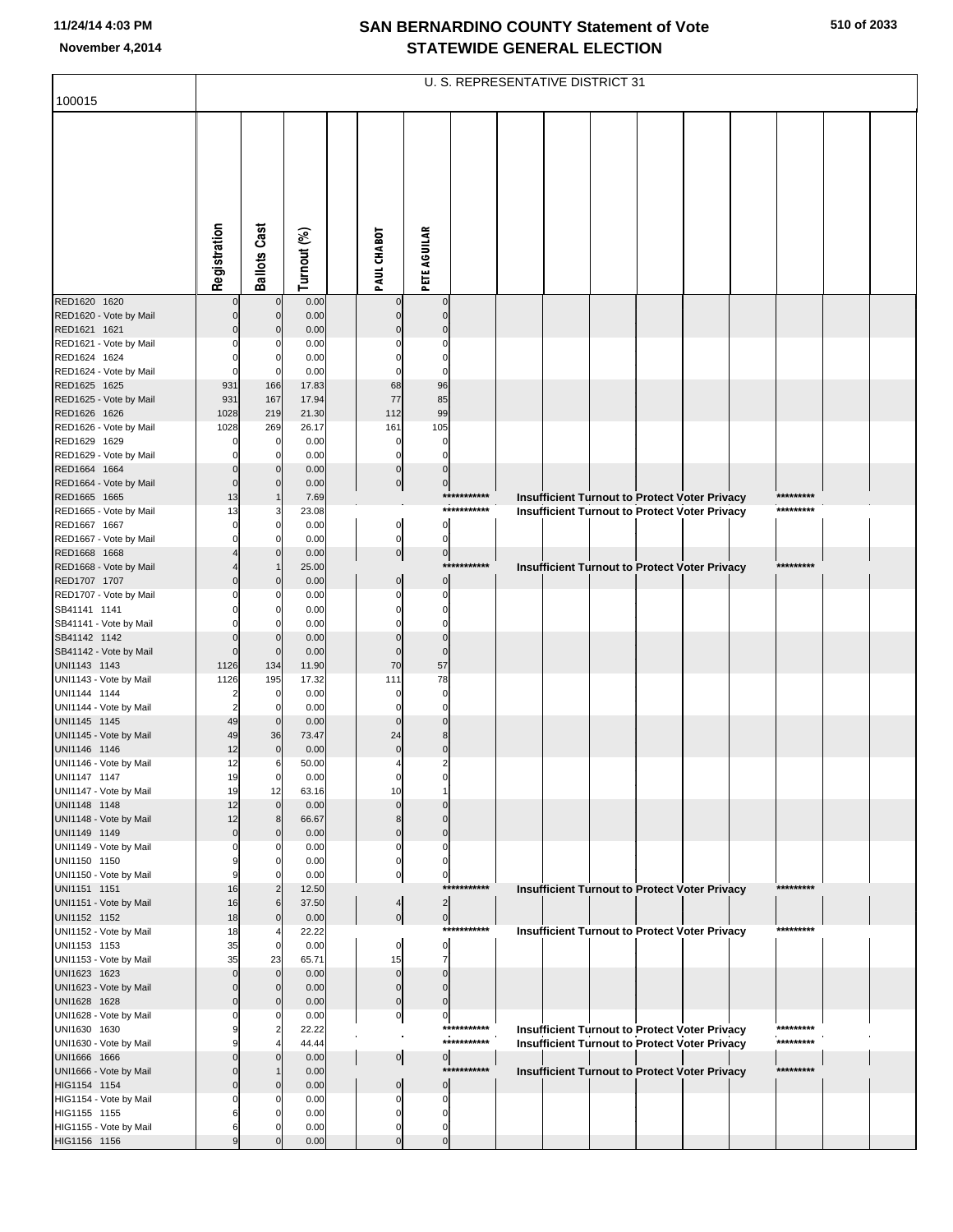|                                        |                         |                     |                |                         |                                  |             | U. S. REPRESENTATIVE DISTRICT 31                                                                             |  |  |           |  |
|----------------------------------------|-------------------------|---------------------|----------------|-------------------------|----------------------------------|-------------|--------------------------------------------------------------------------------------------------------------|--|--|-----------|--|
| 100015                                 |                         |                     |                |                         |                                  |             |                                                                                                              |  |  |           |  |
|                                        |                         |                     |                |                         |                                  |             |                                                                                                              |  |  |           |  |
|                                        | Registration            | <b>Ballots Cast</b> | Turnout (%)    | PAUL CHABOT             | <b>PETE AGUILAR</b>              |             |                                                                                                              |  |  |           |  |
|                                        |                         |                     |                |                         |                                  |             |                                                                                                              |  |  |           |  |
| RED1620 1620<br>RED1620 - Vote by Mail |                         | 0<br>$\mathbf{0}$   | 0.00<br>0.00   |                         | $\mathbf 0$<br>$\Omega$          |             |                                                                                                              |  |  |           |  |
| RED1621 1621                           |                         | $\Omega$            | 0.00           |                         | C                                |             |                                                                                                              |  |  |           |  |
| RED1621 - Vote by Mail                 |                         |                     | 0.00           |                         | C                                |             |                                                                                                              |  |  |           |  |
| RED1624 1624                           |                         | $\Omega$            | 0.00           |                         | $\Omega$                         |             |                                                                                                              |  |  |           |  |
| RED1624 - Vote by Mail                 | $\Omega$                |                     | 0.00           |                         | $\mathbf 0$                      |             |                                                                                                              |  |  |           |  |
| RED1625 1625                           | 931                     | 166                 | 17.83          | 68                      | 96                               |             |                                                                                                              |  |  |           |  |
| RED1625 - Vote by Mail<br>RED1626 1626 | 931<br>1028             | 167<br>219          | 17.94<br>21.30 | 77<br>112               | 85<br>99                         |             |                                                                                                              |  |  |           |  |
| RED1626 - Vote by Mail                 | 1028                    | 269                 | 26.17          | 161                     | 105                              |             |                                                                                                              |  |  |           |  |
| RED1629 1629                           |                         | $\mathbf 0$         | 0.00           | $\mathbf 0$             | $\mathbf 0$                      |             |                                                                                                              |  |  |           |  |
| RED1629 - Vote by Mail                 |                         | 0                   | 0.00           | $\Omega$                | $\mathbf 0$                      |             |                                                                                                              |  |  |           |  |
| RED1664 1664                           | $\mathbf 0$             | $\Omega$            | 0.00           | $\mathbf 0$             | $\mathbf 0$                      |             |                                                                                                              |  |  |           |  |
| RED1664 - Vote by Mail                 | $\mathbf 0$             | $\Omega$            | 0.00           | 0                       | $\mathbf 0$                      |             |                                                                                                              |  |  |           |  |
| RED1665 1665<br>RED1665 - Vote by Mail | 13<br>13                |                     | 7.69<br>23.08  |                         |                                  | *********** | <b>Insufficient Turnout to Protect Voter Privacy</b><br><b>Insufficient Turnout to Protect Voter Privacy</b> |  |  | ********* |  |
| RED1667 1667                           |                         | 0                   | 0.00           | $\overline{0}$          | $\mathbf 0$                      |             |                                                                                                              |  |  |           |  |
| RED1667 - Vote by Mail                 |                         |                     | 0.00           | $\pmb{0}$               | $\mathbf 0$                      |             |                                                                                                              |  |  |           |  |
| RED1668 1668                           |                         | $\Omega$            | 0.00           | $\overline{0}$          | $\mathbf 0$                      |             |                                                                                                              |  |  |           |  |
| RED1668 - Vote by Mail                 |                         |                     | 25.00          |                         | ***                              |             | <b>Insufficient Turnout to Protect Voter Privacy</b>                                                         |  |  | ********* |  |
| RED1707 1707<br>RED1707 - Vote by Mail | $\Omega$                | $\Omega$            | 0.00<br>0.00   | $\mathbf 0$<br>$\Omega$ | $\mathbf 0$<br>$\mathbf 0$       |             |                                                                                                              |  |  |           |  |
| SB41141 1141                           |                         | O                   | 0.00           | $\Omega$                | $\mathbf 0$                      |             |                                                                                                              |  |  |           |  |
| SB41141 - Vote by Mail                 |                         |                     | 0.00           |                         | $\Omega$                         |             |                                                                                                              |  |  |           |  |
| SB41142 1142                           | $\mathbf 0$             | $\Omega$            | 0.00           | $\Omega$                | $\mathbf 0$                      |             |                                                                                                              |  |  |           |  |
| SB41142 - Vote by Mail                 | $\mathbf 0$             | $\mathbf 0$         | 0.00           | $\Omega$                | $\mathbf 0$                      |             |                                                                                                              |  |  |           |  |
| UNI1143 1143<br>UNI1143 - Vote by Mail | 1126<br>1126            | 134<br>195          | 11.90<br>17.32 | 70<br>111               | 57<br>78                         |             |                                                                                                              |  |  |           |  |
| UNI1144 1144                           | 2                       | 0                   | 0.00           | $\Omega$                | $\mathbf 0$                      |             |                                                                                                              |  |  |           |  |
| UNI1144 - Vote by Mail                 | $\overline{2}$          |                     | 0.00           | $\Omega$                | $\mathbf 0$                      |             |                                                                                                              |  |  |           |  |
| UNI1145 1145                           | 49                      | $\mathbf{0}$        | 0.00           | $\Omega$                | $\Omega$                         |             |                                                                                                              |  |  |           |  |
| UNI1145 - Vote by Mail                 | 49                      | 36                  | 73.47          | 24                      | 8                                |             |                                                                                                              |  |  |           |  |
| UNI1146 1146                           | 12<br>12                | $\mathbf 0$<br>6    | 0.00<br>50.00  | $\overline{0}$          | $\overline{0}$<br>$\overline{2}$ |             |                                                                                                              |  |  |           |  |
| UNI1146 - Vote by Mail<br>UNI1147 1147 | 19                      | $\overline{0}$      | 0.00           | $\mathbf 0$             |                                  |             |                                                                                                              |  |  |           |  |
| UNI1147 - Vote by Mail                 | 19                      | 12                  | 63.16          | 10                      |                                  |             |                                                                                                              |  |  |           |  |
| UNI1148 1148                           | 12                      | $\overline{0}$      | 0.00           | $\Omega$                | ſ                                |             |                                                                                                              |  |  |           |  |
| UNI1148 - Vote by Mail                 | 12                      |                     | 66.67          |                         | $\Omega$                         |             |                                                                                                              |  |  |           |  |
| UNI1149 1149<br>UNI1149 - Vote by Mail | $\mathbf 0$<br>$\Omega$ | $\mathbf{0}$<br>0   | 0.00<br>0.00   | $\Omega$<br>0           | $\Omega$<br>$\mathsf{C}$         |             |                                                                                                              |  |  |           |  |
| UNI1150 1150                           | 9                       |                     | 0.00           | $\Omega$                | $\Omega$                         |             |                                                                                                              |  |  |           |  |
| UNI1150 - Vote by Mail                 | 9                       |                     | 0.00           | $\mathbf 0$             | $\mathsf{C}$                     |             |                                                                                                              |  |  |           |  |
| UNI1151 1151                           | 16                      |                     | 12.50          |                         |                                  | *********** | <b>Insufficient Turnout to Protect Voter Privacy</b>                                                         |  |  | ********* |  |
| UNI1151 - Vote by Mail                 | 16                      | 6                   | 37.50          | $\overline{4}$          | 2                                |             |                                                                                                              |  |  |           |  |
| UNI1152 1152<br>UNI1152 - Vote by Mail | 18<br>18                | $\overline{0}$      | 0.00<br>22.22  | $\mathbf 0$             | $\pmb{0}$                        | *********** | <b>Insufficient Turnout to Protect Voter Privacy</b>                                                         |  |  | ********* |  |
| UNI1153 1153                           | 35                      | $\mathbf{0}$        | 0.00           | $\mathbf 0$             | $\mathbf 0$                      |             |                                                                                                              |  |  |           |  |
| UNI1153 - Vote by Mail                 | 35                      | 23                  | 65.71          | 15                      | $\overline{7}$                   |             |                                                                                                              |  |  |           |  |
| UNI1623 1623                           | $\Omega$                | $\overline{0}$      | 0.00           | $\mathbf 0$             | $\Omega$                         |             |                                                                                                              |  |  |           |  |
| UNI1623 - Vote by Mail                 | $\Omega$                |                     | 0.00           | $\mathbf 0$             | $\Omega$                         |             |                                                                                                              |  |  |           |  |
| UNI1628 1628                           | $\mathbf 0$             |                     | 0.00           | $\mathbf 0$             | $\mathbf 0$                      |             |                                                                                                              |  |  |           |  |
| UNI1628 - Vote by Mail<br>UNI1630 1630 |                         |                     | 0.00<br>22.22  | $\overline{0}$          | $\mathbf 0$                      | *********** | Insufficient Turnout to Protect Voter Privacy                                                                |  |  | ********* |  |
| UNI1630 - Vote by Mail                 |                         |                     | 44.44          |                         |                                  | *********** | <b>Insufficient Turnout to Protect Voter Privacy</b>                                                         |  |  | ********* |  |
| UNI1666 1666                           | $\Omega$                |                     | 0.00           | 0                       | 이                                |             |                                                                                                              |  |  |           |  |
| UNI1666 - Vote by Mail                 |                         |                     | 0.00           |                         |                                  | *********** | <b>Insufficient Turnout to Protect Voter Privacy</b>                                                         |  |  | ********* |  |
| HIG1154 1154                           | $\Omega$                | $\Omega$            | 0.00           | $\Omega$                | $\mathbf 0$                      |             |                                                                                                              |  |  |           |  |
| HIG1154 - Vote by Mail<br>HIG1155 1155 | 6                       |                     | 0.00<br>0.00   | O                       | $\mathsf{C}$<br>$\mathcal{C}$    |             |                                                                                                              |  |  |           |  |
| HIG1155 - Vote by Mail                 | 6                       |                     | 0.00           | 0                       | $\Omega$                         |             |                                                                                                              |  |  |           |  |
| HIG1156 1156                           | 9                       |                     | 0.00           | $\Omega$                | $\Omega$                         |             |                                                                                                              |  |  |           |  |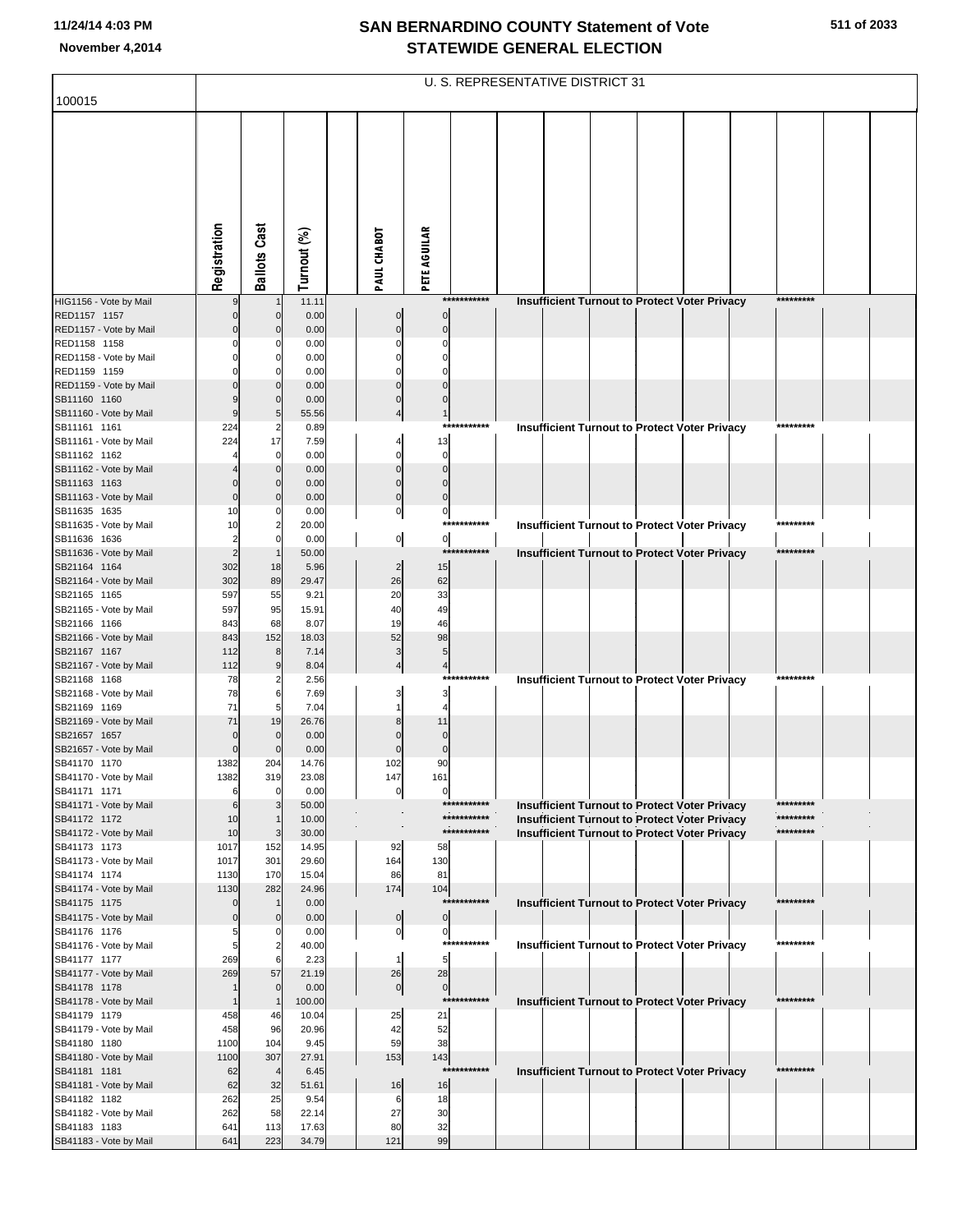|                                        |               |                            |                |                       |                                 |             | <b>U. S. REPRESENTATIVE DISTRICT 31</b>              |  |           |  |
|----------------------------------------|---------------|----------------------------|----------------|-----------------------|---------------------------------|-------------|------------------------------------------------------|--|-----------|--|
| 100015                                 |               |                            |                |                       |                                 |             |                                                      |  |           |  |
|                                        |               |                            |                |                       |                                 |             |                                                      |  |           |  |
|                                        | Registration  | <b>Ballots Cast</b>        | Turnout (%)    | PAUL CHABOT           | <b>PETE AGUILAR</b>             |             |                                                      |  |           |  |
| HIG1156 - Vote by Mail                 |               |                            | 11.11          |                       |                                 | *********** | <b>Insufficient Turnout to Protect Voter Privacy</b> |  | ********* |  |
| RED1157 1157                           |               | $\Omega$                   | 0.00           | $\Omega$              | $\mathbf 0$                     |             |                                                      |  |           |  |
| RED1157 - Vote by Mail<br>RED1158 1158 |               |                            | 0.00<br>0.00   |                       | $\Omega$                        |             |                                                      |  |           |  |
| RED1158 - Vote by Mail                 |               | $\mathsf{C}$               | 0.00           |                       |                                 |             |                                                      |  |           |  |
| RED1159 1159                           |               |                            | 0.00           |                       |                                 |             |                                                      |  |           |  |
| RED1159 - Vote by Mail                 |               | $\mathcal{C}$              | 0.00           |                       |                                 |             |                                                      |  |           |  |
| SB11160 1160                           |               | $\Omega$                   | 0.00           |                       |                                 |             |                                                      |  |           |  |
| SB11160 - Vote by Mail<br>SB11161 1161 | 224           | 5<br>2                     | 55.56<br>0.89  |                       | 1                               | *********** | Insufficient Turnout to Protect Voter Privacy        |  | ********* |  |
| SB11161 - Vote by Mail                 | 224           | 17                         | 7.59           |                       | 13                              |             |                                                      |  |           |  |
| SB11162 1162                           |               | $\mathbf 0$                | 0.00           |                       | 0                               |             |                                                      |  |           |  |
| SB11162 - Vote by Mail                 |               | $\Omega$                   | 0.00           |                       | $\Omega$                        |             |                                                      |  |           |  |
| SB11163 1163<br>SB11163 - Vote by Mail | $\Omega$      | $\Omega$<br>$\mathcal{C}$  | 0.00<br>0.00   | $\Omega$              | $\Omega$<br>$\Omega$            |             |                                                      |  |           |  |
| SB11635 1635                           | 10            | C                          | 0.00           | 이                     | 0                               |             |                                                      |  |           |  |
| SB11635 - Vote by Mail                 | 10            | $\overline{2}$             | 20.00          |                       |                                 | *********** | <b>Insufficient Turnout to Protect Voter Privacy</b> |  | ********* |  |
| SB11636 1636                           |               | $\Omega$                   | 0.00           | $\overline{0}$        | $\overline{0}$                  |             |                                                      |  |           |  |
| SB11636 - Vote by Mail                 |               |                            | 50.00          |                       |                                 | *********** | <b>Insufficient Turnout to Protect Voter Privacy</b> |  | ********* |  |
| SB21164 1164<br>SB21164 - Vote by Mail | 302<br>302    | 18<br>89                   | 5.96<br>29.47  | $\overline{c}$<br>26  | 15<br>62                        |             |                                                      |  |           |  |
| SB21165 1165                           | 597           | 55                         | 9.21           | 20                    | 33                              |             |                                                      |  |           |  |
| SB21165 - Vote by Mail                 | 597           | 95                         | 15.91          | 40                    | 49                              |             |                                                      |  |           |  |
| SB21166 1166                           | 843           | 68                         | 8.07           | 19                    | 46                              |             |                                                      |  |           |  |
| SB21166 - Vote by Mail<br>SB21167 1167 | 843<br>112    | 152<br>8                   | 18.03<br>7.14  | 52                    | 98<br>5                         |             |                                                      |  |           |  |
| SB21167 - Vote by Mail                 | 112           | 9                          | 8.04           |                       | $\overline{\mathcal{L}}$        |             |                                                      |  |           |  |
| SB21168 1168                           | 78            | 2                          | 2.56           |                       |                                 | *********** | Insufficient Turnout to Protect Voter Privacy        |  | ********* |  |
| SB21168 - Vote by Mail                 | 78            | 6                          | 7.69           |                       | 3                               |             |                                                      |  |           |  |
| SB21169 1169<br>SB21169 - Vote by Mail | 71<br>71      | 5<br>19                    | 7.04<br>26.76  |                       | 11                              |             |                                                      |  |           |  |
| SB21657 1657                           | 0             | $\Omega$                   | 0.00           |                       | $\Omega$                        |             |                                                      |  |           |  |
| SB21657 - Vote by Mail                 | $\Omega$      | $\mathcal{C}$              | 0.00           |                       | $\Omega$                        |             |                                                      |  |           |  |
| SB41170 1170                           | 1382          | 204                        | 14.76          | 102                   | 90                              |             |                                                      |  |           |  |
| SB41170 - Vote by Mail<br>SB41171 1171 | 1382<br>6     | 319<br>$\mathbf 0$         | 23.08<br>0.00  | 147<br>$\overline{0}$ | 161<br>$\mathbf 0$              |             |                                                      |  |           |  |
| SB41171 - Vote by Mail                 | 6             | 3                          | 50.00          |                       |                                 | *********** | <b>Insufficient Turnout to Protect Voter Privacy</b> |  | ********* |  |
| SB41172 1172                           | 10            | $\overline{1}$             | 10.00          |                       |                                 | *********** | Insufficient Turnout to Protect Voter Privacy        |  | ********* |  |
| SB41172 - Vote by Mail                 | 10            | 3                          | 30.00          |                       |                                 | *********** | Insufficient Turnout to Protect Voter Privacy        |  | ********* |  |
| SB41173 1173<br>SB41173 - Vote by Mail | 1017<br>1017  | 152<br>301                 | 14.95<br>29.60 | 92<br>164             | 58<br>130                       |             |                                                      |  |           |  |
| SB41174 1174                           | 1130          | 170                        | 15.04          | 86                    | 81                              |             |                                                      |  |           |  |
| SB41174 - Vote by Mail                 | 1130          | 282                        | 24.96          | 174                   | 104                             |             |                                                      |  |           |  |
| SB41175 1175                           | 0             | $\mathbf 1$                | 0.00           |                       |                                 | *********** | <b>Insufficient Turnout to Protect Voter Privacy</b> |  | ********* |  |
| SB41175 - Vote by Mail<br>SB41176 1176 | $\Omega$<br>5 | $\mathbf 0$<br>C           | 0.00<br>0.00   | 0<br>$\overline{0}$   | $\mathbf 0$<br>$\boldsymbol{0}$ |             |                                                      |  |           |  |
| SB41176 - Vote by Mail                 | 5             | $\overline{2}$             | 40.00          |                       |                                 | *********** | <b>Insufficient Turnout to Protect Voter Privacy</b> |  | ********* |  |
| SB41177 1177                           | 269           | 6                          | 2.23           | 1                     | 5                               |             |                                                      |  |           |  |
| SB41177 - Vote by Mail                 | 269           | 57                         | 21.19          | 26                    | 28                              |             |                                                      |  |           |  |
| SB41178 1178<br>SB41178 - Vote by Mail |               | $\mathbf 0$<br>$\mathbf 1$ | 0.00<br>100.00 | $\overline{0}$        | $\mathbf 0$                     | *********** |                                                      |  | ********* |  |
| SB41179 1179                           | 458           | 46                         | 10.04          | 25                    | 21                              |             | <b>Insufficient Turnout to Protect Voter Privacy</b> |  |           |  |
| SB41179 - Vote by Mail                 | 458           | 96                         | 20.96          | 42                    | 52                              |             |                                                      |  |           |  |
| SB41180 1180                           | 1100          | 104                        | 9.45           | 59                    | 38                              |             |                                                      |  |           |  |
| SB41180 - Vote by Mail                 | 1100          | 307                        | 27.91          | 153                   | 143                             | *********** |                                                      |  | ********* |  |
| SB41181 1181<br>SB41181 - Vote by Mail | 62<br>62      | $\overline{4}$<br>32       | 6.45<br>51.61  | 16                    | 16                              |             | <b>Insufficient Turnout to Protect Voter Privacy</b> |  |           |  |
| SB41182 1182                           | 262           | 25                         | 9.54           | 6                     | 18                              |             |                                                      |  |           |  |
| SB41182 - Vote by Mail                 | 262           | 58                         | 22.14          | 27                    | 30                              |             |                                                      |  |           |  |
| SB41183 1183                           | 641           | 113                        | 17.63          | 80                    | 32                              |             |                                                      |  |           |  |
| SB41183 - Vote by Mail                 | 641           | 223                        | 34.79          | 121                   | 99                              |             |                                                      |  |           |  |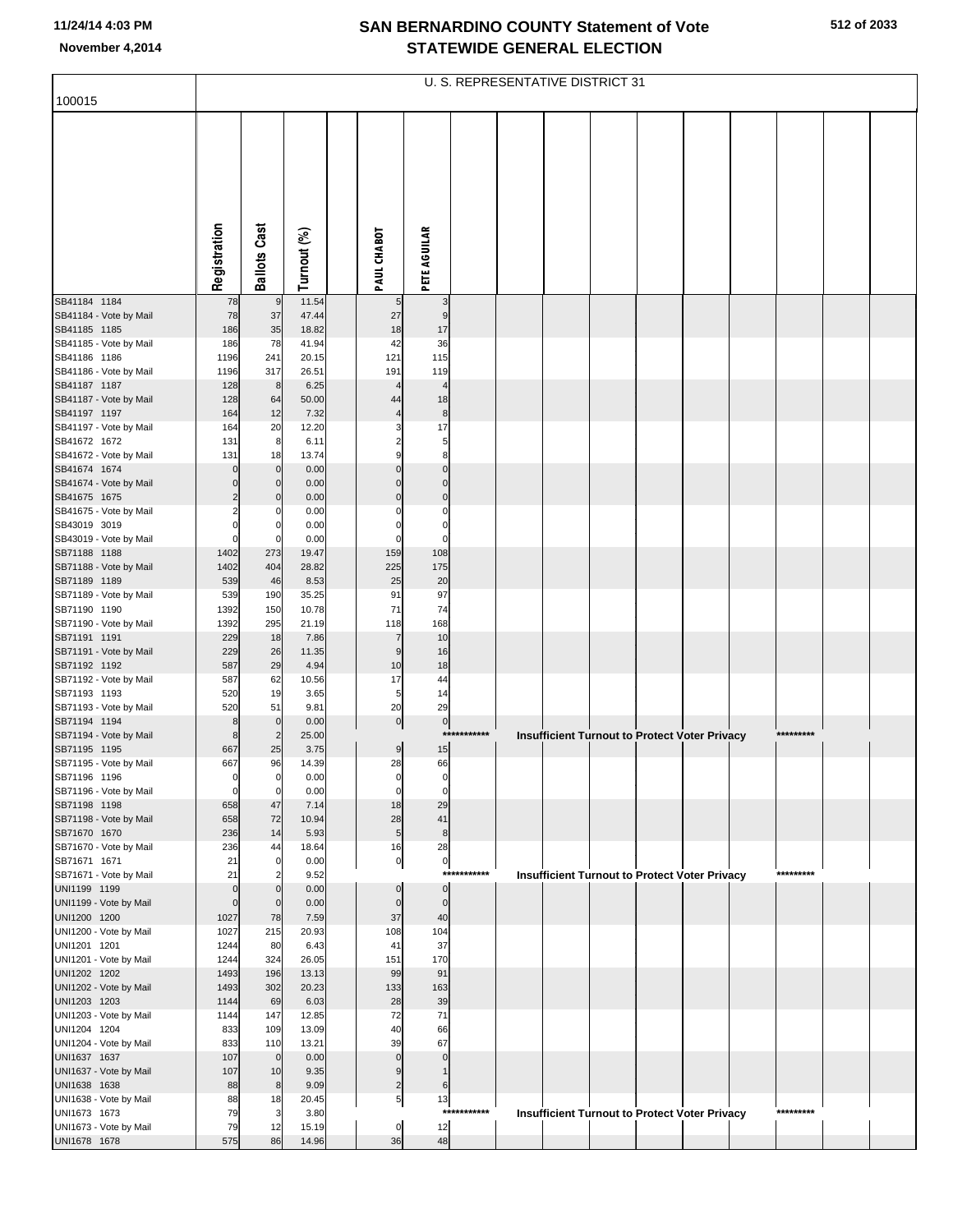|                                        |                      |                            |                |                      |                            | U. S. REPRESENTATIVE DISTRICT 31 |  |  |                                                      |           |  |
|----------------------------------------|----------------------|----------------------------|----------------|----------------------|----------------------------|----------------------------------|--|--|------------------------------------------------------|-----------|--|
| 100015                                 |                      |                            |                |                      |                            |                                  |  |  |                                                      |           |  |
|                                        |                      |                            |                |                      |                            |                                  |  |  |                                                      |           |  |
|                                        |                      |                            |                |                      |                            |                                  |  |  |                                                      |           |  |
|                                        |                      |                            |                |                      |                            |                                  |  |  |                                                      |           |  |
|                                        |                      |                            |                |                      |                            |                                  |  |  |                                                      |           |  |
|                                        |                      |                            |                |                      |                            |                                  |  |  |                                                      |           |  |
|                                        |                      |                            |                |                      |                            |                                  |  |  |                                                      |           |  |
|                                        |                      |                            |                |                      |                            |                                  |  |  |                                                      |           |  |
|                                        |                      |                            |                |                      |                            |                                  |  |  |                                                      |           |  |
|                                        | Registration         | <b>Ballots Cast</b>        | Turnout (%)    | PAUL CHABOT          | <b>PETE AGUILAR</b>        |                                  |  |  |                                                      |           |  |
| SB41184 1184                           | 78                   | 9                          | 11.54          | 5                    | 3                          |                                  |  |  |                                                      |           |  |
| SB41184 - Vote by Mail                 | 78                   | 37                         | 47.44          | 27                   | 9                          |                                  |  |  |                                                      |           |  |
| SB41185 1185                           | 186                  | 35                         | 18.82          | 18                   | 17                         |                                  |  |  |                                                      |           |  |
| SB41185 - Vote by Mail                 | 186                  | 78                         | 41.94          | 42                   | 36                         |                                  |  |  |                                                      |           |  |
| SB41186 1186<br>SB41186 - Vote by Mail | 1196<br>1196         | 241<br>317                 | 20.15<br>26.51 | 121<br>191           | 115<br>119                 |                                  |  |  |                                                      |           |  |
| SB41187 1187                           | 128                  | 8                          | 6.25           |                      |                            |                                  |  |  |                                                      |           |  |
| SB41187 - Vote by Mail                 | 128                  | 64                         | 50.00          | 44                   | 18                         |                                  |  |  |                                                      |           |  |
| SB41197 1197                           | 164                  | 12                         | 7.32           |                      | 8                          |                                  |  |  |                                                      |           |  |
| SB41197 - Vote by Mail<br>SB41672 1672 | 164<br>131           | 20<br>8                    | 12.20<br>6.11  |                      | 17<br>5                    |                                  |  |  |                                                      |           |  |
| SB41672 - Vote by Mail                 | 131                  | 18                         | 13.74          |                      | 8 <sup>1</sup>             |                                  |  |  |                                                      |           |  |
| SB41674 1674                           |                      | $\mathbf 0$                | 0.00           |                      | $\Omega$                   |                                  |  |  |                                                      |           |  |
| SB41674 - Vote by Mail<br>SB41675 1675 | 0<br>2               | 0<br>C                     | 0.00<br>0.00   | $\Omega$<br>$\Omega$ | $\mathbf 0$<br>$\mathbf 0$ |                                  |  |  |                                                      |           |  |
| SB41675 - Vote by Mail                 | 2                    | C                          | 0.00           |                      | 0                          |                                  |  |  |                                                      |           |  |
| SB43019 3019                           | $\Omega$             | C                          | 0.00           | 0                    | 0                          |                                  |  |  |                                                      |           |  |
| SB43019 - Vote by Mail                 | $\Omega$             | 0                          | 0.00           | 0                    | 0                          |                                  |  |  |                                                      |           |  |
| SB71188 1188<br>SB71188 - Vote by Mail | 1402<br>1402         | 273<br>404                 | 19.47<br>28.82 | 159<br>225           | 108<br>175                 |                                  |  |  |                                                      |           |  |
| SB71189 1189                           | 539                  | 46                         | 8.53           | 25                   | 20                         |                                  |  |  |                                                      |           |  |
| SB71189 - Vote by Mail                 | 539                  | 190                        | 35.25          | 91                   | 97                         |                                  |  |  |                                                      |           |  |
| SB71190 1190                           | 1392                 | 150                        | 10.78          | 71                   | 74                         |                                  |  |  |                                                      |           |  |
| SB71190 - Vote by Mail<br>SB71191 1191 | 1392<br>229          | 295<br>18                  | 21.19<br>7.86  | 118<br>7             | 168<br>10                  |                                  |  |  |                                                      |           |  |
| SB71191 - Vote by Mail                 | 229                  | 26                         | 11.35          | 9                    | 16                         |                                  |  |  |                                                      |           |  |
| SB71192 1192                           | 587                  | 29                         | 4.94           | 10                   | 18                         |                                  |  |  |                                                      |           |  |
| SB71192 - Vote by Mail<br>SB71193 1193 | 587<br>520           | 62<br>19                   | 10.56<br>3.65  | 17<br>5              | 44<br>14                   |                                  |  |  |                                                      |           |  |
| SB71193 - Vote by Mail                 | 520                  | 51                         | 9.81           | 20                   | 29                         |                                  |  |  |                                                      |           |  |
| SB71194 1194                           | 8                    | $\mathbf 0$                | 0.00           | $\overline{0}$       | $\overline{0}$             |                                  |  |  |                                                      |           |  |
| SB71194 - Vote by Mail                 | 8                    | $\overline{2}$             | 25.00          |                      |                            | ***********                      |  |  | <b>Insufficient Turnout to Protect Voter Privacy</b> | ********* |  |
| SB71195 1195<br>SB71195 - Vote by Mail | 667<br>667           | 25<br>96                   | 3.75<br>14.39  | 9<br>28              | 15<br>66                   |                                  |  |  |                                                      |           |  |
| SB71196 1196                           | $\mathbf{0}$         | 0                          | 0.00           | 0                    | 0                          |                                  |  |  |                                                      |           |  |
| SB71196 - Vote by Mail                 | $\mathbf{0}$         | 0                          | 0.00           | $\overline{0}$       | $\mathbf 0$                |                                  |  |  |                                                      |           |  |
| SB71198 1198<br>SB71198 - Vote by Mail | 658<br>658           | 47<br>72                   | 7.14<br>10.94  | 18<br>28             | 29<br>41                   |                                  |  |  |                                                      |           |  |
| SB71670 1670                           | 236                  | 14                         | 5.93           | 5 <sub>5</sub>       | 8                          |                                  |  |  |                                                      |           |  |
| SB71670 - Vote by Mail                 | 236                  | 44                         | 18.64          | 16                   | 28                         |                                  |  |  |                                                      |           |  |
| SB71671 1671                           | 21                   | 0                          | 0.00           | $\overline{0}$       | $\mathbf{0}$               | ***********                      |  |  |                                                      | ********* |  |
| SB71671 - Vote by Mail<br>UNI1199 1199 | 21<br>$\overline{0}$ | $\overline{2}$<br>$\Omega$ | 9.52<br>0.00   | $\mathbf 0$          | $\mathbf{0}$               |                                  |  |  | Insufficient Turnout to Protect Voter Privacy        |           |  |
| UNI1199 - Vote by Mail                 | $\Omega$             | $\mathbf 0$                | 0.00           | $\pmb{0}$            | $\overline{0}$             |                                  |  |  |                                                      |           |  |
| UNI1200 1200                           | 1027                 | 78                         | 7.59           | 37                   | 40                         |                                  |  |  |                                                      |           |  |
| UNI1200 - Vote by Mail<br>UNI1201 1201 | 1027                 | 215                        | 20.93<br>6.43  | 108                  | 104<br>37                  |                                  |  |  |                                                      |           |  |
| UNI1201 - Vote by Mail                 | 1244<br>1244         | 80<br>324                  | 26.05          | 41<br>151            | 170                        |                                  |  |  |                                                      |           |  |
| UNI1202 1202                           | 1493                 | 196                        | 13.13          | 99                   | 91                         |                                  |  |  |                                                      |           |  |
| UNI1202 - Vote by Mail                 | 1493                 | 302                        | 20.23          | 133                  | 163                        |                                  |  |  |                                                      |           |  |
| UNI1203 1203<br>UNI1203 - Vote by Mail | 1144<br>1144         | 69<br>147                  | 6.03<br>12.85  | 28<br>72             | 39<br>71                   |                                  |  |  |                                                      |           |  |
| UNI1204 1204                           | 833                  | 109                        | 13.09          | 40                   | 66                         |                                  |  |  |                                                      |           |  |
| UNI1204 - Vote by Mail                 | 833                  | 110                        | 13.21          | 39                   | 67                         |                                  |  |  |                                                      |           |  |
| UNI1637 1637                           | 107                  | $\mathbf 0$                | 0.00           | $\mathbf 0$          | $\mathbf 0$                |                                  |  |  |                                                      |           |  |
| UNI1637 - Vote by Mail<br>UNI1638 1638 | 107<br>88            | 10<br>$\bf 8$              | 9.35<br>9.09   | 9<br>$\overline{2}$  | 1<br>$6 \mid$              |                                  |  |  |                                                      |           |  |
| UNI1638 - Vote by Mail                 | 88                   | 18                         | 20.45          | $5 \mid$             | 13                         |                                  |  |  |                                                      |           |  |
| UNI1673 1673                           | 79                   | 3                          | 3.80           |                      |                            | ***********                      |  |  | <b>Insufficient Turnout to Protect Voter Privacy</b> | ********* |  |
| UNI1673 - Vote by Mail                 | 79                   | 12                         | 15.19          | 0                    | 12                         |                                  |  |  |                                                      |           |  |
| UNI1678 1678                           | 575                  | 86                         | 14.96          | 36                   | 48                         |                                  |  |  |                                                      |           |  |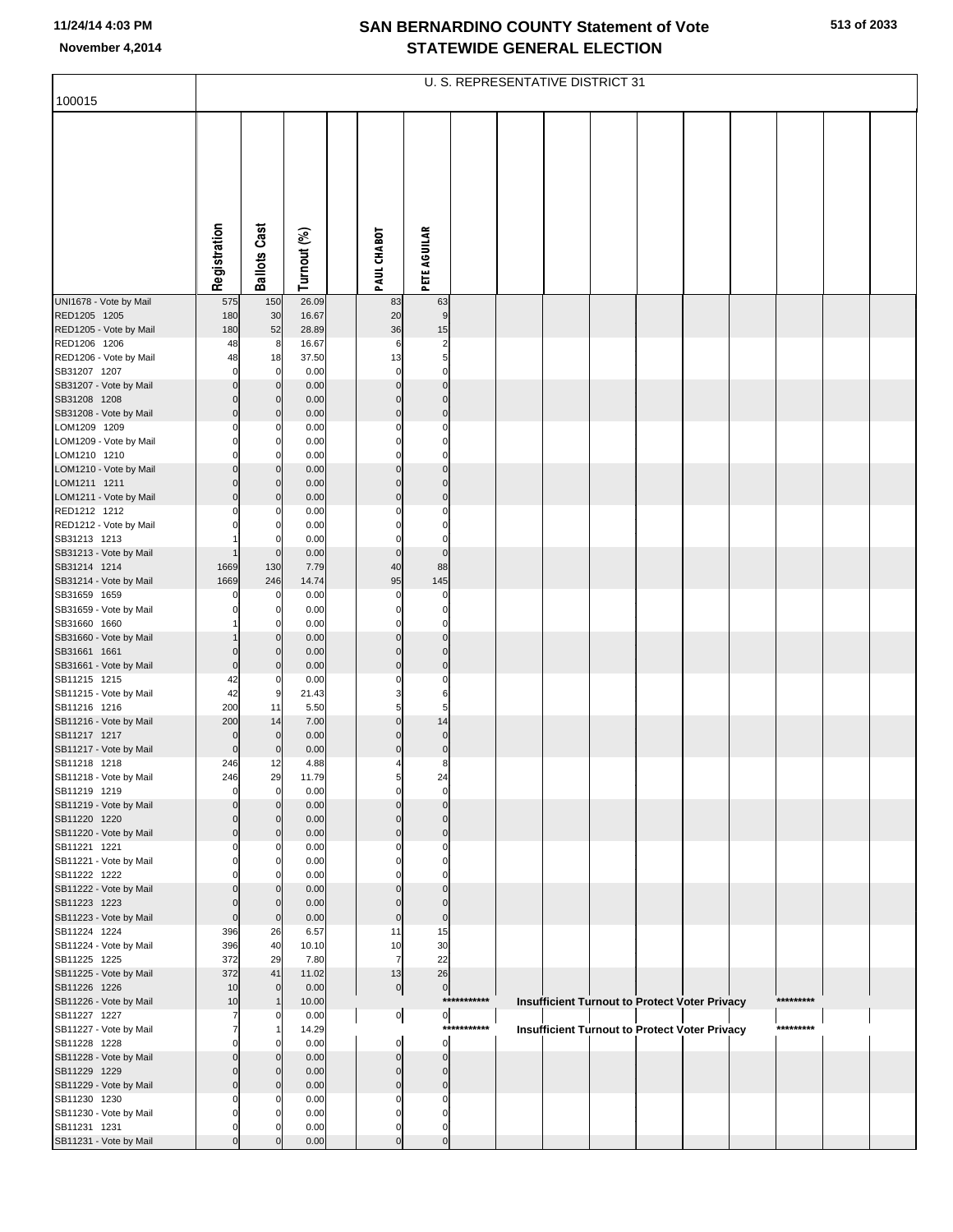| 100015                                 |                               |                            |                |                             |                            |             | U. S. REPRESENTATIVE DISTRICT 31 |  |                                                      |           |  |
|----------------------------------------|-------------------------------|----------------------------|----------------|-----------------------------|----------------------------|-------------|----------------------------------|--|------------------------------------------------------|-----------|--|
|                                        |                               |                            |                |                             |                            |             |                                  |  |                                                      |           |  |
|                                        |                               |                            |                |                             |                            |             |                                  |  |                                                      |           |  |
|                                        |                               |                            |                |                             |                            |             |                                  |  |                                                      |           |  |
|                                        |                               |                            |                |                             |                            |             |                                  |  |                                                      |           |  |
|                                        |                               |                            |                |                             |                            |             |                                  |  |                                                      |           |  |
|                                        |                               |                            |                |                             |                            |             |                                  |  |                                                      |           |  |
|                                        |                               |                            |                |                             |                            |             |                                  |  |                                                      |           |  |
|                                        |                               |                            |                |                             |                            |             |                                  |  |                                                      |           |  |
|                                        | Registration                  | <b>Ballots Cast</b>        | Turnout (%)    | PAUL CHABOT                 | PETE AGUILAR               |             |                                  |  |                                                      |           |  |
|                                        |                               |                            |                |                             |                            |             |                                  |  |                                                      |           |  |
| UNI1678 - Vote by Mail                 | 575                           | 150                        | 26.09          | 83                          | 63                         |             |                                  |  |                                                      |           |  |
| RED1205 1205<br>RED1205 - Vote by Mail | 180<br>180                    | 30<br>52                   | 16.67<br>28.89 | 20<br>36                    | $\boldsymbol{9}$<br>15     |             |                                  |  |                                                      |           |  |
| RED1206 1206                           | 48                            | 8                          | 16.67          | $6\phantom{1}6$             | $\overline{\mathbf{c}}$    |             |                                  |  |                                                      |           |  |
| RED1206 - Vote by Mail                 | 48                            | 18                         | 37.50          | 13                          | 5                          |             |                                  |  |                                                      |           |  |
| SB31207 1207<br>SB31207 - Vote by Mail | $\mathbf 0$<br>$\mathbf 0$    | 0<br>$\mathbf 0$           | 0.00<br>0.00   | $\mathbf 0$<br>$\mathbf 0$  | $\mathbf 0$<br>$\mathbf 0$ |             |                                  |  |                                                      |           |  |
| SB31208 1208                           | $\mathbf 0$                   | $\mathbf 0$                | 0.00           | $\mathbf 0$                 | $\mathbf 0$                |             |                                  |  |                                                      |           |  |
| SB31208 - Vote by Mail                 | $\overline{0}$                | $\mathbf 0$                | 0.00           | $\mathbf 0$                 | $\mathbf 0$                |             |                                  |  |                                                      |           |  |
| LOM1209 1209<br>LOM1209 - Vote by Mail | $\mathbf 0$<br>$\mathbf 0$    | 0<br>0                     | 0.00<br>0.00   | $\Omega$<br>$\mathbf 0$     | $\Omega$<br>$\mathbf 0$    |             |                                  |  |                                                      |           |  |
| LOM1210 1210                           | $\mathbf 0$                   | 0                          | 0.00           | $\Omega$                    | $\mathbf 0$                |             |                                  |  |                                                      |           |  |
| LOM1210 - Vote by Mail                 | $\mathbf 0$                   | $\overline{0}$             | 0.00           | $\mathbf 0$                 | $\mathbf 0$                |             |                                  |  |                                                      |           |  |
| LOM1211 1211<br>LOM1211 - Vote by Mail | $\mathbf 0$<br>$\mathbf 0$    | $\mathbf 0$<br>$\mathbf 0$ | 0.00<br>0.00   | $\mathbf{0}$<br>$\mathbf 0$ | $\mathbf 0$<br>$\mathbf 0$ |             |                                  |  |                                                      |           |  |
| RED1212 1212                           | $\Omega$                      | 0                          | 0.00           | $\Omega$                    | $\mathbf 0$                |             |                                  |  |                                                      |           |  |
| RED1212 - Vote by Mail                 | $\Omega$                      | 0                          | 0.00           | $\mathbf 0$                 | $\mathbf 0$                |             |                                  |  |                                                      |           |  |
| SB31213 1213<br>SB31213 - Vote by Mail |                               | $\mathbf 0$                | 0.00<br>0.00   | $\mathbf 0$<br>$\pmb{0}$    | $\mathbf 0$<br>$\mathbf 0$ |             |                                  |  |                                                      |           |  |
| SB31214 1214                           | 1669                          | 130                        | 7.79           | 40                          | 88                         |             |                                  |  |                                                      |           |  |
| SB31214 - Vote by Mail                 | 1669                          | 246                        | 14.74          | 95                          | 145                        |             |                                  |  |                                                      |           |  |
| SB31659 1659<br>SB31659 - Vote by Mail | $\Omega$<br>$\mathbf 0$       | 0<br>0                     | 0.00<br>0.00   | $\mathbf 0$<br>$\mathbf 0$  | $\mathbf 0$<br>$\mathbf 0$ |             |                                  |  |                                                      |           |  |
| SB31660 1660                           |                               |                            | 0.00           | $\Omega$                    | $\mathbf 0$                |             |                                  |  |                                                      |           |  |
| SB31660 - Vote by Mail                 |                               | $\mathbf 0$                | 0.00           | $\mathbf 0$                 | $\mathbf 0$                |             |                                  |  |                                                      |           |  |
| SB31661 1661<br>SB31661 - Vote by Mail | $\Omega$<br>$\mathbf 0$       | $\Omega$<br>$\mathbf 0$    | 0.00<br>0.00   | $\mathbf{0}$<br>$\mathbf 0$ | $\mathbf 0$<br>$\mathbf 0$ |             |                                  |  |                                                      |           |  |
| SB11215 1215                           | 42                            | 0                          | 0.00           | $\Omega$                    | $\Omega$                   |             |                                  |  |                                                      |           |  |
| SB11215 - Vote by Mail                 | 42                            | 9                          | 21.43          | 3                           | 6                          |             |                                  |  |                                                      |           |  |
| SB11216 1216<br>SB11216 - Vote by Mail | 200<br>200                    | 11<br>14                   | 5.50<br>7.00   | 5<br>$\mathbf 0$            | 5<br>14                    |             |                                  |  |                                                      |           |  |
| SB11217 1217                           | $\mathbf 0$                   | $\mathbf 0$                | 0.00           | $\mathbf 0$                 | $\mathbf 0$                |             |                                  |  |                                                      |           |  |
| SB11217 - Vote by Mail                 | $\mathbf 0$                   | $\mathbf 0$                | 0.00           | $\mathbf 0$                 | $\pmb{0}$                  |             |                                  |  |                                                      |           |  |
| SB11218 1218<br>SB11218 - Vote by Mail | 246<br>246                    | 12<br>29                   | 4.88<br>11.79  |                             | 8<br>24                    |             |                                  |  |                                                      |           |  |
| SB11219 1219                           | $\mathbf 0$                   | $\mathbf 0$                | 0.00           | $\mathbf 0$                 | $\mathbf 0$                |             |                                  |  |                                                      |           |  |
| SB11219 - Vote by Mail<br>SB11220 1220 | $\mathbf 0$                   | $\mathbf 0$                | 0.00           | $\mathbf 0$                 | $\mathbf 0$                |             |                                  |  |                                                      |           |  |
| SB11220 - Vote by Mail                 | $\mathbf 0$<br>$\mathbf 0$    | $\Omega$<br>$\mathbf 0$    | 0.00<br>0.00   | $\mathbf{0}$<br>$\mathbf 0$ | $\mathbf 0$<br>$\mathbf 0$ |             |                                  |  |                                                      |           |  |
| SB11221 1221                           | $\mathbf 0$                   | 0                          | 0.00           | O                           | $\Omega$                   |             |                                  |  |                                                      |           |  |
| SB11221 - Vote by Mail<br>SB11222 1222 | $\mathbf 0$<br>$\Omega$       | 0<br>O                     | 0.00<br>0.00   | $\Omega$<br>O               | 0<br>$\Omega$              |             |                                  |  |                                                      |           |  |
| SB11222 - Vote by Mail                 | $\mathbf 0$                   | $\mathbf 0$                | 0.00           | $\mathbf 0$                 | $\mathbf 0$                |             |                                  |  |                                                      |           |  |
| SB11223 1223                           | $\mathbf 0$                   | $\mathbf 0$                | 0.00           | $\mathbf{0}$                | $\mathbf 0$                |             |                                  |  |                                                      |           |  |
| SB11223 - Vote by Mail<br>SB11224 1224 | $\mathbf 0$<br>396            | $\mathbf 0$<br>26          | 0.00<br>6.57   | $\mathbf 0$<br>11           | $\mathbf 0$<br>15          |             |                                  |  |                                                      |           |  |
| SB11224 - Vote by Mail                 | 396                           | 40                         | 10.10          | 10                          | 30                         |             |                                  |  |                                                      |           |  |
| SB11225 1225                           | 372                           | 29                         | 7.80           | $\overline{7}$              | 22                         |             |                                  |  |                                                      |           |  |
| SB11225 - Vote by Mail<br>SB11226 1226 | 372<br>10                     | 41<br>$\mathbf 0$          | 11.02<br>0.00  | 13<br>$\overline{0}$        | 26<br>$\overline{0}$       |             |                                  |  |                                                      |           |  |
| SB11226 - Vote by Mail                 | 10                            | -1                         | 10.00          |                             |                            | *********** |                                  |  | Insufficient Turnout to Protect Voter Privacy        | ********* |  |
| SB11227 1227                           | 7                             | $\Omega$                   | 0.00           | $\overline{0}$              | $\overline{0}$             | *********** |                                  |  |                                                      | ********* |  |
| SB11227 - Vote by Mail<br>SB11228 1228 | $\overline{7}$<br>$\mathbf 0$ | 1<br>0                     | 14.29<br>0.00  | $\mathbf 0$                 | $\mathbf 0$                |             |                                  |  | <b>Insufficient Turnout to Protect Voter Privacy</b> |           |  |
| SB11228 - Vote by Mail                 | $\mathbf 0$                   | $\mathbf 0$                | 0.00           | $\pmb{0}$                   | $\mathbf 0$                |             |                                  |  |                                                      |           |  |
| SB11229 1229                           | $\mathbf 0$                   | $\Omega$                   | 0.00           | $\mathbf 0$                 | $\mathbf 0$                |             |                                  |  |                                                      |           |  |
| SB11229 - Vote by Mail<br>SB11230 1230 | $\mathbf 0$<br>$\mathbf 0$    | $\mathbf 0$<br>0           | 0.00<br>0.00   | $\mathbf 0$<br>$\Omega$     | $\mathbf 0$<br>$\Omega$    |             |                                  |  |                                                      |           |  |
| SB11230 - Vote by Mail                 | $\mathbf 0$                   | 0                          | 0.00           | $\mathbf 0$                 | $\mathbf 0$                |             |                                  |  |                                                      |           |  |
| SB11231 1231                           | $\mathbf 0$                   |                            | 0.00           | $\mathbf 0$                 | $\mathbf 0$                |             |                                  |  |                                                      |           |  |
| SB11231 - Vote by Mail                 | $\mathbf 0$                   |                            | 0.00           | $\mathbf{0}$                | $\mathbf 0$                |             |                                  |  |                                                      |           |  |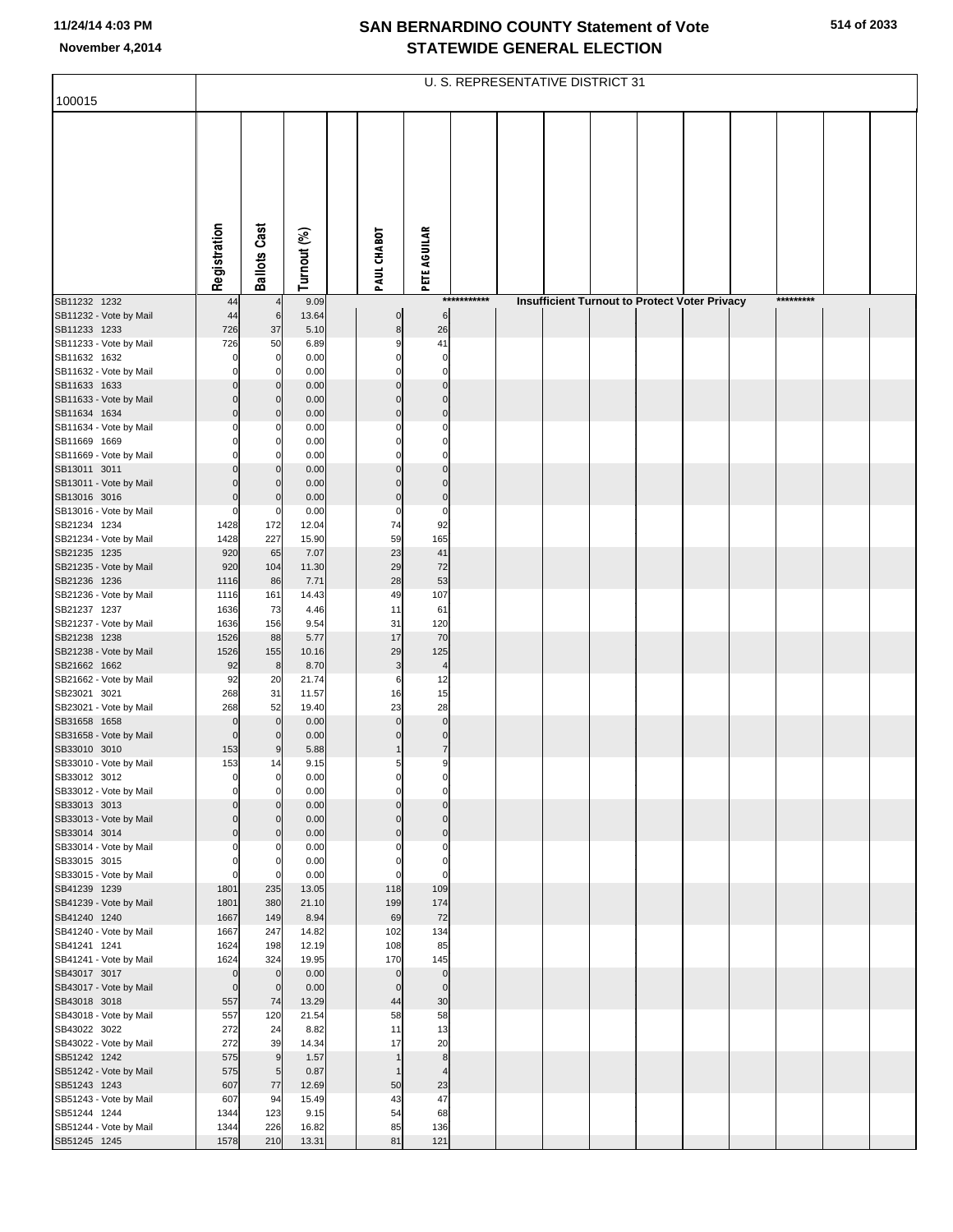| 100015                                 |                            |                         |                |                         |                            |             | U. S. REPRESENTATIVE DISTRICT 31 |  |                                                      |           |  |
|----------------------------------------|----------------------------|-------------------------|----------------|-------------------------|----------------------------|-------------|----------------------------------|--|------------------------------------------------------|-----------|--|
|                                        | Registration               | <b>Ballots Cast</b>     | Turnout (%)    | PAUL CHABOT             | PETE AGUILAR               |             |                                  |  |                                                      |           |  |
| SB11232 1232                           | 44                         |                         | 9.09           |                         |                            | *********** |                                  |  | <b>Insufficient Turnout to Protect Voter Privacy</b> | ********* |  |
| SB11232 - Vote by Mail<br>SB11233 1233 | 44<br>726                  | 6<br>37                 | 13.64<br>5.10  | $\mathbf 0$<br>$\bf8$   | 6<br>26                    |             |                                  |  |                                                      |           |  |
| SB11233 - Vote by Mail                 | 726                        | 50                      | 6.89           | 9                       | 41                         |             |                                  |  |                                                      |           |  |
| SB11632 1632<br>SB11632 - Vote by Mail | $\Omega$<br>O              | 0<br>0                  | 0.00<br>0.00   | 0<br>$\Omega$           | $\mathbf 0$<br>$\mathbf 0$ |             |                                  |  |                                                      |           |  |
| SB11633 1633                           | $\mathbf{0}$               | $\mathbf 0$             | 0.00           | $\Omega$                | $\mathbf 0$                |             |                                  |  |                                                      |           |  |
| SB11633 - Vote by Mail                 | $\Omega$                   | $\mathbf 0$             | 0.00           | $\Omega$                | $\mathbf 0$                |             |                                  |  |                                                      |           |  |
| SB11634 1634                           | $\Omega$                   | $\mathbf 0$             | 0.00<br>0.00   | $\mathbf 0$<br>$\Omega$ | $\mathbf 0$<br>$\Omega$    |             |                                  |  |                                                      |           |  |
| SB11634 - Vote by Mail<br>SB11669 1669 | C                          | 0<br>0                  | 0.00           | $\Omega$                | 0                          |             |                                  |  |                                                      |           |  |
| SB11669 - Vote by Mail                 |                            |                         | 0.00           | $\Omega$                | $\Omega$                   |             |                                  |  |                                                      |           |  |
| SB13011 3011                           | $\Omega$                   | $\mathbf 0$             | 0.00           | $\mathbf 0$             | $\mathbf 0$                |             |                                  |  |                                                      |           |  |
| SB13011 - Vote by Mail<br>SB13016 3016 | $\Omega$                   | $\Omega$<br>$\mathbf 0$ | 0.00<br>0.00   | $\Omega$<br>$\mathbf 0$ | $\Omega$<br>$\pmb{0}$      |             |                                  |  |                                                      |           |  |
| SB13016 - Vote by Mail                 | $\mathbf 0$                | 0                       | 0.00           | $\mathbf 0$             | $\pmb{0}$                  |             |                                  |  |                                                      |           |  |
| SB21234 1234                           | 1428                       | 172                     | 12.04          | 74                      | 92                         |             |                                  |  |                                                      |           |  |
| SB21234 - Vote by Mail<br>SB21235 1235 | 1428<br>920                | 227<br>65               | 15.90<br>7.07  | 59<br>23                | 165<br>41                  |             |                                  |  |                                                      |           |  |
| SB21235 - Vote by Mail                 | 920                        | 104                     | 11.30          | 29                      | 72                         |             |                                  |  |                                                      |           |  |
| SB21236 1236                           | 1116                       | 86                      | 7.71           | 28                      | 53                         |             |                                  |  |                                                      |           |  |
| SB21236 - Vote by Mail<br>SB21237 1237 | 1116<br>1636               | 161<br>73               | 14.43<br>4.46  | 49<br>11                | 107<br>61                  |             |                                  |  |                                                      |           |  |
| SB21237 - Vote by Mail                 | 1636                       | 156                     | 9.54           | 31                      | 120                        |             |                                  |  |                                                      |           |  |
| SB21238 1238                           | 1526                       | 88                      | 5.77           | 17                      | 70                         |             |                                  |  |                                                      |           |  |
| SB21238 - Vote by Mail                 | 1526                       | 155                     | 10.16          | 29                      | 125                        |             |                                  |  |                                                      |           |  |
| SB21662 1662<br>SB21662 - Vote by Mail | 92<br>92                   | 8<br>20                 | 8.70<br>21.74  | $\mathsf 3$<br>6        | $\overline{a}$<br>12       |             |                                  |  |                                                      |           |  |
| SB23021 3021                           | 268                        | 31                      | 11.57          | 16                      | 15                         |             |                                  |  |                                                      |           |  |
| SB23021 - Vote by Mail                 | 268                        | 52                      | 19.40          | 23<br>$\overline{0}$    | 28<br>$\mathbf 0$          |             |                                  |  |                                                      |           |  |
| SB31658 1658<br>SB31658 - Vote by Mail | $\mathbf 0$<br>$\mathbf 0$ | $\mathbf 0$<br>$\Omega$ | 0.00<br>0.00   | $\Omega$                | $\mathbf 0$                |             |                                  |  |                                                      |           |  |
| SB33010 3010                           | 153                        | 9                       | 5.88           |                         | $\overline{7}$             |             |                                  |  |                                                      |           |  |
| SB33010 - Vote by Mail                 | 153                        | 14                      | 9.15           | 5                       | 9                          |             |                                  |  |                                                      |           |  |
| SB33012 3012<br>SB33012 - Vote by Mail | $\Omega$                   | 0                       | 0.00<br>0.00   | 0                       | 0                          |             |                                  |  |                                                      |           |  |
| SB33013 3013                           | $\Omega$                   | $\Omega$                | 0.00           | $\mathbf 0$             | $\mathbf 0$                |             |                                  |  |                                                      |           |  |
| SB33013 - Vote by Mail                 | $\Omega$                   | $\Omega$                | 0.00           | $\Omega$                | $\Omega$                   |             |                                  |  |                                                      |           |  |
| SB33014 3014<br>SB33014 - Vote by Mail | $\Omega$                   | $\mathbf 0$             | 0.00<br>0.00   | $\mathbf 0$<br>$\Omega$ | $\pmb{0}$<br>$\Omega$      |             |                                  |  |                                                      |           |  |
| SB33015 3015                           | 0                          | 0                       | 0.00           | 0                       | 0                          |             |                                  |  |                                                      |           |  |
| SB33015 - Vote by Mail                 | $\mathbf 0$                |                         | 0.00           | 0                       | $\mathbf 0$                |             |                                  |  |                                                      |           |  |
| SB41239 1239<br>SB41239 - Vote by Mail | 1801<br>1801               | 235<br>380              | 13.05<br>21.10 | 118<br>199              | 109<br>174                 |             |                                  |  |                                                      |           |  |
| SB41240 1240                           | 1667                       | 149                     | 8.94           | 69                      | 72                         |             |                                  |  |                                                      |           |  |
| SB41240 - Vote by Mail                 | 1667                       | 247                     | 14.82          | 102                     | 134                        |             |                                  |  |                                                      |           |  |
| SB41241 1241<br>SB41241 - Vote by Mail | 1624<br>1624               | 198<br>324              | 12.19<br>19.95 | 108<br>170              | 85<br>145                  |             |                                  |  |                                                      |           |  |
| SB43017 3017                           | $\pmb{0}$                  | $\mathbf 0$             | 0.00           | $\mathbf 0$             | $\pmb{0}$                  |             |                                  |  |                                                      |           |  |
| SB43017 - Vote by Mail                 | $\mathbf 0$                | $\mathbf 0$             | 0.00           | $\mathbf 0$             | $\mathbf 0$                |             |                                  |  |                                                      |           |  |
| SB43018 3018                           | 557                        | 74                      | 13.29          | 44<br>58                | 30<br>58                   |             |                                  |  |                                                      |           |  |
| SB43018 - Vote by Mail<br>SB43022 3022 | 557<br>272                 | 120<br>24               | 21.54<br>8.82  | 11                      | 13                         |             |                                  |  |                                                      |           |  |
| SB43022 - Vote by Mail                 | 272                        | 39                      | 14.34          | 17                      | 20                         |             |                                  |  |                                                      |           |  |
| SB51242 1242                           | 575                        | 9                       | 1.57           | $\mathbf 1$             | $\bf8$                     |             |                                  |  |                                                      |           |  |
| SB51242 - Vote by Mail<br>SB51243 1243 | 575<br>607                 | 5<br>77                 | 0.87<br>12.69  | $\mathbf{1}$<br>50      | $\overline{4}$<br>23       |             |                                  |  |                                                      |           |  |
| SB51243 - Vote by Mail                 | 607                        | 94                      | 15.49          | 43                      | 47                         |             |                                  |  |                                                      |           |  |
| SB51244 1244                           | 1344                       | 123                     | 9.15           | 54                      | 68                         |             |                                  |  |                                                      |           |  |
| SB51244 - Vote by Mail<br>SB51245 1245 | 1344<br>1578               | 226<br>210              | 16.82<br>13.31 | 85<br>81                | 136<br>121                 |             |                                  |  |                                                      |           |  |
|                                        |                            |                         |                |                         |                            |             |                                  |  |                                                      |           |  |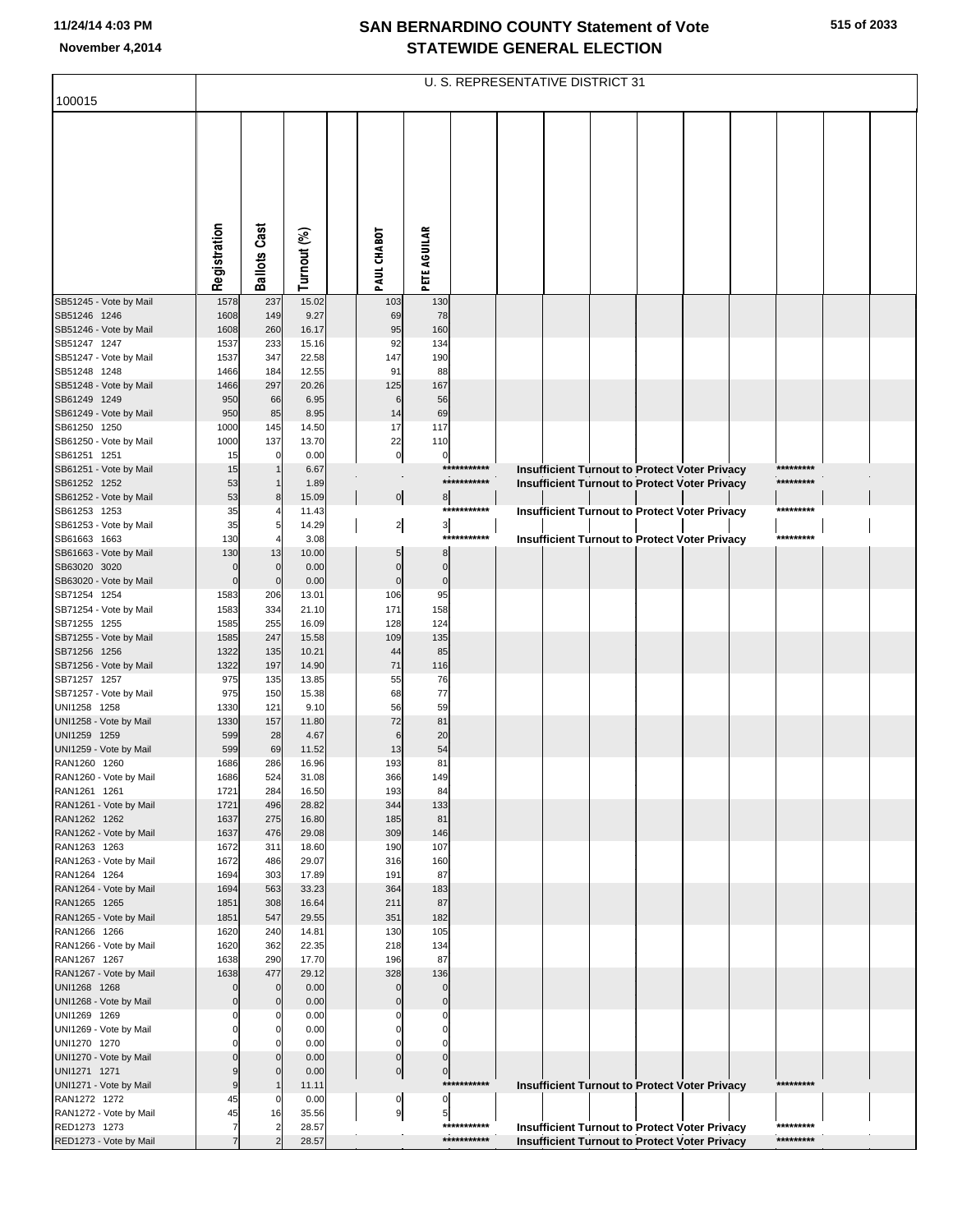| 100015                                 |                    |                     |                |                 |                                          |                            | U. S. REPRESENTATIVE DISTRICT 31 |  |                                                                                                              |           |  |
|----------------------------------------|--------------------|---------------------|----------------|-----------------|------------------------------------------|----------------------------|----------------------------------|--|--------------------------------------------------------------------------------------------------------------|-----------|--|
|                                        |                    |                     |                |                 |                                          |                            |                                  |  |                                                                                                              |           |  |
|                                        |                    |                     |                |                 |                                          |                            |                                  |  |                                                                                                              |           |  |
|                                        |                    |                     |                |                 |                                          |                            |                                  |  |                                                                                                              |           |  |
|                                        |                    |                     |                |                 |                                          |                            |                                  |  |                                                                                                              |           |  |
|                                        |                    |                     |                |                 |                                          |                            |                                  |  |                                                                                                              |           |  |
|                                        |                    |                     |                |                 |                                          |                            |                                  |  |                                                                                                              |           |  |
|                                        |                    |                     |                |                 |                                          |                            |                                  |  |                                                                                                              |           |  |
|                                        |                    |                     |                |                 |                                          |                            |                                  |  |                                                                                                              |           |  |
|                                        | Registration       | <b>Ballots Cast</b> | Turnout (%)    | PAUL CHABOT     | <b>PETE AGUILAR</b>                      |                            |                                  |  |                                                                                                              |           |  |
|                                        |                    |                     |                |                 |                                          |                            |                                  |  |                                                                                                              |           |  |
| SB51245 - Vote by Mail<br>SB51246 1246 | 1578<br>1608       | 237<br>149          | 15.02<br>9.27  | 103<br>69       | 130<br>78                                |                            |                                  |  |                                                                                                              |           |  |
| SB51246 - Vote by Mail                 | 1608               | 260                 | 16.17          | 95              | 160                                      |                            |                                  |  |                                                                                                              |           |  |
| SB51247 1247                           | 1537               | 233                 | 15.16          | 92              | 134                                      |                            |                                  |  |                                                                                                              |           |  |
| SB51247 - Vote by Mail<br>SB51248 1248 | 1537<br>1466       | 347<br>184          | 22.58<br>12.55 | 147<br>91       | 190<br>88                                |                            |                                  |  |                                                                                                              |           |  |
| SB51248 - Vote by Mail                 | 1466               | 297                 | 20.26          | 125             | 167                                      |                            |                                  |  |                                                                                                              |           |  |
| SB61249 1249<br>SB61249 - Vote by Mail | 950<br>950         | 66<br>85            | 6.95<br>8.95   | 6<br>14         | 56<br>69                                 |                            |                                  |  |                                                                                                              |           |  |
| SB61250 1250                           | 1000               | 145                 | 14.50          | 17              | 117                                      |                            |                                  |  |                                                                                                              |           |  |
| SB61250 - Vote by Mail                 | 1000               | 137                 | 13.70          | 22              | 110                                      |                            |                                  |  |                                                                                                              |           |  |
| SB61251 1251<br>SB61251 - Vote by Mail | 15<br>15           | $\Omega$            | 0.00<br>6.67   |                 | $\pmb{0}$<br>$\mathbf 0$                 | ***********                |                                  |  | Insufficient Turnout to Protect Voter Privacy                                                                | ********* |  |
| SB61252 1252                           | 53                 |                     | 1.89           |                 |                                          | ***********                |                                  |  | Insufficient Turnout to Protect Voter Privacy                                                                | ********* |  |
| SB61252 - Vote by Mail                 | 53                 | 8                   | 15.09          |                 | $\mathbf 0$<br>8                         | ***********                |                                  |  |                                                                                                              | ********* |  |
| SB61253 1253<br>SB61253 - Vote by Mail | 35<br>35           | 5                   | 11.43<br>14.29 |                 | $\frac{2}{ }$<br>$\overline{\mathbf{3}}$ |                            |                                  |  | <b>Insufficient Turnout to Protect Voter Privacy</b>                                                         |           |  |
| SB61663 1663                           | 130                |                     | 3.08           |                 |                                          | ***********                |                                  |  | Insufficient Turnout to Protect Voter Privacy                                                                | ********* |  |
| SB61663 - Vote by Mail<br>SB63020 3020 | 130<br>$\mathbf 0$ | 13<br>$\mathbf 0$   | 10.00<br>0.00  | $\mathsf{C}$    | 8<br>$\mathbf{0}$                        |                            |                                  |  |                                                                                                              |           |  |
| SB63020 - Vote by Mail                 | $\mathbf 0$        | $\mathbf 0$         | 0.00           | $\mathbf 0$     | $\mathbf 0$                              |                            |                                  |  |                                                                                                              |           |  |
| SB71254 1254                           | 1583               | 206                 | 13.01          | 106             | 95                                       |                            |                                  |  |                                                                                                              |           |  |
| SB71254 - Vote by Mail<br>SB71255 1255 | 1583<br>1585       | 334<br>255          | 21.10<br>16.09 | 171<br>128      | 158<br>124                               |                            |                                  |  |                                                                                                              |           |  |
| SB71255 - Vote by Mail                 | 1585               | 247                 | 15.58          | 109             | 135                                      |                            |                                  |  |                                                                                                              |           |  |
| SB71256 1256                           | 1322               | 135                 | 10.21          | 44              | 85                                       |                            |                                  |  |                                                                                                              |           |  |
| SB71256 - Vote by Mail<br>SB71257 1257 | 1322<br>975        | 197<br>135          | 14.90<br>13.85 | 71<br>55        | 116<br>76                                |                            |                                  |  |                                                                                                              |           |  |
| SB71257 - Vote by Mail                 | 975                | 150                 | 15.38          | 68              | 77                                       |                            |                                  |  |                                                                                                              |           |  |
| UNI1258 1258<br>UNI1258 - Vote by Mail | 1330               | 121                 | 9.10<br>11.80  | 56              | 59<br>81                                 |                            |                                  |  |                                                                                                              |           |  |
| UNI1259 1259                           | 1330<br>599        | 157<br>28           | 4.67           | 72<br>6         | 20                                       |                            |                                  |  |                                                                                                              |           |  |
| UNI1259 - Vote by Mail                 | 599                | 69                  | 11.52          | 13              | 54                                       |                            |                                  |  |                                                                                                              |           |  |
| RAN1260 1260<br>RAN1260 - Vote by Mail | 1686<br>1686       | 286<br>524          | 16.96<br>31.08 | 193<br>366      | 81<br>149                                |                            |                                  |  |                                                                                                              |           |  |
| RAN1261 1261                           | 1721               | 284                 | 16.50          | 193             | 84                                       |                            |                                  |  |                                                                                                              |           |  |
| RAN1261 - Vote by Mail                 | 1721               | 496                 | 28.82          | 344             | 133                                      |                            |                                  |  |                                                                                                              |           |  |
| RAN1262 1262<br>RAN1262 - Vote by Mail | 1637<br>1637       | 275<br>476          | 16.80<br>29.08 | 185<br>309      | 81<br>146                                |                            |                                  |  |                                                                                                              |           |  |
| RAN1263 1263                           | 1672               | 311                 | 18.60          | 190             | 107                                      |                            |                                  |  |                                                                                                              |           |  |
| RAN1263 - Vote by Mail<br>RAN1264 1264 | 1672<br>1694       | 486<br>303          | 29.07<br>17.89 | 316<br>191      | 160<br>87                                |                            |                                  |  |                                                                                                              |           |  |
| RAN1264 - Vote by Mail                 | 1694               | 563                 | 33.23          | 364             | 183                                      |                            |                                  |  |                                                                                                              |           |  |
| RAN1265 1265                           | 1851               | 308                 | 16.64          | 211             | 87                                       |                            |                                  |  |                                                                                                              |           |  |
| RAN1265 - Vote by Mail<br>RAN1266 1266 | 1851<br>1620       | 547<br>240          | 29.55<br>14.81 | 351<br>130      | 182<br>105                               |                            |                                  |  |                                                                                                              |           |  |
| RAN1266 - Vote by Mail                 | 1620               | 362                 | 22.35          | 218             | 134                                      |                            |                                  |  |                                                                                                              |           |  |
| RAN1267 1267                           | 1638               | 290                 | 17.70          | 196             | 87                                       |                            |                                  |  |                                                                                                              |           |  |
| RAN1267 - Vote by Mail<br>UNI1268 1268 | 1638<br>$\Omega$   | 477<br>$\mathbf 0$  | 29.12<br>0.00  | 328<br>$\Omega$ | 136<br>$\Omega$                          |                            |                                  |  |                                                                                                              |           |  |
| UNI1268 - Vote by Mail                 | $\Omega$           | $\mathbf 0$         | 0.00           | $\sqrt{ }$      | $\Omega$                                 |                            |                                  |  |                                                                                                              |           |  |
| UNI1269 1269                           |                    | n                   | 0.00           | C               | $\Omega$                                 |                            |                                  |  |                                                                                                              |           |  |
| UNI1269 - Vote by Mail<br>UNI1270 1270 |                    | $\Omega$            | 0.00<br>0.00   | $\Omega$<br>C   | $\Omega$<br>$\sqrt{ }$                   |                            |                                  |  |                                                                                                              |           |  |
| UNI1270 - Vote by Mail                 |                    | $\Omega$            | 0.00           |                 | $\mathbf{0}$<br>$\mathbf 0$              |                            |                                  |  |                                                                                                              |           |  |
| UNI1271 1271<br>UNI1271 - Vote by Mail | 9                  | $\Omega$            | 0.00<br>11.11  |                 | $\pmb{0}$<br>$\mathbf 0$                 | ***********                |                                  |  |                                                                                                              | ********* |  |
| RAN1272 1272                           | 45                 |                     | 0.00           |                 | 0<br>$\Omega$                            |                            |                                  |  | <b>Insufficient Turnout to Protect Voter Privacy</b>                                                         |           |  |
| RAN1272 - Vote by Mail                 | 45                 | 16                  | 35.56          |                 | 9<br>5                                   |                            |                                  |  |                                                                                                              | ********* |  |
| RED1273 1273<br>RED1273 - Vote by Mail | 7                  |                     | 28.57<br>28.57 |                 |                                          | ***********<br>*********** |                                  |  | <b>Insufficient Turnout to Protect Voter Privacy</b><br><b>Insufficient Turnout to Protect Voter Privacy</b> | ********* |  |
|                                        |                    |                     |                |                 |                                          |                            |                                  |  |                                                                                                              |           |  |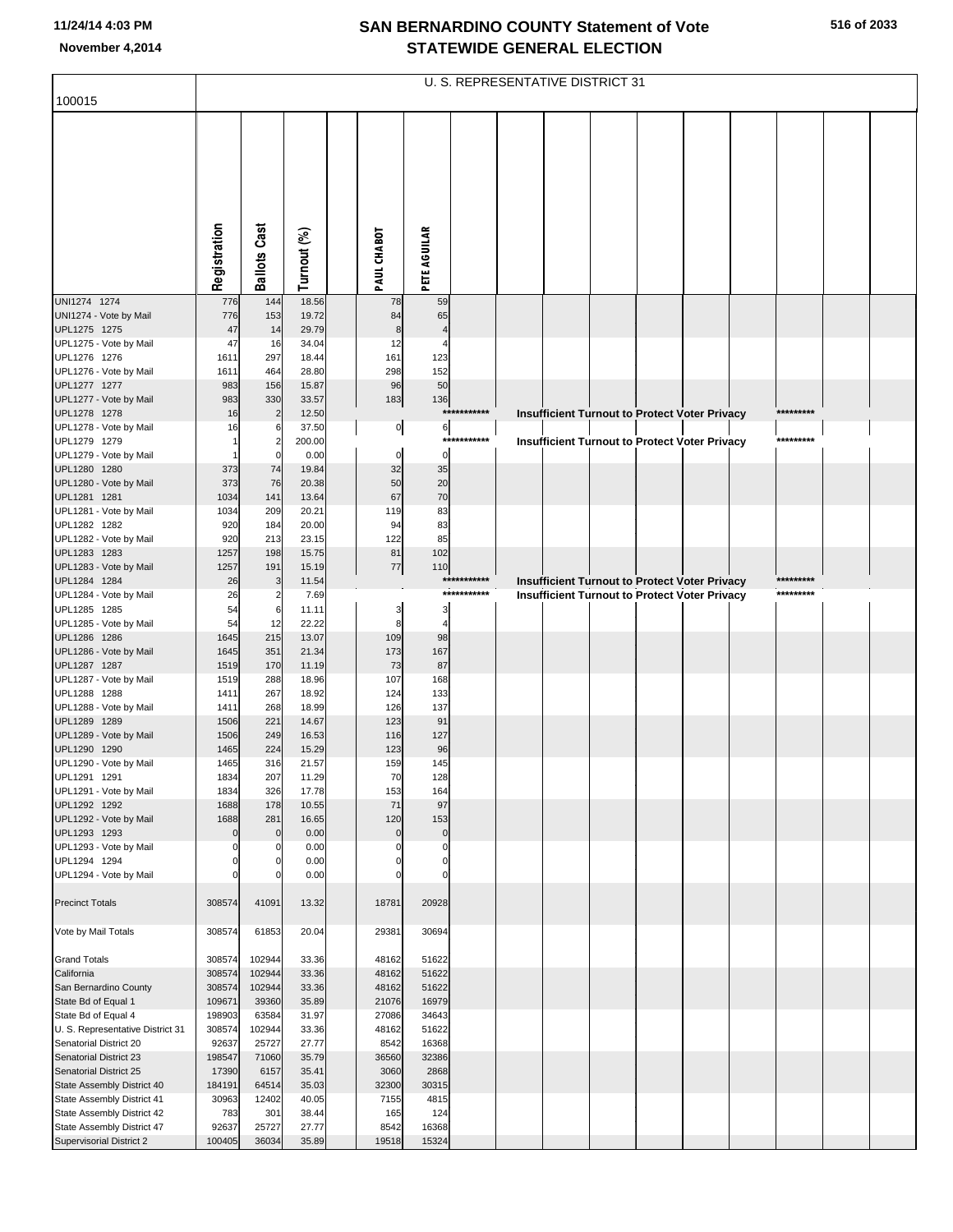| 100015                                                   |                  |                            |                |                |                      | U. S. REPRESENTATIVE DISTRICT 31 |  |  |                                                      |           |  |
|----------------------------------------------------------|------------------|----------------------------|----------------|----------------|----------------------|----------------------------------|--|--|------------------------------------------------------|-----------|--|
|                                                          |                  |                            |                |                |                      |                                  |  |  |                                                      |           |  |
|                                                          |                  |                            |                |                |                      |                                  |  |  |                                                      |           |  |
|                                                          |                  |                            |                |                |                      |                                  |  |  |                                                      |           |  |
|                                                          |                  |                            |                |                |                      |                                  |  |  |                                                      |           |  |
|                                                          |                  |                            |                |                |                      |                                  |  |  |                                                      |           |  |
|                                                          |                  |                            |                |                |                      |                                  |  |  |                                                      |           |  |
|                                                          |                  |                            |                |                |                      |                                  |  |  |                                                      |           |  |
|                                                          |                  |                            |                |                |                      |                                  |  |  |                                                      |           |  |
|                                                          |                  | <b>Ballots Cast</b>        |                |                |                      |                                  |  |  |                                                      |           |  |
|                                                          | Registration     |                            | Turnout (%)    | PAUL CHABOT    | <b>PETE AGUILAR</b>  |                                  |  |  |                                                      |           |  |
| UNI1274 1274                                             | 776              | 144                        | 18.56          | 78             | 59                   |                                  |  |  |                                                      |           |  |
| UNI1274 - Vote by Mail                                   | 776              | 153                        | 19.72          | 84             | 65                   |                                  |  |  |                                                      |           |  |
| UPL1275 1275<br>UPL1275 - Vote by Mail                   | 47<br>47         | 14<br>16                   | 29.79<br>34.04 | 8<br>12        |                      |                                  |  |  |                                                      |           |  |
| UPL1276 1276                                             | 1611             | 297                        | 18.44          | 161            | 123                  |                                  |  |  |                                                      |           |  |
| UPL1276 - Vote by Mail                                   | 1611             | 464                        | 28.80          | 298            | 152                  |                                  |  |  |                                                      |           |  |
| UPL1277 1277<br>UPL1277 - Vote by Mail                   | 983<br>983       | 156<br>330                 | 15.87<br>33.57 | 96<br>183      | 50<br>136            |                                  |  |  |                                                      |           |  |
| UPL1278 1278                                             | 16               | $\overline{2}$             | 12.50          |                |                      | ***********                      |  |  | <b>Insufficient Turnout to Protect Voter Privacy</b> | ********* |  |
| UPL1278 - Vote by Mail                                   | 16               | 6                          | 37.50          | $\overline{0}$ | 6                    |                                  |  |  |                                                      |           |  |
| UPL1279 1279<br>UPL1279 - Vote by Mail                   |                  | $\overline{2}$<br>$\Omega$ | 200.00<br>0.00 | $\mathbf 0$    | $\mathbf 0$          | ***********                      |  |  | <b>Insufficient Turnout to Protect Voter Privacy</b> | ********* |  |
| UPL1280 1280                                             | 373              | 74                         | 19.84          | 32             | 35                   |                                  |  |  |                                                      |           |  |
| UPL1280 - Vote by Mail                                   | 373              | 76                         | 20.38          | 50             | 20                   |                                  |  |  |                                                      |           |  |
| UPL1281 1281                                             | 1034             | 141                        | 13.64          | 67             | 70                   |                                  |  |  |                                                      |           |  |
| UPL1281 - Vote by Mail<br>UPL1282 1282                   | 1034<br>920      | 209<br>184                 | 20.21<br>20.00 | 119<br>94      | 83<br>83             |                                  |  |  |                                                      |           |  |
| UPL1282 - Vote by Mail                                   | 920              | 213                        | 23.15          | 122            | 85                   |                                  |  |  |                                                      |           |  |
| UPL1283 1283                                             | 1257             | 198                        | 15.75          | 81             | 102                  |                                  |  |  |                                                      |           |  |
| UPL1283 - Vote by Mail<br>UPL1284 1284                   | 1257<br>26       | 191<br>3                   | 15.19<br>11.54 | $77\,$         | 110                  | ***********                      |  |  | Insufficient Turnout to Protect Voter Privacy        | ********* |  |
| UPL1284 - Vote by Mail                                   | 26               | $\overline{2}$             | 7.69           |                |                      | ***********                      |  |  | Insufficient Turnout to Protect Voter Privacy        | ********* |  |
| UPL1285 1285                                             | 54               | 6                          | 11.11          | 3              | 3                    |                                  |  |  |                                                      |           |  |
| UPL1285 - Vote by Mail<br>UPL1286 1286                   | 54<br>1645       | 12<br>215                  | 22.22<br>13.07 | 8<br>109       | $\overline{4}$<br>98 |                                  |  |  |                                                      |           |  |
| UPL1286 - Vote by Mail                                   | 1645             | 351                        | 21.34          | 173            | 167                  |                                  |  |  |                                                      |           |  |
| UPL1287 1287                                             | 1519             | 170                        | 11.19          | 73             | 87                   |                                  |  |  |                                                      |           |  |
| UPL1287 - Vote by Mail<br>UPL1288 1288                   | 1519<br>1411     | 288<br>267                 | 18.96<br>18.92 | 107            | 168<br>133           |                                  |  |  |                                                      |           |  |
| UPL1288 - Vote by Mail                                   | 1411             | 268                        | 18.99          | 124<br>126     | 137                  |                                  |  |  |                                                      |           |  |
| UPL1289 1289                                             | 1506             | 221                        | 14.67          | 123            | 91                   |                                  |  |  |                                                      |           |  |
| UPL1289 - Vote by Mail                                   | 1506             | 249                        | 16.53          | 116            | 127                  |                                  |  |  |                                                      |           |  |
| UPL1290 1290<br>UPL1290 - Vote by Mail                   | 1465<br>1465     | 224<br>316                 | 15.29<br>21.57 | 123<br>159     | 96<br>145            |                                  |  |  |                                                      |           |  |
| UPL1291 1291                                             | 1834             | 207                        | 11.29          | 70             | 128                  |                                  |  |  |                                                      |           |  |
| UPL1291 - Vote by Mail                                   | 1834             | 326                        | 17.78          | 153            | 164                  |                                  |  |  |                                                      |           |  |
| UPL1292 1292<br>UPL1292 - Vote by Mail                   | 1688<br>1688     | 178<br>281                 | 10.55<br>16.65 | 71<br>120      | 97<br>153            |                                  |  |  |                                                      |           |  |
| UPL1293 1293                                             | $\mathbf 0$      | $\Omega$                   | 0.00           | $\mathbf 0$    | $\pmb{0}$            |                                  |  |  |                                                      |           |  |
| UPL1293 - Vote by Mail                                   |                  |                            | 0.00           | $\Omega$       | $\mathbf 0$          |                                  |  |  |                                                      |           |  |
| UPL1294 1294<br>UPL1294 - Vote by Mail                   |                  |                            | 0.00<br>0.00   | 0              | $\mathbf 0$          |                                  |  |  |                                                      |           |  |
|                                                          |                  |                            |                |                |                      |                                  |  |  |                                                      |           |  |
| <b>Precinct Totals</b>                                   | 308574           | 41091                      | 13.32          | 18781          | 20928                |                                  |  |  |                                                      |           |  |
|                                                          | 308574           |                            | 20.04          | 29381          | 30694                |                                  |  |  |                                                      |           |  |
| Vote by Mail Totals                                      |                  | 61853                      |                |                |                      |                                  |  |  |                                                      |           |  |
| <b>Grand Totals</b>                                      | 308574           | 102944                     | 33.36          | 48162          | 51622                |                                  |  |  |                                                      |           |  |
| California                                               | 308574           | 102944                     | 33.36          | 48162          | 51622                |                                  |  |  |                                                      |           |  |
| San Bernardino County<br>State Bd of Equal 1             | 308574<br>109671 | 102944<br>39360            | 33.36<br>35.89 | 48162<br>21076 | 51622<br>16979       |                                  |  |  |                                                      |           |  |
| State Bd of Equal 4                                      | 198903           | 63584                      | 31.97          | 27086          | 34643                |                                  |  |  |                                                      |           |  |
| U. S. Representative District 31                         | 308574           | 102944                     | 33.36          | 48162          | 51622                |                                  |  |  |                                                      |           |  |
| Senatorial District 20<br><b>Senatorial District 23</b>  | 92637<br>198547  | 25727<br>71060             | 27.77<br>35.79 | 8542<br>36560  | 16368<br>32386       |                                  |  |  |                                                      |           |  |
| Senatorial District 25                                   | 17390            | 6157                       | 35.41          | 3060           | 2868                 |                                  |  |  |                                                      |           |  |
| State Assembly District 40                               | 184191           | 64514                      | 35.03          | 32300          | 30315                |                                  |  |  |                                                      |           |  |
| State Assembly District 41<br>State Assembly District 42 | 30963<br>783     | 12402<br>301               | 40.05<br>38.44 | 7155<br>165    | 4815<br>124          |                                  |  |  |                                                      |           |  |
| State Assembly District 47                               | 92637            | 25727                      | 27.77          | 8542           | 16368                |                                  |  |  |                                                      |           |  |
| <b>Supervisorial District 2</b>                          | 100405           | 36034                      | 35.89          | 19518          | 15324                |                                  |  |  |                                                      |           |  |